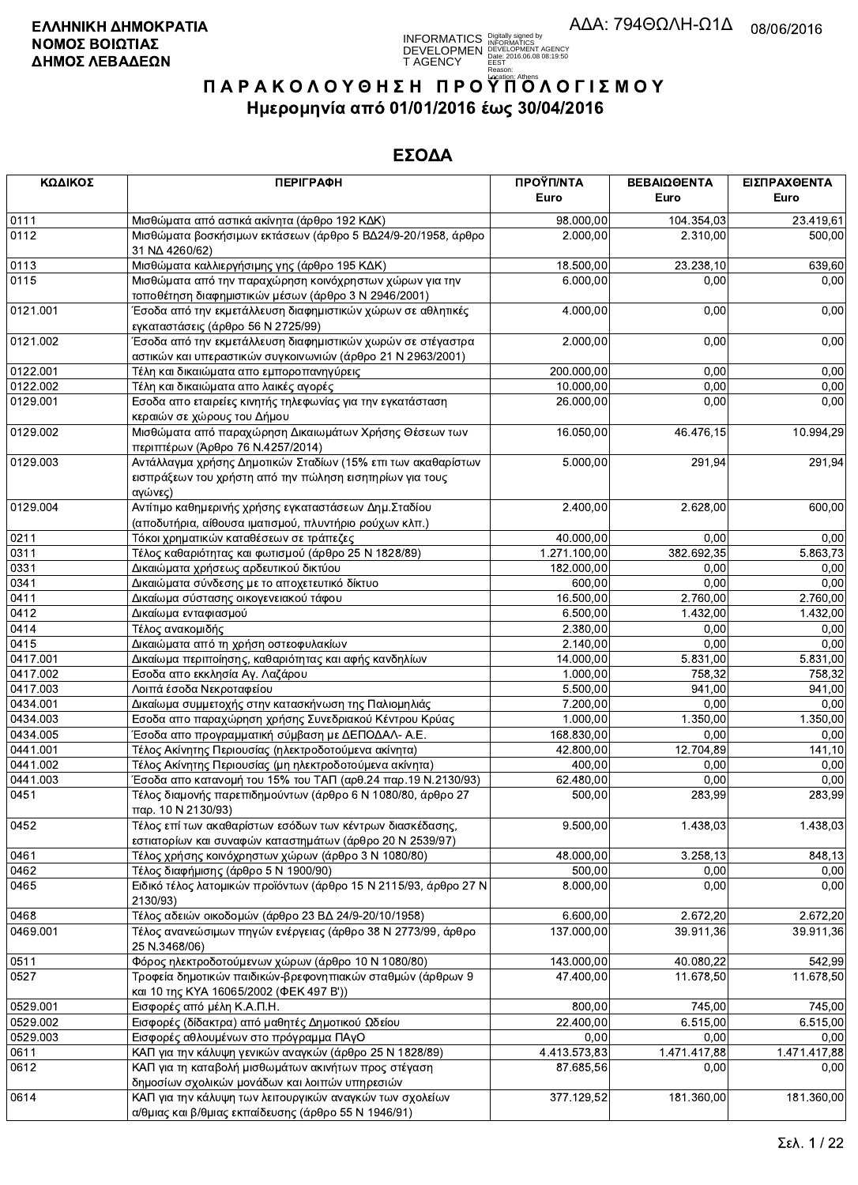

| ΚΩΔΙΚΟΣ  | <b>ПЕРІГРАФН</b>                                                                                                                    | ΠΡΟΫΠ/ΝΤΑ    | ΒΕΒΑΙΩΘΕΝΤΑ  | ΕΙΣΠΡΑΧΘΕΝΤΑ |
|----------|-------------------------------------------------------------------------------------------------------------------------------------|--------------|--------------|--------------|
|          |                                                                                                                                     | Euro         | Euro         | Euro         |
| 0111     | Μισθώματα από αστικά ακίνητα (άρθρο 192 ΚΔΚ)                                                                                        | 98.000,00    | 104.354,03   | 23.419,61    |
| 0112     | Μισθώματα βοσκήσιμων εκτάσεων (άρθρο 5 ΒΔ24/9-20/1958, άρθρο<br>31 NA 4260/62)                                                      | 2.000,00     | 2.310,00     | 500,00       |
| 0113     | Μισθώματα καλλιεργήσιμης γης (άρθρο 195 ΚΔΚ)                                                                                        | 18.500,00    | 23.238,10    | 639,60       |
| 0115     | Μισθώματα από την παραχώρηση κοινόχρηστων χώρων για την<br>τοποθέτηση διαφημιστικών μέσων (άρθρο 3 Ν 2946/2001)                     | 6.000,00     | 0,00         | 0,00         |
| 0121.001 | Έσοδα από την εκμετάλλευση διαφημιστικών χώρων σε αθλητικές<br>εγκαταστάσεις (άρθρο 56 Ν 2725/99)                                   | 4.000,00     | 0,00         | 0,00         |
| 0121.002 | Έσοδα από την εκμετάλλευση διαφημιστικών χωρών σε στέγαστρα<br>αστικών και υπεραστικών συγκοινωνιών (άρθρο 21 Ν 2963/2001)          | 2.000,00     | 0,00         | 0,00         |
| 0122.001 | Τέλη και δικαιώματα απο εμποροπανηγύρεις                                                                                            | 200.000,00   | 0,00         | 0,00         |
| 0122.002 | Τέλη και δικαιώματα απο λαικές αγορές                                                                                               | 10.000,00    | 0,00         | 0,00         |
| 0129.001 | Εσοδα απο εταιρείες κινητής τηλεφωνίας για την εγκατάσταση<br>κεραιών σε χώρους του Δήμου                                           | 26.000,00    | 0,00         | 0,00         |
| 0129.002 | Μισθώματα από παραχώρηση Δικαιωμάτων Χρήσης Θέσεων των<br>περιπτέρων (Άρθρο 76 Ν.4257/2014)                                         | 16.050,00    | 46.476,15    | 10.994,29    |
| 0129.003 | Αντάλλαγμα χρήσης Δημοτικών Σταδίων (15% επι των ακαθαρίστων<br>εισπράξεων του χρήστη από την πώληση εισητηρίων για τους<br>αγώνες) | 5.000,00     | 291,94       | 291,94       |
| 0129.004 | Αντίτιμο καθημερινής χρήσης εγκαταστάσεων Δημ. Σταδίου<br>(αποδυτήρια, αίθουσα ιματισμού, πλυντήριο ρούχων κλπ.)                    | 2.400,00     | 2.628,00     | 600,00       |
| 0211     | Τόκοι χρηματικών καταθέσεων σε τράπεζες                                                                                             | 40.000,00    | 0,00         | 0,00         |
| 0311     | Τέλος καθαριότητας και φωτισμού (άρθρο 25 Ν 1828/89)                                                                                | 1.271.100,00 | 382.692,35   | 5.863,73     |
| 0331     | Δικαιώματα χρήσεως αρδευτικού δικτύου                                                                                               | 182.000,00   | 0,00         | 0,00         |
| 0341     | Δικαιώματα σύνδεσης με το αποχετευτικό δίκτυο                                                                                       | 600,00       | 0,00         | 0,00         |
| 0411     | Δικαίωμα σύστασης οικογενειακού τάφου                                                                                               | 16.500,00    | 2.760,00     | 2.760,00     |
| 0412     | Δικαίωμα ενταφιασμού                                                                                                                | 6.500,00     | 1.432,00     | 1.432,00     |
| 0414     | Τέλος ανακομιδής                                                                                                                    | 2.380,00     | 0,00         | 0,00         |
| 0415     | Δικαιώματα από τη χρήση οστεοφυλακίων                                                                                               | 2.140,00     | 0,00         | 0,00         |
| 0417.001 | Δικαίωμα περιποίησης, καθαριότητας και αφής κανδηλίων                                                                               | 14.000,00    | 5.831,00     | 5.831,00     |
| 0417.002 | Εσοδα απο εκκλησία Αγ. Λαζάρου                                                                                                      | 1.000,00     | 758,32       | 758,32       |
| 0417.003 | Λοιπά έσοδα Νεκροταφείου                                                                                                            | 5.500,00     | 941,00       | 941,00       |
| 0434.001 | Δικαίωμα συμμετοχής στην κατασκήνωση της Παλιομηλιάς                                                                                | 7.200,00     | 0,00         | 0,00         |
| 0434.003 | Εσοδα απο παραχώρηση χρήσης Συνεδριακού Κέντρου Κρύας                                                                               | 1.000,00     | 1.350,00     | 1.350,00     |
| 0434.005 | Έσοδα απο προγραμματική σύμβαση με ΔΕΠΟΔΑΛ- Α.Ε.                                                                                    | 168.830,00   | 0,00         | 0,00         |
| 0441.001 | Τέλος Ακίνητης Περιουσίας (ηλεκτροδοτούμενα ακίνητα)                                                                                | 42.800.00    | 12.704,89    | 141,10       |
| 0441.002 | Τέλος Ακίνητης Περιουσίας (μη ηλεκτροδοτούμενα ακίνητα)                                                                             | 400,00       | 0,00         | 0,00         |
| 0441.003 | Έσοδα απο κατανομή του 15% του ΤΑΠ (αρθ.24 παρ.19 Ν.2130/93)                                                                        | 62.480,00    | 0,00         | 0,00         |
| 0451     | Τέλος διαμονής παρεπιδημούντων (άρθρο 6 Ν 1080/80, άρθρο 27<br>παρ. 10 N 2130/93)                                                   | 500,00       | 283,99       | 283,99       |
| 0452     | Τέλος επί των ακαθαρίστων εσόδων των κέντρων διασκέδασης,<br>εστιατορίων και συναφών καταστημάτων (άρθρο 20 Ν 2539/97)              | 9.500,00     | 1.438,03     | 1.438,03     |
| 0461     | Τέλος χρήσης κοινόχρηστων χώρων (άρθρο 3 Ν 1080/80)                                                                                 | 48.000,00    | 3.258,13     | 848.13       |
| 0462     | Τέλος διαφήμισης (άρθρο 5 Ν 1900/90)                                                                                                | 500,00       | 0,00         | 0,00         |
| 0465     | Ειδικό τέλος λατομικών προϊόντων (άρθρο 15 Ν 2115/93, άρθρο 27 Ν<br>2130/93)                                                        | 8.000,00     | 0,00         | 0,00         |
| 0468     | Τέλος αδειών οικοδομών (άρθρο 23 ΒΔ 24/9-20/10/1958)                                                                                | 6.600,00     | 2.672,20     | 2.672,20     |
| 0469.001 | Τέλος ανανεώσιμων πηγών ενέργειας (άρθρο 38 Ν 2773/99, άρθρο<br>25 N.3468/06)                                                       | 137.000,00   | 39.911,36    | 39.911,36    |
| 0511     | Φόρος ηλεκτροδοτούμενων χώρων (άρθρο 10 Ν 1080/80)                                                                                  | 143.000,00   | 40.080.22    | 542,99       |
| 0527     | Τροφεία δημοτικών παιδικών-βρεφονηπιακών σταθμών (άρθρων 9<br>και 10 της ΚΥΑ 16065/2002 (ΦΕΚ 497 Β'))                               | 47.400,00    | 11.678,50    | 11.678,50    |
| 0529.001 | Εισφορές από μέλη Κ.Α.Π.Η.                                                                                                          | 800,00       | 745,00       | 745,00       |
| 0529.002 | Εισφορές (δίδακτρα) από μαθητές Δημοτικού Ωδείου                                                                                    | 22.400,00    | 6.515,00     | 6.515,00     |
| 0529.003 | Εισφορές αθλουμένων στο πρόγραμμα ΠΑγΟ                                                                                              | 0,00         | 0,00         | 0,00         |
| 0611     | ΚΑΠ για την κάλυψη γενικών αναγκών (άρθρο 25 Ν 1828/89)                                                                             | 4.413.573,83 | 1.471.417,88 | 1.471.417,88 |
| 0612     | ΚΑΠ για τη καταβολή μισθωμάτων ακινήτων προς στέγαση<br>δημοσίων σχολικών μονάδων και λοιπών υπηρεσιών                              | 87.685,56    | 0.00         | 0,00         |
| 0614     | ΚΑΠ για την κάλυψη των λειτουργικών αναγκών των σχολείων<br>α/θμιας και β/θμιας εκπαίδευσης (άρθρο 55 Ν 1946/91)                    | 377.129,52   | 181.360,00   | 181.360,00   |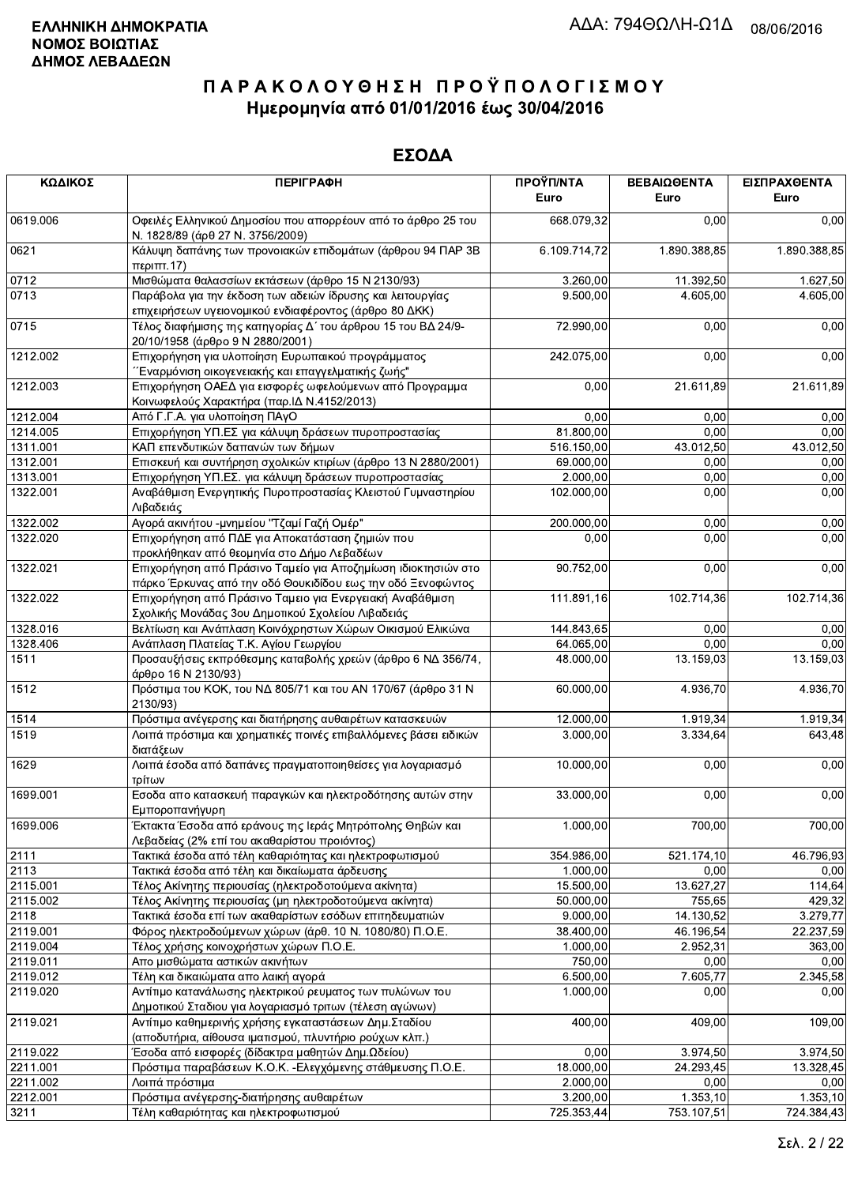| ΚΩΔΙΚΟΣ  | <b>ПЕРІГРАФН</b>                                                                                                             | ΠΡΟΫΠ/ΝΤΑ<br>Euro | ΒΕΒΑΙΩΘΕΝΤΑ<br>Euro | ΕΙΣΠΡΑΧΘΕΝΤΑ<br>Euro |
|----------|------------------------------------------------------------------------------------------------------------------------------|-------------------|---------------------|----------------------|
| 0619.006 | Οφειλές Ελληνικού Δημοσίου που απορρέουν από το άρθρο 25 του<br>Ν. 1828/89 (άρθ 27 Ν. 3756/2009)                             | 668.079,32        | 0,00                | 0,00                 |
| 0621     | Κάλυψη δαπάνης των προνοιακών επιδομάτων (άρθρου 94 ΠΑΡ 3Β<br>περιπτ.17)                                                     | 6.109.714,72      | 1.890.388,85        | 1.890.388,85         |
| 0712     | Μισθώματα θαλασσίων εκτάσεων (άρθρο 15 Ν 2130/93)                                                                            | 3.260,00          | 11.392,50           | 1.627,50             |
| 0713     | Παράβολα για την έκδοση των αδειών ίδρυσης και λειτουργίας<br>επιχειρήσεων υγειονομικού ενδιαφέροντος (άρθρο 80 ΔΚΚ)         | 9.500,00          | 4.605,00            | 4.605,00             |
| 0715     | Τέλος διαφήμισης της κατηγορίας Δ΄ του άρθρου 15 του ΒΔ 24/9-<br>20/10/1958 (άρθρο 9 Ν 2880/2001)                            | 72.990,00         | 0,00                | 0,00                 |
| 1212.002 | Επιχορήγηση για υλοποίηση Ευρωπαικού προγράμματος<br>Έναρμόνιση οικογενειακής και επαγγελματικής ζωής"                       | 242.075,00        | 0,00                | 0,00                 |
| 1212.003 | Επιχορήγηση ΟΑΕΔ για εισφορές ωφελούμενων από Προγραμμα<br>Κοινωφελούς Χαρακτήρα (παρ. ΙΔ Ν.4152/2013)                       | 0,00              | 21.611,89           | 21.611,89            |
| 1212.004 | Από Γ.Γ.Α. για υλοποίηση ΠΑγΟ                                                                                                | 0,00              | 0,00                | 0,00                 |
| 1214.005 | Επιχορήγηση ΥΠ.ΕΣ για κάλυψη δράσεων πυροπροστασίας                                                                          | 81.800,00         | 0,00                | 0,00                 |
| 1311.001 | ΚΑΠ επενδυτικών δαπανών των δήμων                                                                                            | 516.150,00        | 43.012,50           | 43.012,50            |
| 1312.001 | Επισκευή και συντήρηση σχολικών κτιρίων (άρθρο 13 Ν 2880/2001)                                                               | 69.000,00         | 0,00                | 0,00                 |
| 1313.001 | Επιχορήγηση ΥΠ.ΕΣ. για κάλυψη δράσεων πυροπροστασίας                                                                         | 2.000,00          | 0,00                | 0,00                 |
| 1322.001 | Αναβάθμιση Ενεργητικής Πυροπροστασίας Κλειστού Γυμναστηρίου<br>Λιβαδειάς                                                     | 102.000,00        | 0,00                | 0,00                 |
| 1322.002 | Αγορά ακινήτου - μνημείου "Τζαμί Γαζή Ομέρ"                                                                                  | 200.000,00        | 0,00                | 0,00                 |
| 1322.020 | Επιχορήγηση από ΠΔΕ για Αποκατάσταση ζημιών που<br>προκλήθηκαν από θεομηνία στο Δήμο Λεβαδέων                                | 0,00              | 0,00                | 0,00                 |
| 1322.021 | Επιχορήγηση από Πράσινο Ταμείο για Αποζημίωση ιδιοκτησιών στο<br>πάρκο Έρκυνας από την οδό Θουκιδίδου εως την οδό Ξενοφώντος | 90.752,00         | 0,00                | 0,00                 |
| 1322.022 | Επιχορήγηση από Πράσινο Ταμειο για Ενεργειακή Αναβάθμιση<br>Σχολικής Μονάδας 3ου Δημοτικού Σχολείου Λιβαδειάς                | 111.891,16        | 102.714,36          | 102.714,36           |
| 1328.016 | Βελτίωση και Ανάπλαση Κοινόχρηστων Χώρων Οικισμού Ελικώνα                                                                    | 144.843,65        | 0,00                | 0,00                 |
| 1328.406 | Ανάπλαση Πλατείας Τ.Κ. Αγίου Γεωργίου                                                                                        | 64.065,00         | 0,00                | 0,00                 |
| 1511     | Προσαυξήσεις εκπρόθεσμης καταβολής χρεών (άρθρο 6 ΝΔ 356/74,<br>άρθρο 16 Ν 2130/93)                                          | 48.000,00         | 13.159,03           | 13.159,03            |
| 1512     | Πρόστιμα του ΚΟΚ, του ΝΔ 805/71 και του ΑΝ 170/67 (άρθρο 31 Ν<br>2130/93)                                                    | 60.000,00         | 4.936,70            | 4.936,70             |
| 1514     | Πρόστιμα ανέγερσης και διατήρησης αυθαιρέτων κατασκευών                                                                      | 12.000,00         | 1.919,34            | 1.919,34             |
| 1519     | Λοιπά πρόστιμα και χρηματικές ποινές επιβαλλόμενες βάσει ειδικών<br>διατάξεων                                                | 3.000,00          | 3.334,64            | 643,48               |
| 1629     | Λοιπά έσοδα από δαπάνες πραγματοποιηθείσες για λογαριασμό<br>τρίτων                                                          | 10.000,00         | 0,00                | 0,00                 |
| 1699.001 | Εσοδα απο κατασκευή παραγκών και ηλεκτροδότησης αυτών στην<br>Εμποροπανήγυρη                                                 | 33.000,00         | 0,00                | 0,00                 |
| 1699.006 | Έκτακτα Έσοδα από εράνους της Ιεράς Μητρόπολης Θηβών και<br>Λεβαδείας (2% επί του ακαθαρίστου προιόντος)                     | 1.000,00          | 700,00              | 700,00               |
| 2111     | Τακτικά έσοδα από τέλη καθαριότητας και ηλεκτροφωτισμού                                                                      | 354.986,00        | 521.174,10          | 46.796,93            |
| 2113     | Τακτικά έσοδα από τέλη και δικαίωματα άρδευσης                                                                               | 1.000,00          | 0,00                | 0,00                 |
| 2115.001 | Τέλος Ακίνητης περιουσίας (ηλεκτροδοτούμενα ακίνητα)                                                                         | 15.500,00         | 13.627,27           | 114,64               |
| 2115.002 | Τέλος Ακίνητης περιουσίας (μη ηλεκτροδοτούμενα ακίνητα)                                                                      | 50.000,00         | 755,65              | 429,32               |
| 2118     | Τακτικά έσοδα επί των ακαθαρίστων εσόδων επιτηδευματιών                                                                      | 9.000,00          | 14.130,52           | 3.279,77             |
| 2119.001 | Φόρος ηλεκτροδούμενων χώρων (άρθ. 10 Ν. 1080/80) Π.Ο.Ε.                                                                      | 38.400,00         | 46.196,54           | 22.237,59            |
| 2119.004 | Τέλος χρήσης κοινοχρήστων χώρων Π.Ο.Ε.                                                                                       | 1.000,00          | 2.952,31            | 363,00               |
| 2119.011 | Απο μισθώματα αστικών ακινήτων                                                                                               | 750,00            | 0,00                | 0,00                 |
| 2119.012 | Τέλη και δικαιώματα απο λαική αγορά                                                                                          | 6.500,00          | 7.605,77            | 2.345,58             |
| 2119.020 | Αντίτιμο κατανάλωσης ηλεκτρικού ρευματος των πυλώνων του<br>Δημοτικού Σταδιου για λογαριασμό τριτων (τέλεση αγώνων)          | 1.000,00          | 0,00                | 0,00                 |
| 2119.021 | Αντίτιμο καθημερινής χρήσης εγκαταστάσεων Δημ. Σταδίου<br>(αποδυτήρια, αίθουσα ιματισμού, πλυντήριο ρούχων κλπ.)             | 400,00            | 409,00              | 109,00               |
| 2119.022 | Έσοδα από εισφορές (δίδακτρα μαθητών Δημ.Ωδείου)                                                                             | 0,00              | 3.974,50            | 3.974,50             |
| 2211.001 | Πρόστιμα παραβάσεων Κ.Ο.Κ. - Ελεγχόμενης στάθμευσης Π.Ο.Ε.                                                                   | 18.000,00         | 24.293,45           | 13.328,45            |
| 2211.002 | Λοιπά πρόστιμα                                                                                                               | 2.000,00          | 0,00                | 0,00                 |
| 2212.001 | Πρόστιμα ανέγερσης-διατήρησης αυθαιρέτων                                                                                     | 3.200,00          | 1.353,10            | 1.353,10             |
| 3211     | Τέλη καθαριότητας και ηλεκτροφωτισμού                                                                                        | 725.353,44        | 753.107,51          | 724.384,43           |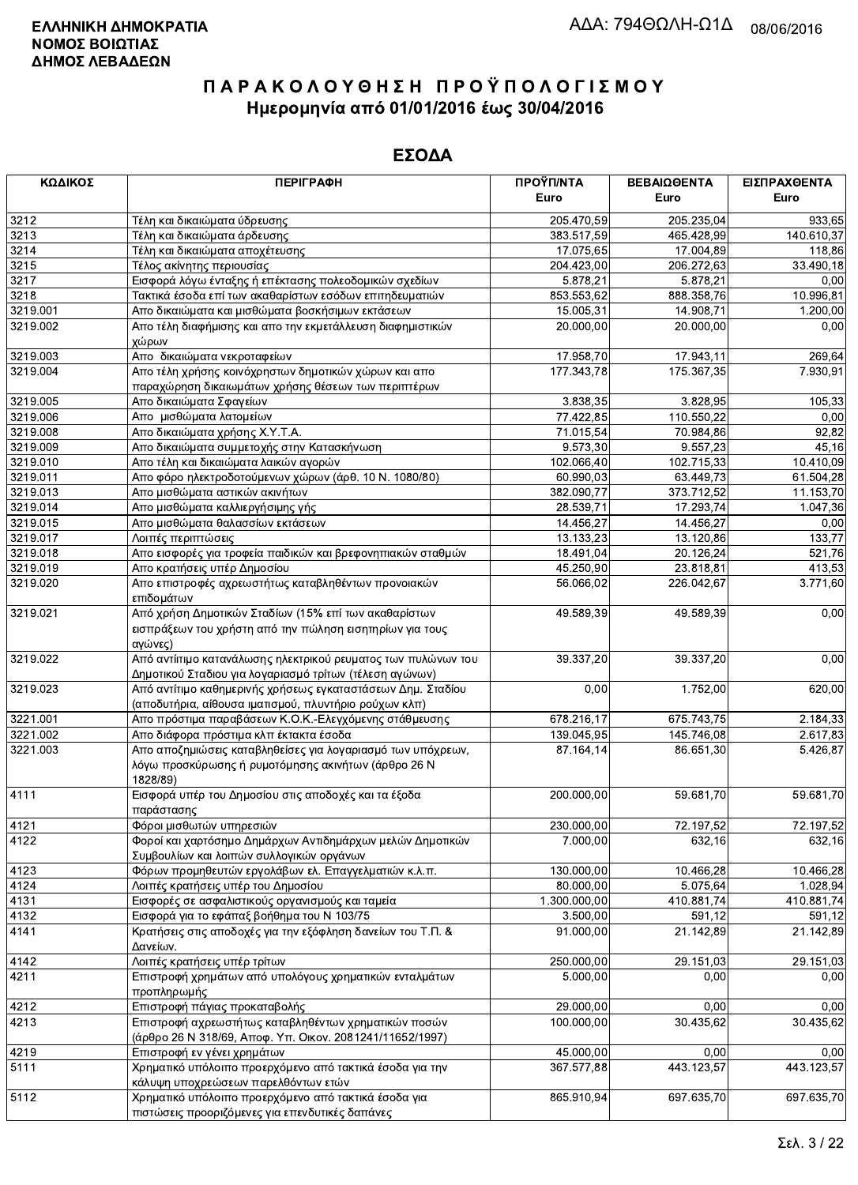| ΚΩΔΙΚΟΣ  | <b>ПЕРІГРАФН</b>                                                      | ΠΡΟΫΠ/ΝΤΑ    | ΒΕΒΑΙΩΘΕΝΤΑ | ΕΙΣΠΡΑΧΘΕΝΤΑ |
|----------|-----------------------------------------------------------------------|--------------|-------------|--------------|
|          |                                                                       | Euro         | Euro        | Euro         |
| 3212     | Τέλη και δικαιώματα ύδρευσης                                          | 205.470,59   | 205.235,04  | 933,65       |
| 3213     | Τέλη και δικαιώματα άρδευσης                                          | 383.517,59   | 465.428,99  | 140.610,37   |
| 3214     | Τέλη και δικαιώματα αποχέτευσης                                       | 17.075,65    | 17.004,89   | 118,86       |
| 3215     | Τέλος ακίνητης περιουσίας                                             | 204.423,00   | 206.272,63  | 33.490,18    |
| 3217     | Εισφορά λόγω ένταξης ή επέκτασης πολεοδομικών σχεδίων                 | 5 878,21     | 5.878,21    | 0,00         |
| 3218     | Τακτικά έσοδα επί των ακαθαρίστων εσόδων επιτηδευματιών               | 853.553,62   | 888.358,76  | 10.996,81    |
| 3219.001 | Απο δικαιώματα και μισθώματα βοσκήσιμων εκτάσεων                      | 15.005,31    | 14.908,71   | 1.200,00     |
| 3219.002 | Απο τέλη διαφήμισης και απο την εκμετάλλευση διαφημιστικών            | 20,000.00    | 20.000,00   | 0,00         |
|          | χώρων                                                                 |              |             |              |
| 3219.003 | Απο δικαιώματα νεκροταφείων                                           | 17.958.70    | 17.943,11   | 269,64       |
| 3219.004 | Απο τέλη χρήσης κοινόχρηστων δημοτικών χώρων και απο                  | 177.343,78   | 175.367,35  | 7.930,91     |
|          | παραχώρηση δικαιωμάτων χρήσης θέσεων των περιπτέρων                   |              |             |              |
| 3219.005 | Απο δικαιώματα Σφαγείων                                               | 3.838,35     | 3.828,95    | 105,33       |
| 3219.006 | Απο μισθώματα λατομείων                                               | 77.422,85    | 110.550,22  | 0,00         |
| 3219.008 | Απο δικαιώματα χρήσης Χ.Υ.Τ.Α.                                        | 71.015,54    | 70.984,86   | 92,82        |
| 3219.009 | Απο δικαιώματα συμμετοχής στην Κατασκήνωση                            | 9.573,30     | 9.557,23    | 45,16        |
| 3219.010 | Απο τέλη και δικαιώματα λαικών αγορών                                 | 102.066,40   | 102.715,33  | 10.410,09    |
| 3219.011 | Απο φόρο ηλεκτροδοτούμενων χώρων (άρθ. 10 Ν. 1080/80)                 | 60.990,03    | 63.449,73   | 61.504,28    |
| 3219.013 | Απο μισθώματα αστικών ακινήτων                                        | 382.090,77   | 373.712,52  | 11.153,70    |
| 3219.014 | Απο μισθώματα καλλιεργήσιμης γής                                      | 28.539,71    | 17.293,74   | 1.047,36     |
| 3219.015 | Απο μισθώματα θαλασσίων εκτάσεων                                      | 14.456,27    | 14.456.27   | 0,00         |
| 3219.017 | Λοιπές περιπτώσεις                                                    | 13.133,23    | 13.120,86   | 133,77       |
| 3219.018 | Απο εισφορές για τροφεία παιδικών και βρεφονηπιακών σταθμών           | 18.491,04    | 20.126,24   | 521,76       |
| 3219.019 | Απο κρατήσεις υπέρ Δημοσίου                                           | 45.250,90    | 23.818,81   | 413,53       |
| 3219.020 | Απο επιστροφές αχρεωστήτως καταβληθέντων προνοιακών<br>επιδομάτων     | 56.066,02    | 226.042,67  | 3.771,60     |
| 3219.021 | Από χρήση Δημοτικών Σταδίων (15% επί των ακαθαρίστων                  | 49.589,39    | 49.589,39   | 0,00         |
|          | εισπράξεων του χρήστη από την πώληση εισητηρίων για τους              |              |             |              |
|          | αγώνες)                                                               |              |             |              |
| 3219.022 | Από αντίιτιμο κατανάλωσης ηλεκτρικού ρευματος των πυλώνων του         | 39.337,20    | 39.337,20   | 0,00         |
|          | Δημοτικού Σταδιου για λογαριασμό τρίτων (τέλεση αγώνων)               |              |             |              |
| 3219.023 | Από αντίτιμο καθημερινής χρήσεως εγκαταστάσεων Δημ. Σταδίου           | 0,00         | 1.752,00    | 620,00       |
|          | (αποδυτήρια, αίθουσα ιματισμού, πλυντήριο ρούχων κλπ)                 |              |             |              |
| 3221.001 | Απο πρόστιμα παραβάσεων Κ.Ο.Κ.-Ελεγχόμενης στάθμευσης                 | 678.216,17   | 675.743,75  | 2.184,33     |
| 3221.002 | Απο διάφορα πρόστιμα κλπ έκτακτα έσοδα                                | 139.045,95   | 145.746,08  | 2.617,83     |
| 3221.003 | Απο αποζημιώσεις καταβληθείσες για λογαριασμό των υπόχρεων,           | 87.164,14    | 86.651,30   | 5.426,87     |
|          | λόγω προσκύρωσης ή ρυμοτόμησης ακινήτων (άρθρο 26 Ν<br>1828/89)       |              |             |              |
| 4111     | Εισφορά υπέρ του Δημοσίου στις αποδοχές και τα έξοδα                  | 200.000,00   | 59.681,70   | 59.681,70    |
|          | παράστασης                                                            |              |             |              |
| 4121     | Φόροι μισθωτών υπηρεσιών                                              | 230.000,00   | 72.197,52   | 72.197,52    |
| 4122     | Φοροί και χαρτόσημο Δημάρχων Αντιδημάρχων μελών Δημοτικών             | 7.000,00     | 632,16      | 632,16       |
|          | Συμβουλίων και λοιπών συλλογικών οργάνων                              |              |             |              |
| 4123     | Φόρων προμηθευτών εργολάβων ελ. Επαγγελματιών κ.λ.π.                  | 130.000,00   | 10.466,28   | 10.466,28    |
| 4124     | Λοιπές κρατήσεις υπέρ του Δημοσίου                                    | 80.000,00    | 5.075,64    | 1.028,94     |
| 4131     | Εισφορές σε ασφαλιστικούς οργανισμούς και ταμεία                      | 1.300.000,00 | 410.881,74  | 410.881,74   |
| 4132     | Εισφορά για το εφάπαξ βοήθημα του Ν 103/75                            | 3.500,00     | 591.12      | 591,12       |
| 4141     | Κρατήσεις στις αποδοχές για την εξόφληση δανείων του Τ.Π. &           | 91.000,00    | 21.142,89   | 21.142,89    |
|          | Δανείων.                                                              |              |             |              |
| 4142     | Λοιπές κρατήσεις υπέρ τρίτων                                          | 250.000,00   | 29.151,03   | 29.151.03    |
| 4211     | Επιστροφή χρημάτων από υπολόγους χρηματικών ενταλμάτων<br>προπληρωμής | 5.000,00     | 0,00        | 0,00         |
| 4212     | Επιστροφή πάγιας προκαταβολής                                         | 29.000,00    | 0,00        | 0.00         |
| 4213     | Επιστροφή αχρεωστήτως καταβληθέντων χρηματικών ποσών                  | 100.000,00   | 30.435,62   | 30.435,62    |
|          | (άρθρο 26 Ν 318/69, Αποφ. Υπ. Οικον. 2081241/11652/1997)              |              |             |              |
| 4219     | Επιστροφή εν γένει χρημάτων                                           | 45.000,00    | 0,00        | 0,00         |
| 5111     | Χρηματικό υπόλοιπο προερχόμενο από τακτικά έσοδα για την              | 367.577,88   | 443.123,57  | 443.123,57   |
|          | κάλυψη υποχρεώσεων παρελθόντων ετών                                   |              |             |              |
| 5112     | Χρηματικό υπόλοιπο προερχόμενο από τακτικά έσοδα για                  | 865.910,94   | 697.635,70  | 697.635,70   |
|          | πιστώσεις προοριζόμενες για επενδυτικές δαπάνες                       |              |             |              |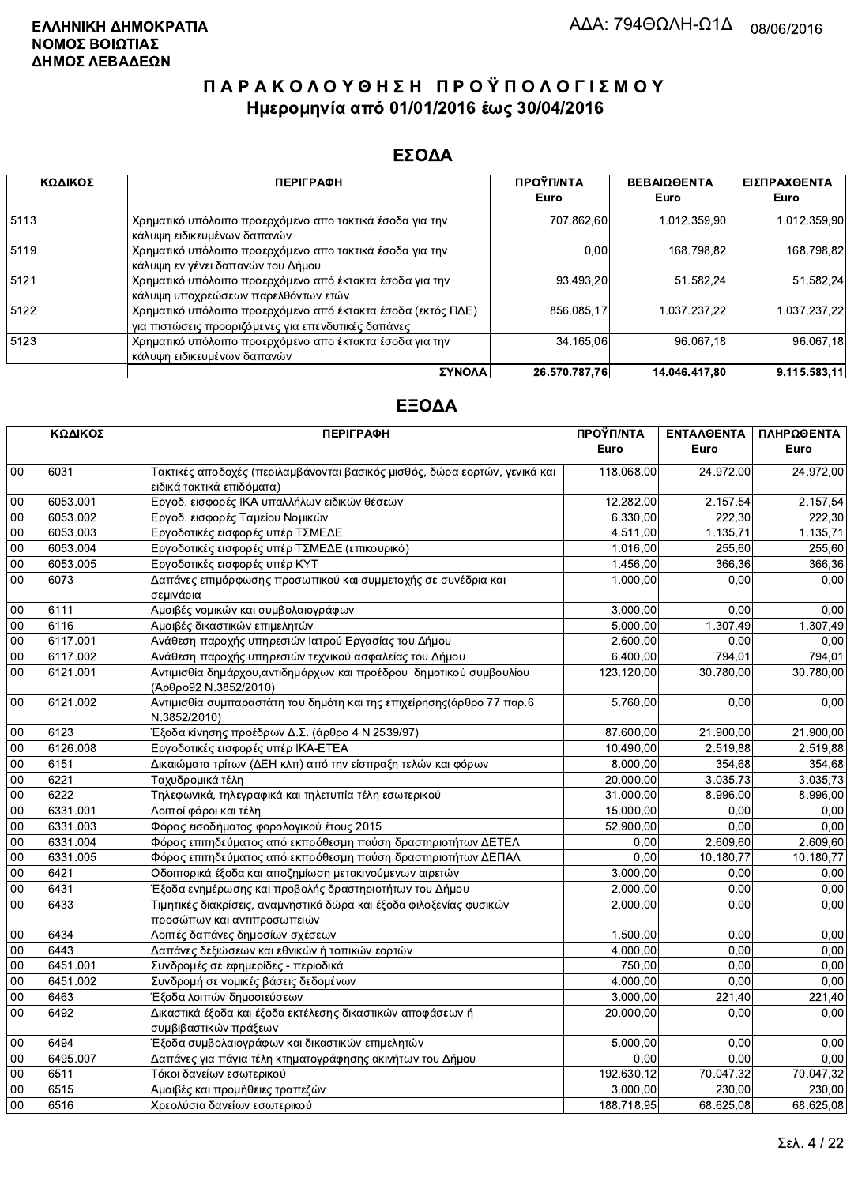### ΕΣΟΔΑ

| ΚΩΔΙΚΟΣ | <b>ПЕРІГРАФН</b>                                                                                                    | ΠΡΟΫΠ/ΝΤΑ<br>Euro | <b>ΒΕΒΑΙΩΘΕΝΤΑ</b><br>Euro | ΕΙΣΠΡΑΧΘΕΝΤΑ<br>Euro |
|---------|---------------------------------------------------------------------------------------------------------------------|-------------------|----------------------------|----------------------|
| 5113    | Χρηματικό υπόλοιπο προερχόμενο απο τακτικά έσοδα για την<br>κάλυψη ειδικευμένων δαπανών                             | 707 862.60        | 1.012.359.90               | 1.012.359,90         |
| 5119    | Χρηματικό υπόλοιπο προερχόμενο απο τακτικά έσοδα για την<br>κάλυψη εν γένει δαπανών του Δήμου                       | 0.00              | 168.798.82                 | 168.798.82           |
| 5121    | Χρηματικό υπόλοιπο προερχόμενο από έκτακτα έσοδα για την<br>κάλυψη υποχρεώσεων παρελθόντων ετών                     | 93.493,20         | 51.582,24                  | 51.582,24            |
| 5122    | Χρηματικό υπόλοιπο προερχόμενο από έκτακτα έσοδα (εκτός ΠΔΕ)<br>για πιστώσεις προοριζόμενες για επενδυτικές δαπάνες | 856 085.17        | 1.037.237.22               | 1.037.237.22         |
| 5123    | Χρηματικό υπόλοιπο προερχόμενο απο έκτακτα έσοδα για την<br>κάλυψη ειδικευμένων δαπανών                             | 34.165.06         | 96.067.18                  | 96.067.18            |
|         | ΣΥΝΟΛΑ                                                                                                              | 26.570.787.76     | 14.046.417.80              | 9.115.583.11         |

|                 | ΚΩΔΙΚΟΣ  | <b>ПЕРІГРАФН</b>                                                                                        | ΠΡΟΫΠ/ΝΤΑ<br>Euro | <b>ENTAAGENTA</b><br>Euro | ΠΛΗΡΩΘΕΝΤΑ<br>Euro |
|-----------------|----------|---------------------------------------------------------------------------------------------------------|-------------------|---------------------------|--------------------|
| 00              | 6031     | Τακτικές αποδοχές (περιλαμβάνονται βασικός μισθός, δώρα εορτών, γενικά και<br>ειδικά τακτικά επιδόματα) | 118.068,00        | 24.972,00                 | 24.972,00          |
| $00\,$          | 6053.001 | Εργοδ. εισφορές ΙΚΑ υπαλλήλων ειδικών θέσεων                                                            | 12.282,00         | 2.157,54                  | 2.157,54           |
| 00              | 6053.002 | Εργοδ. εισφορές Ταμείου Νομικών                                                                         | 6.330.00          | 222,30                    | 222.30             |
| 00              | 6053.003 | Εργοδοτικές εισφορές υπέρ ΤΣΜΕΔΕ                                                                        | 4.511,00          | 1.135,71                  | 1.135,71           |
| 00              | 6053.004 | Εργοδοτικές εισφορές υπέρ ΤΣΜΕΔΕ (επικουρικό)                                                           | 1.016,00          | 255,60                    | 255,60             |
| 00              | 6053.005 | Εργοδοτικές εισφορές υπέρ ΚΥΤ                                                                           | 1.456,00          | 366,36                    | 366,36             |
| 00              | 6073     | Δαπάνες επιμόρφωσης προσωπικού και συμμετοχής σε συνέδρια και<br>σεμινάρια                              | 1.000,00          | 0,00                      | 0,00               |
| 00              | 6111     | Αμοιβές νομικών και συμβολαιογράφων                                                                     | 3.000,00          | 0.00                      | 0,00               |
| $00\,$          | 6116     | Αμοιβές δικαστικών επιμελητών                                                                           | 5.000,00          | 1.307,49                  | 1.307,49           |
| 00              | 6117.001 | Ανάθεση παροχής υπηρεσιών Ιατρού Εργασίας του Δήμου                                                     | 2.600,00          | 0,00                      | 0,00               |
| 00              | 6117.002 | Ανάθεση παροχής υπηρεσιών τεχνικού ασφαλείας του Δήμου                                                  | 6.400,00          | 794,01                    | 794,01             |
| 00              | 6121.001 | Αντιμισθία δημάρχου, αντιδημάρχων και προέδρου δημοτικού συμβουλίου<br>(Άρθρο92 Ν.3852/2010)            | 123.120,00        | 30.780,00                 | 30.780,00          |
| $00\,$          | 6121.002 | Αντιμισθία συμπαραστάτη του δημότη και της επιχείρησης(άρθρο 77 παρ.6<br>N.3852/2010)                   | 5.760,00          | 0,00                      | 0,00               |
| $00\,$          | 6123     | Έξοδα κίνησης προέδρων Δ.Σ. (άρθρο 4 Ν 2539/97)                                                         | 87.600,00         | 21.900,00                 | 21.900,00          |
| 00              | 6126.008 | Εργοδοτικές εισφορές υπέρ ΙΚΑ-ΕΤΕΑ                                                                      | 10.490,00         | 2.519,88                  | 2.519,88           |
| 00              | 6151     | Δικαιώματα τρίτων (ΔΕΗ κλπ) από την είσπραξη τελών και φόρων                                            | 8.000,00          | 354,68                    | 354,68             |
| 00              | 6221     | Ταχυδρομικά τέλη                                                                                        | 20.000,00         | 3.035,73                  | 3.035,73           |
| 00              | 6222     | Τηλεφωνικά, τηλεγραφικά και τηλετυπία τέλη εσωτερικού                                                   | 31.000,00         | 8.996,00                  | 8.996,00           |
| 00              | 6331.001 | Λοιποί φόροι και τέλη                                                                                   | 15.000,00         | 0,00                      | 0,00               |
| 00              | 6331.003 | Φόρος εισοδήματος φορολογικού έτους 2015                                                                | 52.900,00         | 0,00                      | 0.00               |
| $00\,$          | 6331.004 | Φόρος επιτηδεύματος από εκπρόθεσμη παύση δραστηριοτήτων ΔΕΤΕΛ                                           | 0,00              | 2.609,60                  | 2.609,60           |
| $00\,$          | 6331.005 | Φόρος επιτηδεύματος από εκπρόθεσμη παύση δραστηριοτήτων ΔΕΠΑΛ                                           | 0,00              | 10.180,77                 | 10.180,77          |
| $\overline{00}$ | 6421     | Οδοιπορικά έξοδα και αποζημίωση μετακινούμενων αιρετών                                                  | 3.000,00          | 0.00                      | 0,00               |
| 00              | 6431     | Έξοδα ενημέρωσης και προβολής δραστηριοτήτων του Δήμου                                                  | 2.000,00          | 0.00                      | 0,00               |
| 00              | 6433     | Τιμητικές διακρίσεις, αναμνηστικά δώρα και έξοδα φιλοξενίας φυσικών<br>προσώπων και αντιπροσωπειών      | 2.000,00          | 0,00                      | 0,00               |
| 00              | 6434     | Λοιπές δαπάνες δημοσίων σχέσεων                                                                         | 1.500,00          | 0,00                      | 0,00               |
| $00\,$          | 6443     | Δαπάνες δεξιώσεων και εθνικών ή τοπικών εορτών                                                          | 4.000,00          | 0,00                      | 0,00               |
| 00              | 6451.001 | Συνδρομές σε εφημερίδες - περιοδικά                                                                     | 750,00            | 0,00                      | 0,00               |
| 00              | 6451.002 | Συνδρομή σε νομικές βάσεις δεδομένων                                                                    | 4.000,00          | 0,00                      | 0.00               |
| 00              | 6463     | Έξοδα λοιπών δημοσιεύσεων                                                                               | 3.000,00          | 221,40                    | 221,40             |
| 00              | 6492     | Δικαστικά έξοδα και έξοδα εκτέλεσης δικαστικών αποφάσεων ή<br>συμβιβαστικών πράξεων                     | 20.000,00         | 0,00                      | 0,00               |
| $00\,$          | 6494     | Έξοδα συμβολαιογράφων και δικαστικών επιμελητών                                                         | 5.000,00          | 0,00                      | 0,00               |
| 00              | 6495.007 | Δαπάνες για πάγια τέλη κτηματογράφησης ακινήτων του Δήμου                                               | 0,00              | 0,00                      | 0,00               |
| 00              | 6511     | Τόκοι δανείων εσωτερικού                                                                                | 192.630,12        | 70.047,32                 | 70.047,32          |
| 00              | 6515     | Αμοιβές και προμήθειες τραπεζών                                                                         | 3.000,00          | 230,00                    | 230,00             |
| 00              | 6516     | Χρεολύσια δανείων εσωτερικού                                                                            | 188.718,95        | 68.625,08                 | 68.625,08          |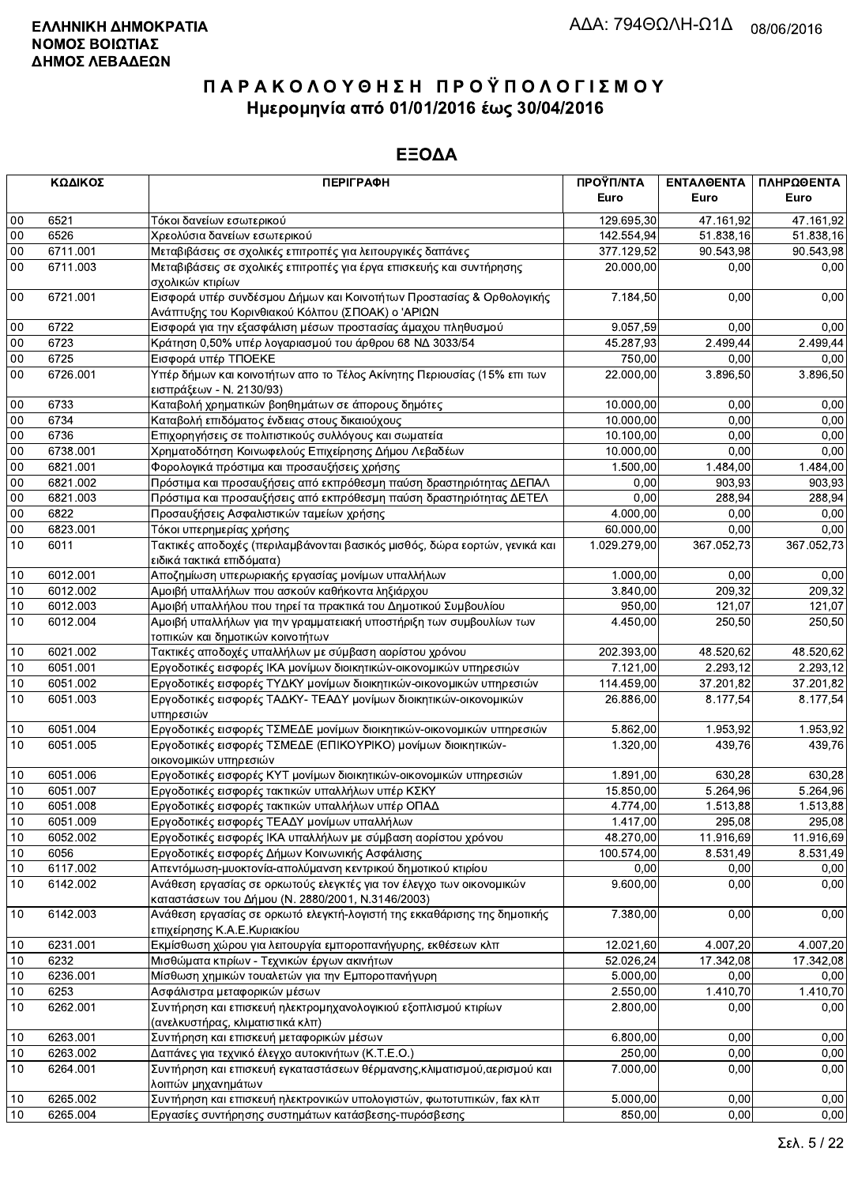|                 | ΚΩΔΙΚΟΣ  | <b>ПЕРІГРАФН</b>                                                                                                          | ΠΡΟΫΠ/ΝΤΑ<br>Euro | ΕΝΤΑΛΘΕΝΤΑ<br>Euro    | ΠΛΗΡΩΘΕΝΤΑ<br>Euro |
|-----------------|----------|---------------------------------------------------------------------------------------------------------------------------|-------------------|-----------------------|--------------------|
| 00              | 6521     | Τόκοι δανείων εσωτερικού                                                                                                  | 129.695,30        | 47.161.92             | 47.161,92          |
| 00              | 6526     | Χρεολύσια δανείων εσωτερικού                                                                                              | 142.554,94        | 51.838,16             | 51.838,16          |
| 00              | 6711.001 | Μεταβιβάσεις σε σχολικές επιτροπές για λειτουργικές δαπάνες                                                               | 377.129,52        | 90.543,98             | 90.543,98          |
| 00              | 6711.003 | Μεταβιβάσεις σε σχολικές επιτροπές για έργα επισκευής και συντήρησης<br>σχολικών κτιρίων                                  | 20.000,00         | 0,00                  | 0,00               |
| 00              | 6721.001 | Εισφορά υπέρ συνδέσμου Δήμων και Κοινοτήτων Προστασίας & Ορθολογικής<br>Ανάπτυξης του Κορινθιακού Κόλπου (ΣΠΟΑΚ) ο 'ΑΡΙΩΝ | 7.184,50          | 0,00                  | 0,00               |
| 00              | 6722     | Εισφορά για την εξασφάλιση μέσων προστασίας άμαχου πληθυσμού                                                              | 9.057,59          | 0,00                  | 0,00               |
| 00              | 6723     | Κράτηση 0,50% υπέρ λογαριασμού του άρθρου 68 ΝΔ 3033/54                                                                   | 45.287,93         | 2.499,44              | 2.499,44           |
| 00              | 6725     | Εισφορά υπέρ ΤΠΟΕΚΕ                                                                                                       | 750,00            | 0,00                  | 0.00               |
| 00              | 6726.001 | Υπέρ δήμων και κοινοτήτων απο το Τέλος Ακίνητης Περιουσίας (15% επι των<br>εισπράξεων - Ν. 2130/93)                       | 22.000,00         | 3.896,50              | 3.896,50           |
| $00\,$          | 6733     | Καταβολή χρηματικών βοηθημάτων σε άπορους δημότες                                                                         | 10.000,00         | 0,00                  | 0,00               |
| 00              | 6734     | Καταβολή επιδόματος ένδειας στους δικαιούχους                                                                             | 10.000,00         | 0.00                  | 0,00               |
| $00\,$          | 6736     | Επιχορηγήσεις σε πολιτιστικούς συλλόγους και σωματεία                                                                     | 10.100,00         | 0,00                  | 0,00               |
| $00\,$          | 6738.001 | Χρηματοδότηση Κοινωφελούς Επιχείρησης Δήμου Λεβαδέων                                                                      | 10.000,00         | 0,00                  | 0,00               |
| 00              | 6821.001 | Φορολογικά πρόστιμα και προσαυξήσεις χρήσης                                                                               | 1.500,00          | 1.484.00              | 1.484,00           |
| $00\,$          | 6821.002 | Πρόστιμα και προσαυξήσεις από εκπρόθεσμη παύση δραστηριότητας ΔΕΠΑΛ                                                       | 0,00              | 903,93                | 903,93             |
| 00              | 6821.003 | Πρόστιμα και προσαυξήσεις από εκπρόθεσμη παύση δραστηριότητας ΔΕΤΕΛ                                                       | 0,00              | 288,94                | 288,94             |
| $00\,$          | 6822     | Προσαυξήσεις Ασφαλιστικών ταμείων χρήσης                                                                                  | 4.000,00          | 0,00                  | 0,00               |
| $00\,$          | 6823.001 | Τόκοι υπερημερίας χρήσης                                                                                                  | 60.000,00         | 0.00                  | 0,00               |
| 10              | 6011     | Τακτικές αποδοχές (περιλαμβάνονται βασικός μισθός, δώρα εορτών, γενικά και<br>ειδικά τακτικά επιδόματα)                   | 1.029.279,00      | 367.052,73            | 367.052,73         |
| $10$            | 6012.001 | Αποζημίωση υπερωριακής εργασίας μονίμων υπαλλήλων                                                                         | 1.000,00          | 0,00                  | 0,00               |
| 10              | 6012.002 | Αμοιβή υπαλλήλων που ασκούν καθήκοντα ληξιάρχου                                                                           | 3.840,00          | 209.32                | 209.32             |
| $10$            | 6012.003 | Αμοιβή υπαλλήλου που τηρεί τα πρακτικά του Δημοτικού Συμβουλίου                                                           | 950,00            | 121,07                | 121,07             |
| 10              | 6012.004 | Αμοιβή υπαλλήλων για την γραμματειακή υποστήριξη των συμβουλίων των<br>τοπικών και δημοτικών κοινοτήτων                   | 4.450,00          | 250,50                | 250,50             |
| $10$            | 6021.002 | Τακτικές αποδοχές υπαλλήλων με σύμβαση αορίστου χρόνου                                                                    | 202.393,00        | 48.520,62             | 48.520,62          |
| 10              | 6051.001 | Εργοδοτικές εισφορές ΙΚΑ μονίμων διοικητικών-οικονομικών υπηρεσιών                                                        | 7.121,00          | 2.293,12              | 2.293,12           |
| $10$            | 6051.002 | Εργοδοτικές εισφορές ΤΥΔΚΥ μονίμων διοικητικών-οικονομικών υπηρεσιών                                                      | 114.459,00        | 37.201,82             | 37.201,82          |
| 10              | 6051.003 | Εργοδοτικές εισφορές ΤΑΔΚΥ- ΤΕΑΔΥ μονίμων διοικητικών-οικονομικών<br>υπηρεσιών                                            | 26.886,00         | 8.177,54              | 8.177,54           |
| 10              | 6051.004 | Εργοδοτικές εισφορές ΤΣΜΕΔΕ μονίμων διοικητικών-οικονομικών υπηρεσιών                                                     | 5.862,00          | $\overline{1.953,92}$ | 1.953,92           |
| 10              | 6051.005 | Εργοδοτικές εισφορές ΤΣΜΕΔΕ (ΕΠΙΚΟΥΡΙΚΟ) μονίμων διοικητικών-<br>οικονομικών υπηρεσιών                                    | 1.320,00          | 439,76                | 439,76             |
| 10              | 6051.006 | Εργοδοτικές εισφορές ΚΥΤ μονίμων διοικητικών-οικονομικών υπηρεσιών                                                        | 1.891,00          | 630,28                | 630,28             |
| $10$            | 6051.007 | Εργοδοτικές εισφορές τακτικών υπαλλήλων υπέρ ΚΣΚΥ                                                                         | 15.850,00         | 5.264,96              | 5.264,96           |
| 10              | 6051.008 | Εργοδοτικές εισφορές τακτικών υπαλλήλων υπέρ ΟΠΑΔ                                                                         | 4.774,00          | 1.513,88              | 1.513,88           |
| $\overline{10}$ | 6051.009 | Εργοδοτικές εισφορές ΤΕΑΔΥ μονίμων υπαλλήλων                                                                              | 1.417,00          | 295,08                | 295,08             |
| 10              | 6052.002 | Εργοδοτικές εισφορές ΙΚΑ υπαλλήλων με σύμβαση αορίστου χρόνου                                                             | 48.270,00         | 11.916,69             | 11.916,69          |
| 10              | 6056     | Εργοδοτικές εισφορές Δήμων Κοινωνικής Ασφάλισης                                                                           | 100.574,00        | 8.531,49              | 8.531,49           |
| 10              | 6117.002 | Απεντόμωση-μυοκτονία-απολύμανση κεντρικού δημοτικού κτιρίου                                                               | 0,00              | 0,00                  | 0,00               |
| 10              | 6142.002 | Ανάθεση εργασίας σε ορκωτούς ελεγκτές για τον έλεγχο των οικονομικών<br>καταστάσεων του Δήμου (Ν. 2880/2001, Ν.3146/2003) | 9.600,00          | 0,00                  | 0,00               |
| $10$            | 6142.003 | Ανάθεση εργασίας σε ορκωτό ελεγκτή-λογιστή της εκκαθάρισης της δημοτικής<br>επιχείρησης Κ.Α.Ε.Κυριακίου                   | 7.380,00          | 0,00                  | 0,00               |
| 10              | 6231.001 | Εκμίσθωση χώρου για λειτουργία εμποροπανήγυρης, εκθέσεων κλπ                                                              | 12.021,60         | 4.007,20              | 4.007.20           |
| $10$            | 6232     | Μισθώματα κτιρίων - Τεχνικών έργων ακινήτων                                                                               | 52.026,24         | 17.342,08             | 17.342,08          |
| 10              | 6236.001 | Μίσθωση χημικών τουαλετών για την Εμποροπανήγυρη                                                                          | 5.000,00          | 0,00                  | 0,00               |
| $10$            | 6253     | Ασφάλιστρα μεταφορικών μέσων                                                                                              | 2.550,00          | 1.410,70              | 1.410,70           |
| 10              | 6262.001 | Συντήρηση και επισκευή ηλεκτρομηχανολογικιού εξοπλισμού κτιρίων<br>(ανελκυστήρας, κλιματιστικά κλπ)                       | 2.800,00          | 0,00                  | 0,00               |
| $10$            | 6263.001 | Συντήρηση και επισκευή μεταφορικών μέσων                                                                                  | 6.800,00          | 0,00                  | 0,00               |
| 10              | 6263.002 | Δαπάνες για τεχνικό έλεγχο αυτοκινήτων (Κ.Τ.Ε.Ο.)                                                                         | 250,00            | 0,00                  | 0,00               |
| 10              | 6264.001 | Συντήρηση και επισκευή εγκαταστάσεων θέρμανσης, κλιματισμού, αερισμού και<br>λοιπών μηχανημάτων                           | 7.000,00          | 0,00                  | 0,00               |
| $10$            | 6265.002 | Συντήρηση και επισκευή ηλεκτρονικών υπολογιστών, φωτοτυπικών, fax κλπ                                                     | 5.000,00          | 0,00                  | 0,00               |
| $10$            | 6265.004 | Εργασίες συντήρησης συστημάτων κατάσβεσης-πυρόσβεσης                                                                      | 850,00            | 0,00                  | 0,00               |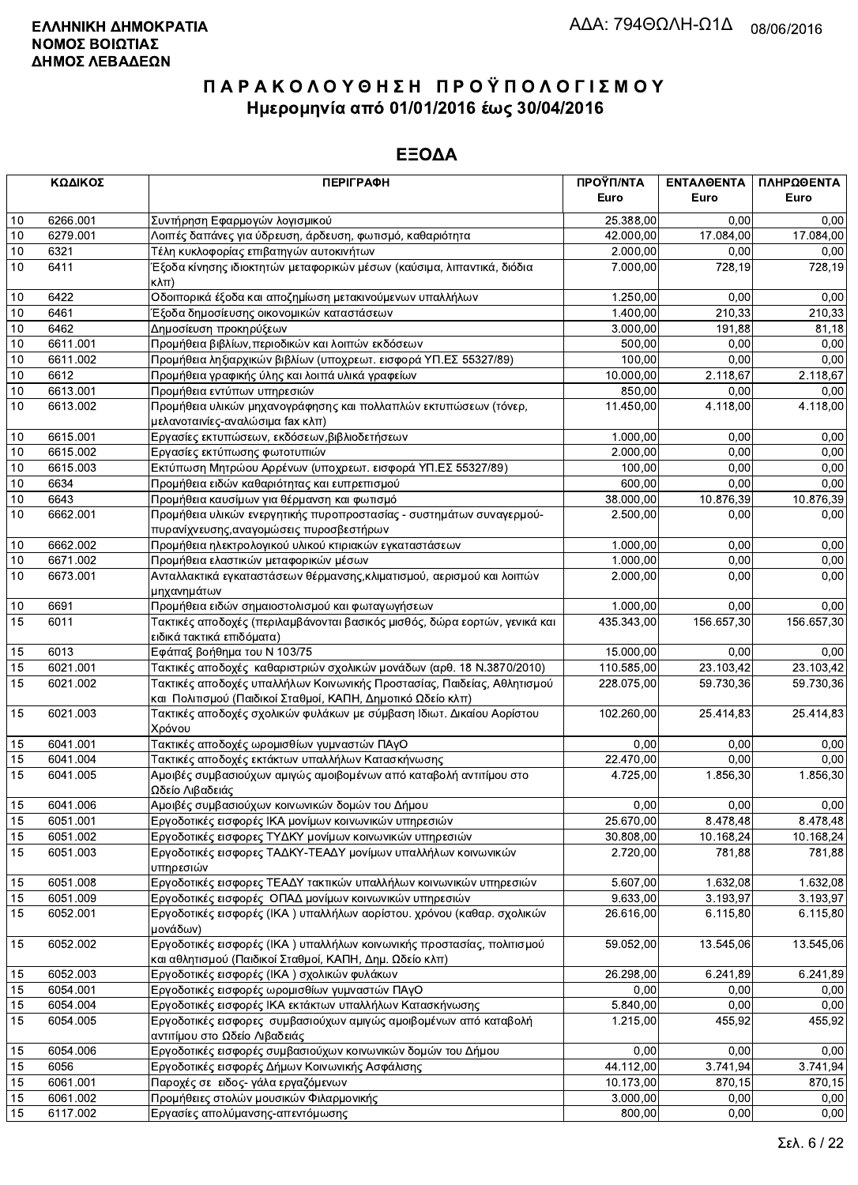|          | ΚΩΔΙΚΟΣ          | <b>ПЕРІГРАФН</b>                                                                                                                       | ΠΡΟΫΠ/ΝΤΑ        | ΕΝΤΑΛΘΕΝΤΑ            | ΠΛΗΡΩΘΕΝΤΑ   |
|----------|------------------|----------------------------------------------------------------------------------------------------------------------------------------|------------------|-----------------------|--------------|
|          |                  |                                                                                                                                        | Euro             | Euro                  | Euro         |
| 10       | 6266.001         | Συντήρηση Εφαρμογών λογισμικού                                                                                                         | 25.388,00        | 0.00                  | 0,00         |
| 10       | 6279.001         | Λοιπές δαπάνες για ύδρευση, άρδευση, φωτισμό, καθαριότητα                                                                              | 42.000,00        | 17.084,00             | 17.084,00    |
| 10       | 6321             | Τέλη κυκλοφορίας επιβατηγών αυτοκινήτων                                                                                                | 2.000,00         | 0,00                  | 0,00         |
| 10       | 6411             | Έξοδα κίνησης ιδιοκτητών μεταφορικών μέσων (καύσιμα, λιπαντικά, διόδια<br>$\kappa\lambda\pi$ )                                         | 7.000.00         | 728,19                | 728,19       |
| 10       | 6422             | Οδοιπορικά έξοδα και αποζημίωση μετακινούμενων υπαλλήλων                                                                               | 1.250,00         | 0,00                  | 0,00         |
| 10       | 6461             | Έξοδα δημοσίευσης οικονομικών καταστάσεων                                                                                              | 1.400,00         | 210,33                | 210,33       |
| 10       | 6462             | Δημοσίευση προκηρύξεων                                                                                                                 | 3.000,00         | 191,88                | 81,18        |
| 10       | 6611.001         | Προμήθεια βιβλίων, περιοδικών και λοιπών εκδόσεων                                                                                      | 500,00           | 0,00                  | 0,00         |
| 10       | 6611.002         | Προμήθεια ληξιαρχικών βιβλίων (υποχρεωτ. εισφορά ΥΠ.ΕΣ 55327/89)                                                                       | 100,00           | 0,00                  | 0,00         |
| 10       | 6612             | Προμήθεια γραφικής ύλης και λοιπά υλικά γραφείων                                                                                       | 10.000,00        | 2.118,67              | 2.118,67     |
| 10       | 6613.001         | Προμήθεια εντύπων υπηρεσιών                                                                                                            | 850,00           | 0,00                  | 0,00         |
| 10       | 6613.002         | Προμήθεια υλικών μηχανογράφησης και πολλαπλών εκτυπώσεων (τόνερ,                                                                       | 11.450,00        | 4.118,00              | 4.118,00     |
|          |                  | μελανοταινίες-αναλώσιμα fax κλπ)                                                                                                       |                  |                       |              |
| 10       | 6615.001         | Εργασίες εκτυπώσεων, εκδόσεων, βιβλιοδετήσεων                                                                                          | 1.000,00         | 0,00                  | 0,00         |
| $10$     | 6615.002         | Εργασίες εκτύπωσης φωτοτυπιών                                                                                                          | 2.000,00         | 0,00                  | 0,00         |
| 10<br>10 | 6615.003<br>6634 | Εκτύπωση Μητρώου Αρρένων (υποχρεωτ. εισφορά ΥΠ.ΕΣ 55327/89)                                                                            | 100,00<br>600,00 | 0,00<br>0,00          | 0,00<br>0,00 |
| 10       | 6643             | Προμήθεια ειδών καθαριότητας και ευπρεπισμού<br>Προμήθεια καυσίμων για θέρμανση και φωτισμό                                            | 38.000,00        | 10.876,39             | 10.876,39    |
| 10       | 6662.001         | Προμήθεια υλικών ενεργητικής πυροπροστασίας - συστημάτων συναγερμού-                                                                   | 2.500,00         | 0,00                  | 0,00         |
|          |                  | πυρανίχνευσης, αναγομώσεις πυροσβεστήρων                                                                                               |                  |                       |              |
| 10       | 6662.002         | Προμήθεια ηλεκτρολογικού υλικού κτιριακών εγκαταστάσεων                                                                                | 1.000,00         | 0,00                  | 0,00         |
| 10       | 6671.002         | Προμήθεια ελαστικών μεταφορικών μέσων                                                                                                  | 1.000,00         | 0,00                  | 0,00         |
| 10       | 6673.001         | Ανταλλακτικά εγκαταστάσεων θέρμανσης, κλιματισμού, αερισμού και λοιπών<br>μηχανημάτων                                                  | 2.000,00         | 0,00                  | 0,00         |
| 10       | 6691             | Προμήθεια ειδών σημαιοστολισμού και φωταγωγήσεων                                                                                       | 1.000,00         | 0,00                  | 0,00         |
| 15       | 6011             | Τακτικές αποδοχές (περιλαμβάνονται βασικός μισθός, δώρα εορτών, γενικά και<br>ειδικά τακτικά επιδόματα)                                | 435.343,00       | 156.657,30            | 156.657,30   |
| 15       | 6013             | Εφάπαξ βοήθημα του Ν 103/75                                                                                                            | 15.000,00        | 0.00                  | 0.00         |
| 15       | 6021.001         | Τακτικές αποδοχές καθαριστριών σχολικών μονάδων (αρθ. 18 Ν.3870/2010)                                                                  | 110.585,00       | 23.103,42             | 23.103,42    |
| 15       | 6021.002         | Τακτικές αποδοχές υπαλλήλων Κοινωνικής Προστασίας, Παιδείας, Αθλητισμού<br>και Πολιτισμού (Παιδικοί Σταθμοί, ΚΑΠΗ, Δημοτικό Ωδείο κλπ) | 228.075,00       | 59.730,36             | 59.730,36    |
| 15       | 6021.003         | Τακτικές αποδοχές σχολικών φυλάκων με σύμβαση Ιδιωτ. Δικαίου Αορίστου<br>Χρόνου                                                        | 102.260,00       | 25.414,83             | 25.414,83    |
| 15       | 6041.001         | Τακτικές αποδοχές ωρομισθίων γυμναστών ΠΑγΟ                                                                                            | 0,00             | 0,00                  | 0,00         |
| 15       | 6041.004         | Τακτικές αποδοχές εκτάκτων υπαλλήλων Κατασκήνωσης                                                                                      | 22.470,00        | 0,00                  | 0,00         |
| 15       | 6041.005         | Αμοιβές συμβασιούχων αμιγώς αμοιβομένων από καταβολή αντιτίμου στο                                                                     | 4.725,00         | $\overline{1.856,30}$ | 1.856,30     |
| 15       | 6041.006         | Ωδείο Λιβαδειάς<br>Αμοιβές συμβασιούχων κοινωνικών δομών του Δήμου                                                                     | 0,00             | 0,00                  | 0,00         |
| 15       | 6051.001         | Εργοδοτικές εισφορές ΙΚΑ μονίμων κοινωνικών υπηρεσιών                                                                                  | 25.670,00        | 8.478,48              | 8.478,48     |
| 15       | 6051.002         | Εργοδοτικές εισφορες ΤΥΔΚΥ μονίμων κοινωνικών υπηρεσιών                                                                                | 30.808,00        | 10.168,24             | 10.168,24    |
| 15       | 6051.003         | Εργοδοτικές εισφορες ΤΑΔΚΥ-ΤΕΑΔΥ μονίμων υπαλλήλων κοινωνικών                                                                          | 2.720,00         | 781,88                | 781,88       |
|          |                  | υπηρεσιών                                                                                                                              |                  |                       |              |
| 15       | 6051.008         | Εργοδοτικές εισφορες ΤΕΑΔΥ τακτικών υπαλλήλων κοινωνικών υπηρεσιών                                                                     | 5.607,00         | 1.632,08              | 1.632,08     |
| 15       | 6051.009         | Εργοδοτικές εισφορές ΟΠΑΔ μονίμων κοινωνικών υπηρεσιών                                                                                 | 9.633,00         | 3.193,97              | 3.193,97     |
| 15       | 6052.001         | Εργοδοτικές εισφορές (ΙΚΑ) υπαλλήλων αορίστου. χρόνου (καθαρ. σχολικών<br>μονάδων)                                                     | 26.616,00        | 6.115,80              | 6.115,80     |
| 15       | 6052.002         | Εργοδοτικές εισφορές (ΙΚΑ) υπαλλήλων κοινωνικής προστασίας, πολιτισμού<br>και αθλητισμού (Παιδικοί Σταθμοί, ΚΑΠΗ, Δημ. Ωδείο κλπ)      | 59.052,00        | 13.545,06             | 13.545,06    |
| 15       | 6052.003         | Εργοδοτικές εισφορές (ΙΚΑ) σχολικών φυλάκων                                                                                            | 26.298,00        | 6.241,89              | 6.241,89     |
| 15       | 6054.001         | Εργοδοτικές εισφορές ωρομισθίων γυμναστών ΠΑγΟ                                                                                         | 0,00             | 0,00                  | 0,00         |
| 15       | 6054.004         | Εργοδοτικές εισφορές ΙΚΑ εκτάκτων υπαλλήλων Κατασκήνωσης                                                                               | 5.840,00         | 0,00                  | 0,00         |
| 15       | 6054.005         | Εργοδοτικές εισφορες συμβασιούχων αμιγώς αμοιβομένων από καταβολή                                                                      | 1.215,00         | 455,92                | 455,92       |
|          |                  | αντιτίμου στο Ωδείο Λιβαδειάς                                                                                                          |                  |                       |              |
| 15       | 6054.006         | Εργοδοτικές εισφορές συμβασιούχων κοινωνικών δομών του Δήμου                                                                           | 0,00             | 0,00                  | 0,00         |
| 15       | 6056             | Εργοδοτικές εισφορές Δήμων Κοινωνικής Ασφάλισης                                                                                        | 44.112,00        | 3.741,94              | 3.741,94     |
| 15       | 6061.001         | Παροχές σε ειδος- γάλα εργαζόμενων                                                                                                     | 10.173,00        | 870,15                | 870,15       |
| 15       | 6061.002         | Προμήθειες στολών μουσικών Φιλαρμονικής                                                                                                | 3.000,00         | 0,00                  | 0,00         |
| 15       | 6117.002         | Εργασίες απολύμανσης-απεντόμωσης                                                                                                       | 800,00           | 0,00                  | 0,00         |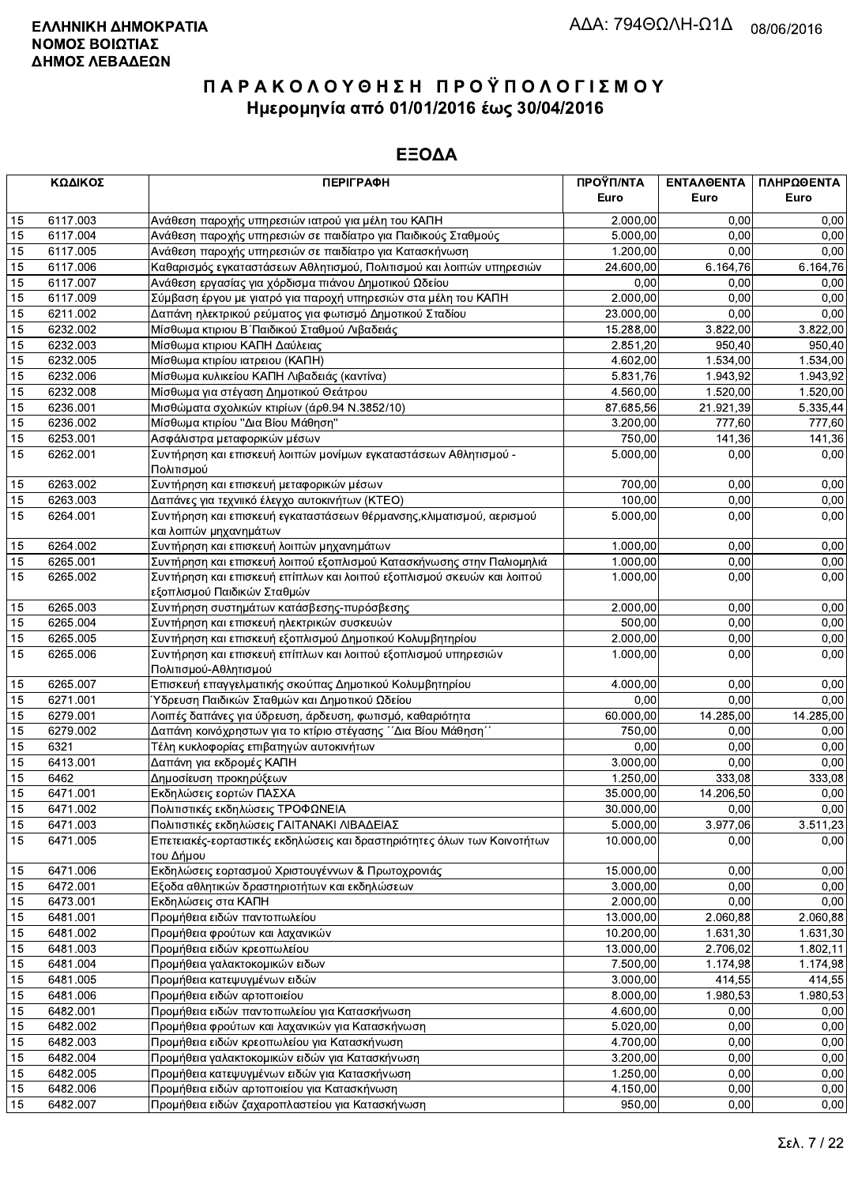|          | ΚΩΔΙΚΟΣ              | <b>ПЕРІГРАФН</b>                                                         | ΠΡΟΫΠ/ΝΤΑ             | ΕΝΤΑΛΘΕΝΤΑ           | ΠΛΗΡΩΘΕΝΤΑ       |
|----------|----------------------|--------------------------------------------------------------------------|-----------------------|----------------------|------------------|
|          |                      |                                                                          | Euro                  | Euro                 | Euro             |
| 15       | 6117.003             | Ανάθεση παροχής υπηρεσιών ιατρού για μέλη του ΚΑΠΗ                       | 2.000,00              | 0.00                 | 0,00             |
| 15       | 6117.004             | Ανάθεση παροχής υπηρεσιών σε παιδίατρο για Παιδικούς Σταθμούς            | 5.000,00              | 0.00                 | 0,00             |
| 15       | 6117.005             | Ανάθεση παροχής υπηρεσιών σε παιδίατρο για Κατασκήνωση                   | 1.200,00              | 0,00                 | 0,00             |
| 15       | 6117.006             | Καθαρισμός εγκαταστάσεων Αθλητισμού, Πολιτισμού και λοιπών υπηρεσιών     | 24.600.00             | 6.164,76             | 6.164,76         |
| 15       | 6117.007             | Ανάθεση εργασίας για χόρδισμα πιάνου Δημοτικού Ωδείου                    | 0,00                  | 0,00                 | 0,00             |
| 15       | 6117.009             | Σύμβαση έργου με γιατρό για παροχή υπηρεσιών στα μέλη του ΚΑΠΗ           | 2.000,00              | 0.00                 | 0,00             |
| 15       | 6211.002             | Δαπάνη ηλεκτρικού ρεύματος για φωτισμό Δημοτικού Σταδίου                 | 23.000,00             | 0,00                 | 0,00             |
| 15       | 6232.002             | Μίσθωμα κτιριου Β΄ Παιδικού Σταθμού Λιβαδειάς                            | 15.288,00             | 3.822,00             | 3.822,00         |
| 15       | 6232.003             | Μίσθωμα κτιριου ΚΑΠΗ Δαύλειας                                            | 2.851,20              | 950,40               | 950,40           |
| 15       | 6232.005             | Μίσθωμα κτιρίου ιατρειου (ΚΑΠΗ)                                          | 4.602,00              | 1.534,00             | 1.534,00         |
| 15       | 6232.006             | Μίσθωμα κυλικείου ΚΑΠΗ Λιβαδειάς (καντίνα)                               | 5.831,76              | 1.943,92             | 1.943,92         |
| 15       | 6232.008             | Μίσθωμα για στέγαση Δημοτικού Θεάτρου                                    | 4.560,00              | 1.520,00             | 1.520,00         |
| 15       | 6236.001             | Μισθώματα σχολικών κτιρίων (άρθ.94 Ν.3852/10)                            | 87.685,56             | 21.921,39            | 5.335,44         |
| 15       | 6236.002             | Μίσθωμα κτιρίου "Δια Βίου Μάθηση"                                        | 3.200,00              | 777,60               | 777,60           |
| 15       | 6253.001             | Ασφάλιστρα μεταφορικών μέσων                                             | 750,00                | 141,36               | 141,36           |
| 15       | 6262.001             | Συντήρηση και επισκευή λοιπών μονίμων εγκαταστάσεων Αθλητισμού -         | 5.000,00              | 0,00                 | 0,00             |
|          |                      | Πολιτισμού                                                               |                       |                      |                  |
| 15       | 6263.002             | Συντήρηση και επισκευή μεταφορικών μέσων                                 | 700,00                | 0,00                 | 0,00             |
| 15       | 6263.003             | Δαπάνες για τεχνιικό έλεγχο αυτοκινήτων (ΚΤΕΟ)                           | 100,00                | 0,00                 | 0,00             |
| 15       | 6264.001             | Συντήρηση και επισκευή εγκαταστάσεων θέρμανσης, κλιματισμού, αερισμού    | 5.000,00              | 0,00                 | 0,00             |
| 15       | 6264.002             | και λοιπών μηχανημάτων<br>Συντήρηση και επισκευή λοιπών μηχανημάτων      | 1.000,00              | 0,00                 | 0,00             |
| 15       | 6265.001             | Συντήρηση και επισκευή λοιπού εξοπλισμού Κατασκήνωσης στην Παλιομηλιά    | 1.000,00              | 0,00                 | 0,00             |
| 15       | 6265.002             | Συντήρηση και επισκευή επίπλων και λοιπού εξοπλισμού σκευών και λοιπού   | 1.000,00              | 0,00                 | 0,00             |
|          |                      | εξοπλισμού Παιδικών Σταθμών                                              |                       |                      |                  |
| 15       | 6265.003             | Συντήρηση συστημάτων κατάσβεσης-πυρόσβεσης                               | 2.000,00              | 0,00                 | 0,00             |
| 15       | 6265.004             | Συντήρηση και επισκευή ηλεκτρικών συσκευών                               | 500,00                | 0.00                 | 0,00             |
| 15       | 6265.005             | Συντήρηση και επισκευή εξοπλισμού Δημοτικού Κολυμβητηρίου                | 2.000,00              | 0,00                 | 0,00             |
| 15       | 6265.006             | Συντήρηση και επισκευή επίπλων και λοιπού εξοπλισμού υπηρεσιών           | 1.000,00              | 0,00                 | 0,00             |
|          |                      | Πολιτισμού-Αθλητισμού                                                    |                       |                      |                  |
| 15       | 6265.007             | Επισκευή επαγγελματικής σκούπας Δημοτικού Κολυμβητηρίου                  | 4.000,00              | 0,00                 | 0,00             |
| 15       | 6271.001             | Ύδρευση Παιδικών Σταθμών και Δημοτικού Ωδείου                            | 0,00                  | 0,00                 | 0,00             |
| 15       | 6279.001             | Λοιπές δαπάνες για ύδρευση, άρδευση, φωτισμό, καθαριότητα                | 60.000,00             | 14.285,00            | 14.285,00        |
| 15       | 6279.002             | Δαπάνη κοινόχρηστων για το κτίριο στέγασης ΄΄Δια Βίου Μάθηση΄΄           | 750,00                | 0,00                 | 0,00             |
| 15       | 6321                 | Τέλη κυκλοφορίας επιβατηγών αυτοκινήτων                                  | 0,00                  | 0,00                 | 0,00             |
| 15       | 6413.001             | Δαπάνη για εκδρομές ΚΑΠΗ                                                 | 3.000,00              | 0,00                 | 0,00             |
| 15       | 6462                 | Δημοσίευση προκηρύξεων                                                   | 1.250,00              | 333,08               | 333,08           |
| 15       | 6471.001             | Εκδηλώσεις εορτών ΠΑΣΧΑ                                                  | 35.000,00             | 14.206,50            | 0,00             |
| 15       | 6471.002             | Πολιτιστικές εκδηλώσεις ΤΡΟΦΩΝΕΙΑ                                        | 30.000,00             | 0,00                 | 0,00             |
| 15       | 6471.003             | Πολιτιστικές εκδηλώσεις ΓΑΙΤΑΝΑΚΙ ΛΙΒΑΔΕΙΑΣ                              | 5.000,00              | 3.977,06             | 3.511,23         |
| 15       | 6471.005             | Επετειακές-εορταστικές εκδηλώσεις και δραστηριότητες όλων των Κοινοτήτων | 10.000,00             | 0,00                 | 0,00             |
|          |                      | του Δήμου                                                                |                       |                      |                  |
| 15       | 6471.006             | Εκδηλώσεις εορτασμού Χριστουγέννων & Πρωτοχρονιάς                        | 15.000,00             | 0,00                 | 0,00             |
| 15       | 6472.001             | Εξοδα αθλητικών δραστηριοτήτων και εκδηλώσεων                            | 3.000,00              | 0.00                 | 0,00             |
| 15       | 6473.001             | Εκδηλώσεις στα ΚΑΠΗ<br>Προμήθεια ειδών παντοπωλείου                      | 2.000,00<br>13.000,00 | 0,00                 | 0,00<br>2.060,88 |
| 15<br>15 | 6481.001<br>6481.002 | Προμήθεια φρούτων και λαχανικών                                          | 10.200,00             | 2.060,88<br>1.631,30 | 1.631,30         |
| 15       | 6481.003             | Προμήθεια ειδών κρεοπωλείου                                              | 13.000,00             | 2.706,02             | 1.802,11         |
| 15       | 6481.004             | Προμήθεια γαλακτοκομικών ειδων                                           | 7.500,00              | 1.174,98             | 1.174.98         |
| 15       | 6481.005             | Προμήθεια κατεψυγμένων ειδών                                             | 3.000,00              | 414,55               | 414,55           |
| 15       | 6481.006             | Προμήθεια ειδών αρτοποιείου                                              | 8.000,00              | 1.980,53             | 1.980,53         |
| 15       | 6482.001             | Προμήθεια ειδών παντοπωλείου για Κατασκήνωση                             | 4.600,00              | 0,00                 | 0,00             |
| 15       | 6482.002             | Προμήθεια φρούτων και λαχανικών για Κατασκήνωση                          | 5.020,00              | 0,00                 | 0,00             |
| 15       | 6482.003             | Προμήθεια ειδών κρεοπωλείου για Κατασκήνωση                              | 4.700,00              | 0,00                 | 0,00             |
| 15       | 6482.004             | Προμήθεια γαλακτοκομικών ειδών για Κατασκήνωση                           | 3.200,00              | 0,00                 | 0,00             |
| 15       | 6482.005             | Προμήθεια κατεψυγμένων ειδών για Κατασκήνωση                             | 1.250,00              | 0,00                 | 0,00             |
| 15       | 6482.006             | Προμήθεια ειδών αρτοποιείου για Κατασκήνωση                              | 4.150,00              | 0,00                 | 0,00             |
| 15       | 6482.007             | Προμήθεια ειδών ζαχαροπλαστείου για Κατασκήνωση                          | 950,00                | 0,00                 | 0,00             |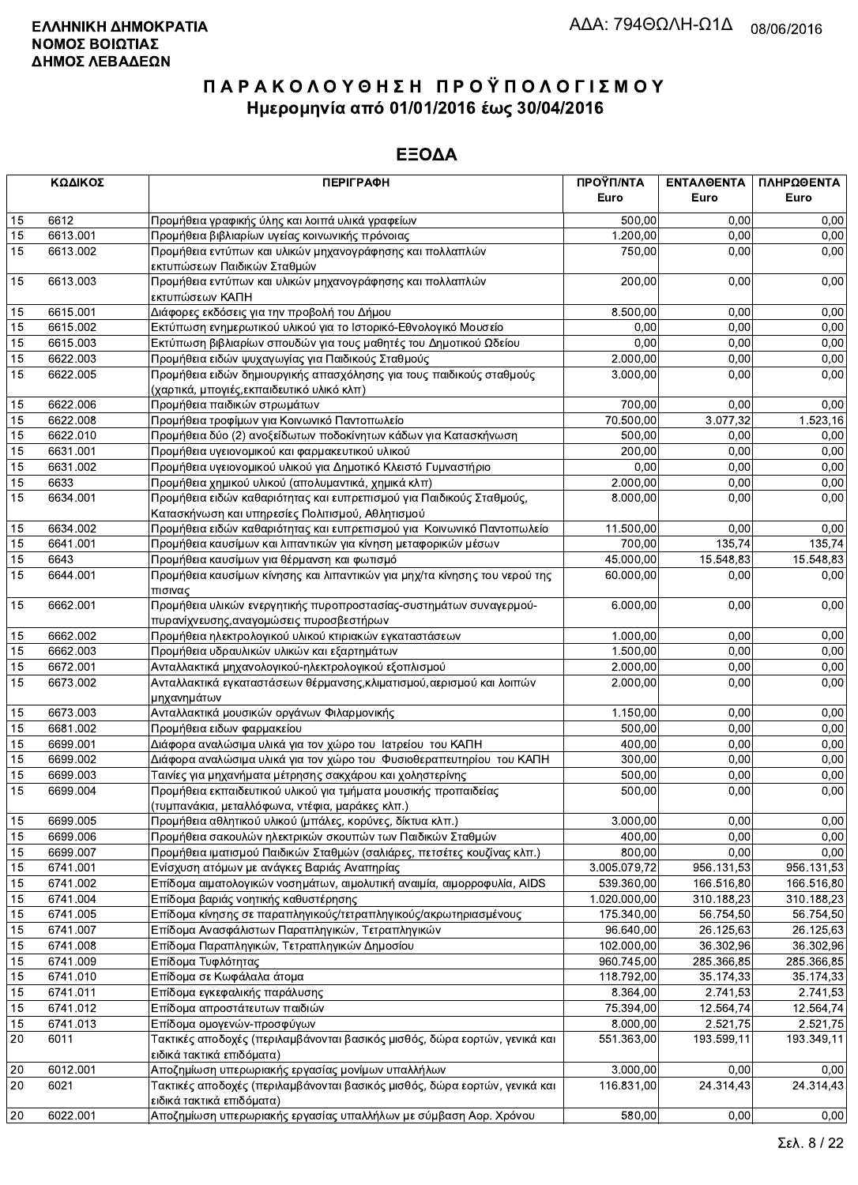|          | ΚΩΔΙΚΟΣ              | <b>ПЕРІГРАФН</b>                                                                                                             | ΠΡΟΫΠ/ΝΤΑ<br>Euro | ΕΝΤΑΛΘΕΝΤΑ<br>Euro | ΠΛΗΡΩΘΕΝΤΑ<br>Euro |
|----------|----------------------|------------------------------------------------------------------------------------------------------------------------------|-------------------|--------------------|--------------------|
|          |                      |                                                                                                                              |                   |                    |                    |
| 15       | 6612                 | Προμήθεια γραφικής ύλης και λοιπά υλικά γραφείων                                                                             | 500,00            | 0.00               | 0,00               |
| 15       | 6613.001             | Προμήθεια βιβλιαρίων υγείας κοινωνικής πρόνοιας                                                                              | 1.200,00          | 0,00               | 0,00               |
| 15       | 6613.002             | Προμήθεια εντύπων και υλικών μηχανογράφησης και πολλαπλών<br>εκτυπώσεων Παιδικών Σταθμών                                     | 750,00            | 0,00               | 0,00               |
| 15       | 6613.003             | Προμήθεια εντύπων και υλικών μηχανογράφησης και πολλαπλών<br>εκτυπώσεων ΚΑΠΗ                                                 | 200,00            | 0,00               | 0,00               |
| 15       | 6615.001             | Διάφορες εκδόσεις για την προβολή του Δήμου                                                                                  | 8.500,00          | 0,00               | 0,00               |
| 15       | 6615.002             | Εκτύπωση ενημερωτικού υλικού για το Ιστορικό-Εθνολογικό Μουσείο                                                              | 0,00              | 0,00               | 0,00               |
| 15       | 6615.003             | Εκτύπωση βιβλιαρίων σπουδών για τους μαθητές του Δημοτικού Ωδείου                                                            | 0,00              | 0,00               | 0,00               |
| 15       | 6622.003             | Προμήθεια ειδών ψυχαγωγίας για Παιδικούς Σταθμούς                                                                            | 2.000,00          | 0,00               | 0,00               |
| 15       | 6622.005             | Προμήθεια ειδών δημιουργικής απασχόλησης για τους παιδικούς σταθμούς<br>(χαρτικά, μπογιές, εκπαιδευτικό υλικό κλπ)           | 3.000,00          | 0,00               | 0,00               |
| 15       | 6622.006             | Προμήθεια παιδικών στρωμάτων                                                                                                 | 700,00            | 0,00               | 0,00               |
| 15       | 6622.008             | Προμήθεια τροφίμων για Κοινωνικό Παντοπωλείο                                                                                 | 70.500,00         | 3.077,32           | 1.523,16           |
| 15       | 6622.010             | Προμήθεια δύο (2) ανοξείδωτων ποδοκίνητων κάδων για Κατασκήνωση                                                              | 500,00            | 0,00               | 0,00               |
| 15       | 6631.001             | Προμήθεια υγειονομικού και φαρμακευτικού υλικού                                                                              | 200,00            | 0,00               | 0,00               |
| 15       | 6631.002             | Προμήθεια υγειονομικού υλικού για Δημοτικό Κλειστό Γυμναστήριο                                                               | 0,00              | 0,00               | 0,00               |
| 15       | 6633                 | Προμήθεια χημικού υλικού (απολυμαντικά, χημικά κλπ)                                                                          | 2.000,00          | 0,00               | 0,00               |
| 15       | 6634.001             | Προμήθεια ειδών καθαριότητας και ευπρεπισμού για Παιδικούς Σταθμούς,                                                         | 8.000,00          | 0,00               | 0,00               |
|          |                      | Κατασκήνωση και υπηρεσίες Πολιτισμού, Αθλητισμού                                                                             |                   |                    |                    |
| 15       | 6634.002             | Προμήθεια ειδών καθαριότητας και ευπρεπισμού για Κοινωνικό Παντοπωλείο                                                       | 11.500,00         | 0,00               | 0,00               |
| 15       | 6641.001             | Προμήθεια καυσίμων και λιπαντικών για κίνηση μεταφορικών μέσων                                                               | 700,00            | 135,74             | 135,74             |
| 15       | 6643                 | Προμήθεια καυσίμων για θέρμανση και φωτισμό                                                                                  | 45.000,00         | 15.548,83          | 15.548,83          |
| 15       | 6644.001             | Προμήθεια καυσίμων κίνησης και λιπαντικών για μηχ/τα κίνησης του νερού της<br>πισινας                                        | 60.000,00         | 0,00               | 0,00               |
| 15       | 6662.001             | Προμήθεια υλικών ενεργητικής πυροπροστασίας-συστημάτων συναγερμού-<br>πυρανίχνευσης, αναγομώσεις πυροσβεστήρων               | 6.000,00          | 0,00               | 0,00               |
| 15       | 6662.002             | Προμήθεια ηλεκτρολογικού υλικού κτιριακών εγκαταστάσεων                                                                      | 1.000,00          | 0,00               | 0,00               |
| 15       | 6662.003             | Προμήθεια υδραυλικών υλικών και εξαρτημάτων                                                                                  | 1.500,00          | 0,00               | 0,00               |
| 15       | 6672.001             | Ανταλλακτικά μηχανολογικού-ηλεκτρολογικού εξοπλισμού                                                                         | 2.000,00          | 0,00               | 0,00               |
| 15       | 6673.002             | Ανταλλακτικά εγκαταστάσεων θέρμανσης, κλιματισμού, αερισμού και λοιπών                                                       | 2.000,00          | 0,00               | 0,00               |
| 15       | 6673.003             | μηχανημάτων<br>Ανταλλακτικά μουσικών οργάνων Φιλαρμονικής                                                                    | 1.150,00          | 0.00               | 0,00               |
| 15       | 6681.002             | Προμήθεια ειδων φαρμακείου                                                                                                   | 500,00            | 0,00               | 0,00               |
| 15       | 6699.001             |                                                                                                                              | 400,00            | 0,00               | 0,00               |
|          |                      | Διάφορα αναλώσιμα υλικά για τον χώρο του Ιατρείου του ΚΑΠΗ                                                                   | 300.00            |                    |                    |
| 15       | 6699.002             | Διάφορα αναλώσιμα υλικά για τον χώρο του Φυσιοθεραπευτηρίου του ΚΑΠΗ                                                         |                   | 0,00               | 0,00               |
| 15<br>15 | 6699.003<br>6699.004 | Ταινίες για μηχανήματα μέτρησης σακχάρου και χοληστερίνης<br>Προμήθεια εκπαιδευτικού υλικού για τμήματα μουσικής προπαιδείας | 500,00<br>500,00  | 0,00<br>0,00       | 0,00<br>0,00       |
|          |                      | (τυμπανάκια, μεταλλόφωνα, ντέφια, μαράκες κλπ.)                                                                              |                   |                    |                    |
| 15       | 6699.005             | Προμήθεια αθλητικού υλικού (μπάλες, κορύνες, δίκτυα κλπ.)                                                                    | 3.000,00          | 0,00               | 0,00               |
| 15       | 6699.006             | Προμήθεια σακουλών ηλεκτρικών σκουπών των Παιδικών Σταθμών                                                                   | 400,00            | 0,00               | 0,00               |
| 15       | 6699.007             | Προμήθεια ιματισμού Παιδικών Σταθμών (σαλιάρες, πετσέτες κουζίνας κλπ.)                                                      | 800,00            | 0,00               | 0,00               |
| 15       | 6741.001             | Ενίσχυση ατόμων με ανάγκες Βαριάς Αναπηρίας                                                                                  | 3.005.079,72      | 956.131,53         | 956.131,53         |
| 15       | 6741.002             | Επίδομα αιματολογικών νοσημάτων, αιμολυτική αναιμία, αιμορροφυλία, AIDS                                                      | 539.360,00        | 166.516,80         | 166.516,80         |
| 15       | 6741.004             | Επίδομα βαριάς νοητικής καθυστέρησης                                                                                         | 1.020.000,00      | 310.188,23         | 310.188,23         |
| 15       | 6741.005             | Επίδομα κίνησης σε παραπληγικούς/τετραπληγικούς/ακρωτηριασμένους                                                             | 175.340,00        | 56.754,50          | 56.754,50          |
| 15       | 6741.007             | Επίδομα Ανασφάλιστων Παραπληγικών, Τετραπληγικών                                                                             | 96.640,00         | 26.125,63          | 26.125,63          |
| 15       | 6741.008             | Επίδομα Παραπληγικών, Τετραπληγικών Δημοσίου                                                                                 | 102.000,00        | 36.302,96          | 36.302,96          |
| 15       | 6741.009             | Επίδομα Τυφλότητας                                                                                                           | 960.745,00        | 285.366,85         | 285.366,85         |
| 15       | 6741.010             | Επίδομα σε Κωφάλαλα άτομα                                                                                                    | 118.792,00        | 35.174,33          | 35.174,33          |
| 15       | 6741.011             | Επίδομα εγκεφαλικής παράλυσης                                                                                                | 8.364,00          | 2.741,53           | 2.741,53           |
| 15       | 6741.012             | Επίδομα απροστάτευτων παιδιών                                                                                                | 75.394,00         | 12.564,74          | 12.564,74          |
| 15       | 6741.013             | Επίδομα ομογενών-προσφύγων                                                                                                   | 8.000,00          | 2.521,75           | 2.521,75           |
| 20       | 6011                 | Τακτικές αποδοχές (περιλαμβάνονται βασικός μισθός, δώρα εορτών, γενικά και<br>ειδικά τακτικά επιδόματα)                      | 551.363,00        | 193.599,11         | 193.349,11         |
| 20       | 6012.001             | Αποζημίωση υπερωριακής εργασίας μονίμων υπαλλήλων                                                                            | 3.000,00          | 0,00               | 0,00               |
| 20       | 6021                 | Τακτικές αποδοχές (περιλαμβάνονται βασικός μισθός, δώρα εορτών, γενικά και                                                   | 116.831,00        | 24.314,43          | 24.314,43          |
|          |                      | ειδικά τακτικά επιδόματα)                                                                                                    |                   |                    |                    |
| 20       | 6022.001             | Αποζημίωση υπερωριακής εργασίας υπαλλήλων με σύμβαση Αορ. Χρόνου                                                             | 580,00            | 0,00               | 0,00               |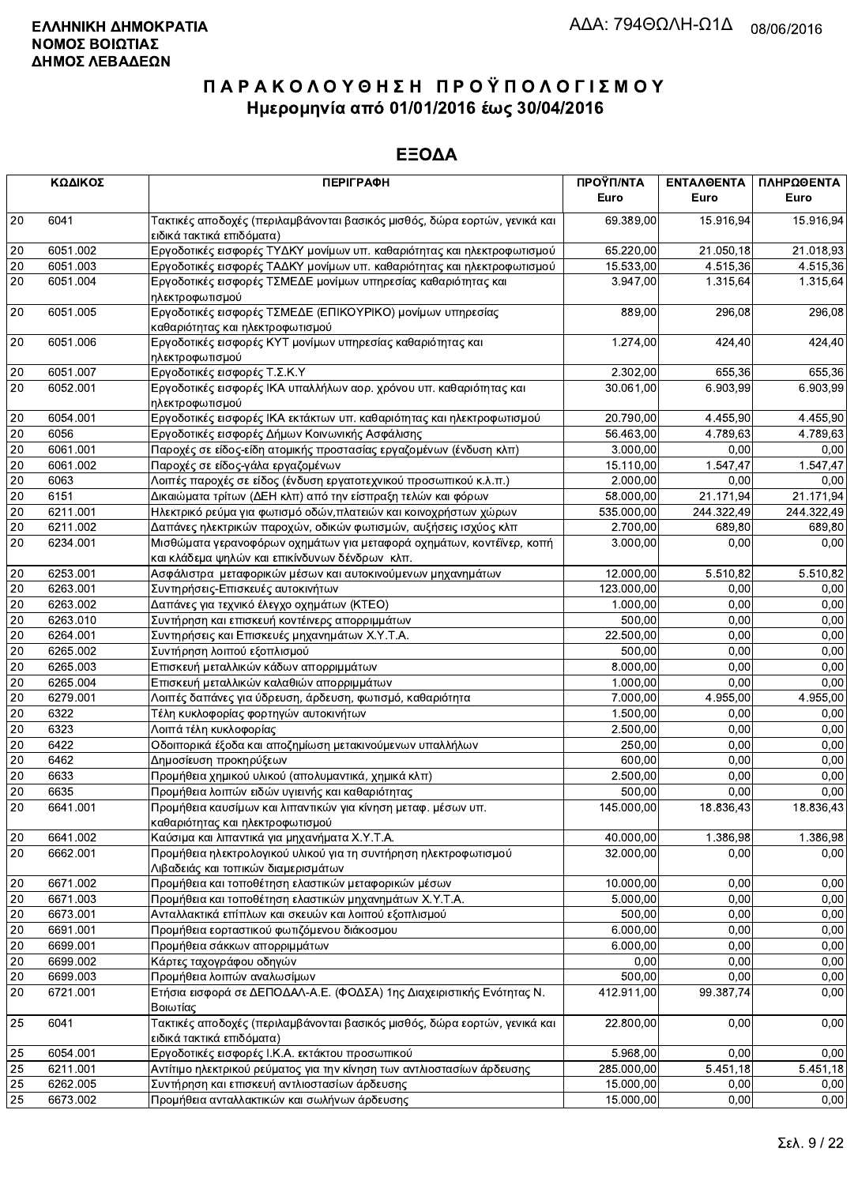|                 | ΚΩΔΙΚΟΣ  | <b>ПЕРІГРАФН</b>                                                                                                        | ΠΡΟΫΠ/ΝΤΑ<br>Euro | ΕΝΤΑΛΘΕΝΤΑ<br>Euro | ΠΛΗΡΩΘΕΝΤΑ<br>Euro |
|-----------------|----------|-------------------------------------------------------------------------------------------------------------------------|-------------------|--------------------|--------------------|
| 20              | 6041     | Τακτικές αποδοχές (περιλαμβάνονται βασικός μισθός, δώρα εορτών, γενικά και<br>ειδικά τακτικά επιδόματα)                 | 69.389,00         | 15.916.94          | 15.916,94          |
| $20\,$          | 6051.002 | Εργοδοτικές εισφορές ΤΥΔΚΥ μονίμων υπ. καθαριότητας και ηλεκτροφωτισμού                                                 | 65.220,00         | 21.050.18          | 21.018,93          |
| 20              | 6051.003 | Εργοδοτικές εισφορές ΤΑΔΚΥ μονίμων υπ. καθαριότητας και ηλεκτροφωτισμού                                                 | 15.533,00         | 4.515,36           | 4.515,36           |
| 20              | 6051.004 | Εργοδοτικές εισφορές ΤΣΜΕΔΕ μονίμων υπηρεσίας καθαριότητας και<br>ηλεκτροφωτισμού                                       | 3.947,00          | 1.315,64           | 1.315,64           |
| 20              | 6051.005 | Εργοδοτικές εισφορές ΤΣΜΕΔΕ (ΕΠΙΚΟΥΡΙΚΟ) μονίμων υπηρεσίας<br>καθαριότητας και ηλεκτροφωτισμού                          | 889,00            | 296,08             | 296,08             |
| 20              | 6051.006 | Εργοδοτικές εισφορές ΚΥΤ μονίμων υπηρεσίας καθαριότητας και<br>ηλεκτροφωτισμού                                          | 1.274,00          | 424,40             | 424,40             |
| 20              | 6051.007 | Εργοδοτικές εισφορές Τ.Σ.Κ.Υ                                                                                            | 2.302,00          | 655,36             | 655,36             |
| 20              | 6052.001 | Εργοδοτικές εισφορές ΙΚΑ υπαλλήλων αορ. χρόνου υπ. καθαριότητας και<br>ηλεκτροφωτισμού                                  | 30.061.00         | 6.903,99           | 6.903,99           |
| 20              | 6054.001 | Εργοδοτικές εισφορές ΙΚΑ εκτάκτων υπ. καθαριότητας και ηλεκτροφωτισμού                                                  | 20.790,00         | 4.455,90           | 4.455,90           |
| $20\,$          | 6056     | Εργοδοτικές εισφορές Δήμων Κοινωνικής Ασφάλισης                                                                         | 56.463,00         | 4.789,63           | 4.789,63           |
| $\overline{20}$ | 6061.001 | Παροχές σε είδος-είδη ατομικής προστασίας εργαζομένων (ένδυση κλπ)                                                      | 3.000,00          | 0.00               | 0,00               |
| 20              | 6061.002 | Παροχές σε είδος-γάλα εργαζομένων                                                                                       | 15.110,00         | 1.547,47           | 1.547,47           |
| 20              | 6063     | Λοιπές παροχές σε είδος (ένδυση εργατοτεχνικού προσωπικού κ.λ.π.)                                                       | 2.000,00          | 0.00               | 0,00               |
| $\overline{20}$ | 6151     | Δικαιώματα τρίτων (ΔΕΗ κλπ) από την είσπραξη τελών και φόρων                                                            | 58.000.00         | 21.171,94          | 21.171,94          |
| $20\,$          | 6211.001 | Ηλεκτρικό ρεύμα για φωτισμό οδών, πλατειών και κοινοχρήστων χώρων                                                       | 535.000,00        | 244.322,49         | 244.322,49         |
| $20\,$          | 6211.002 | Δαπάνες ηλεκτρικών παροχών, οδικών φωτισμών, αυξήσεις ισχύος κλπ                                                        | 2.700,00          | 689,80             | 689,80             |
| 20              | 6234.001 | Μισθώματα γερανοφόρων οχημάτων για μεταφορά οχημάτων, κοντέϊνερ, κοπή<br>και κλάδεμα ψηλών και επικίνδυνων δένδρων κλπ. | 3.000,00          | 0,00               | 0,00               |
| $20\,$          | 6253.001 | Ασφάλιστρα μεταφορικών μέσων και αυτοκινούμενων μηχανημάτων                                                             | 12.000,00         | 5.510,82           | 5.510,82           |
| 20              | 6263.001 | Συντηρήσεις-Επισκευές αυτοκινήτων                                                                                       | 123.000,00        | 0,00               | 0,00               |
| $\overline{20}$ | 6263.002 | Δαπάνες για τεχνικό έλεγχο οχημάτων (ΚΤΕΟ)                                                                              | 1.000,00          | 0,00               | 0,00               |
| $20\,$          | 6263.010 | Συντήρηση και επισκευή κοντέινερς απορριμμάτων                                                                          | 500,00            | 0,00               | 0,00               |
| $20\,$          | 6264.001 | Συντηρήσεις και Επισκευές μηχανημάτων Χ.Υ.Τ.Α.                                                                          | 22.500,00         | 0,00               | 0,00               |
| $20\,$          | 6265.002 | Συντήρηση λοιπού εξοπλισμού                                                                                             | 500,00            | 0,00               | 0,00               |
| $20\,$          | 6265.003 | Επισκευή μεταλλικών κάδων απορριμμάτων                                                                                  | 8.000,00          | 0,00               | 0,00               |
| $\overline{20}$ | 6265.004 | Επισκευή μεταλλικών καλαθιών απορριμμάτων                                                                               | 1.000,00          | 0,00               | 0,00               |
| 20              | 6279.001 | Λοιπές δαπάνες για ύδρευση, άρδευση, φωτισμό, καθαριότητα                                                               | 7.000,00          | 4.955,00           | 4.955,00           |
| 20              | 6322     | Τέλη κυκλοφορίας φορτηγών αυτοκινήτων                                                                                   | 1.500,00          | 0.00               | 0,00               |
| $20\,$          | 6323     | Λοιπά τέλη κυκλοφορίας                                                                                                  | 2.500,00          | 0,00               | 0,00               |
| $20\,$          | 6422     | Οδοιπορικά έξοδα και αποζημίωση μετακινούμενων υπαλλήλων                                                                | 250,00            | 0,00               | 0,00               |
| 20              | 6462     | Δημοσίευση προκηρύξεων                                                                                                  | 600,00            | 0,00               | 0,00               |
| $20\,$          | 6633     | Προμήθεια χημικού υλικού (απολυμαντικά, χημικά κλπ)                                                                     | 2.500,00          | 0,00               | 0,00               |
| 20              | 6635     | Προμήθεια λοιπών ειδών υγιεινής και καθαριότητας                                                                        | 500,00            | 0,00               | 0,00               |
| 20              | 6641.001 | Προμήθεια καυσίμων και λιπαντικών για κίνηση μεταφ. μέσων υπ.<br>καθαριότητας και ηλεκτροφωτισμού                       | 145.000,00        | 18.836,43          | 18.836,43          |
| 20              | 6641.002 | Καύσιμα και λιπαντικά για μηχανήματα Χ.Υ.Τ.Α.                                                                           | 40.000,00         | 1.386,98           | 1.386,98           |
| 20              | 6662.001 | Προμήθεια ηλεκτρολογικού υλικού για τη συντήρηση ηλεκτροφωτισμού<br>Λιβαδειάς και τοπικών διαμερισμάτων                 | 32.000,00         | 0.00               | 0,00               |
| 20              | 6671.002 | Προμήθεια και τοποθέτηση ελαστικών μεταφορικών μέσων                                                                    | 10.000,00         | 0,00               | 0,00               |
| $20\,$          | 6671.003 | Προμήθεια και τοποθέτηση ελαστικών μηχανημάτων Χ.Υ.Τ.Α.                                                                 | 5.000,00          | 0,00               | 0,00               |
| 20              | 6673.001 | Ανταλλακτικά επίπλων και σκευών και λοιπού εξοπλισμού                                                                   | 500,00            | 0,00               | 0,00               |
| 20              | 6691.001 | Προμήθεια εορταστικού φωτιζόμενου διάκοσμου                                                                             | 6.000,00          | 0,00               | 0,00               |
| 20              | 6699.001 | Προμήθεια σάκκων απορριμμάτων                                                                                           | 6.000,00          | 0,00               | 0,00               |
| $20\,$          | 6699.002 | Κάρτες ταχογράφου οδηγών                                                                                                | 0,00              | 0,00               | 0,00               |
| $\overline{20}$ | 6699.003 | Προμήθεια λοιπών αναλωσίμων                                                                                             | 500,00            | 0,00               | 0,00               |
| 20              | 6721.001 | Ετήσια εισφορά σε ΔΕΠΟΔΑΛ-Α.Ε. (ΦΟΔΣΑ) 1ης Διαχειριστικής Ενότητας Ν.<br>Βοιωτίας                                       | 412.911,00        | 99.387,74          | 0,00               |
| 25              | 6041     | Τακτικές αποδοχές (περιλαμβάνονται βασικός μισθός, δώρα εορτών, γενικά και<br>ειδικά τακτικά επιδόματα)                 | 22.800,00         | 0,00               | 0,00               |
| 25              | 6054.001 | Εργοδοτικές εισφορές Ι.Κ.Α. εκτάκτου προσωπικού                                                                         | 5.968,00          | 0,00               | 0,00               |
| 25              | 6211.001 | Αντίτιμο ηλεκτρικού ρεύματος για την κίνηση των αντλιοστασίων άρδευσης                                                  | 285.000,00        | 5.451,18           | 5.451,18           |
| 25              | 6262.005 | Συντήρηση και επισκευή αντλιοστασίων άρδευσης                                                                           | 15.000,00         | 0,00               | 0,00               |
| 25              | 6673.002 | Προμήθεια ανταλλακτικών και σωλήνων άρδευσης                                                                            | 15.000,00         | 0,00               | 0,00               |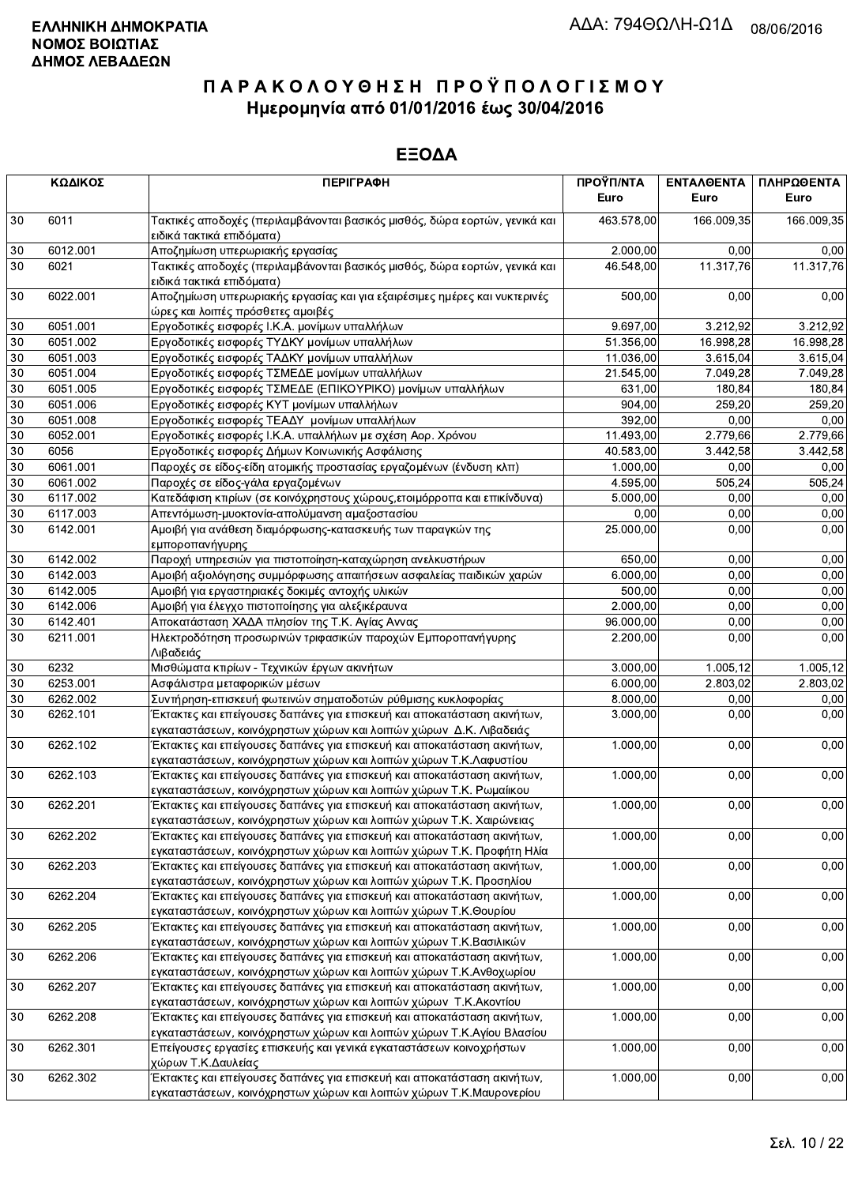|        | ΚΩΔΙΚΟΣ  | <b>ПЕРІГРАФН</b>                                                                                                                                | ΠΡΟΫΠ/ΝΤΑ<br>Euro | ΕΝΤΑΛΘΕΝΤΑ<br>Euro | ΠΛΗΡΩΘΕΝΤΑ<br>Euro |
|--------|----------|-------------------------------------------------------------------------------------------------------------------------------------------------|-------------------|--------------------|--------------------|
| 30     | 6011     | Τακτικές αποδοχές (περιλαμβάνονται βασικός μισθός, δώρα εορτών, γενικά και<br>ειδικά τακτικά επιδόματα)                                         | 463.578,00        | 166.009,35         | 166.009,35         |
| 30     | 6012.001 | Αποζημίωση υπερωριακής εργασίας                                                                                                                 | 2.000,00          | 0.00               | 0,00               |
| 30     | 6021     | Τακτικές αποδοχές (περιλαμβάνονται βασικός μισθός, δώρα εορτών, γενικά και<br>ειδικά τακτικά επιδόματα)                                         | 46.548,00         | 11.317,76          | 11.317,76          |
| 30     | 6022.001 | Αποζημίωση υπερωριακής εργασίας και για εξαιρέσιμες ημέρες και νυκτερινές<br>ώρες και λοιπές πρόσθετες αμοιβές                                  | 500,00            | 0,00               | 0,00               |
| 30     | 6051.001 | Εργοδοτικές εισφορές Ι.Κ.Α. μονίμων υπαλλήλων                                                                                                   | 9.697,00          | 3.212,92           | 3.212,92           |
| 30     | 6051.002 | Εργοδοτικές εισφορές ΤΥΔΚΥ μονίμων υπαλλήλων                                                                                                    | 51.356,00         | 16.998,28          | 16.998.28          |
| 30     | 6051.003 | Εργοδοτικές εισφορές ΤΑΔΚΥ μονίμων υπαλλήλων                                                                                                    | 11.036,00         | 3.615,04           | 3.615,04           |
| 30     | 6051.004 | Εργοδοτικές εισφορές ΤΣΜΕΔΕ μονίμων υπαλλήλων                                                                                                   | 21.545,00         | 7.049,28           | 7.049,28           |
| 30     | 6051.005 | Εργοδοτικές εισφορές ΤΣΜΕΔΕ (ΕΠΙΚΟΥΡΙΚΟ) μονίμων υπαλλήλων                                                                                      | 631,00            | 180,84             | 180,84             |
| 30     | 6051.006 | Εργοδοτικές εισφορές ΚΥΤ μονίμων υπαλλήλων                                                                                                      | 904,00            | 259,20             | 259,20             |
| 30     | 6051.008 | Εργοδοτικές εισφορές ΤΕΑΔΥ μονίμων υπαλλήλων                                                                                                    | 392,00            | 0,00               | 0,00               |
| 30     | 6052.001 | Εργοδοτικές εισφορές Ι.Κ.Α. υπαλλήλων με σχέση Αορ. Χρόνου                                                                                      | 11.493,00         | 2.779,66           | 2.779,66           |
| 30     | 6056     | Εργοδοτικές εισφορές Δήμων Κοινωνικής Ασφάλισης                                                                                                 | 40.583,00         | 3.442,58           | 3.442,58           |
| 30     | 6061.001 | Παροχές σε είδος-είδη ατομικής προστασίας εργαζομένων (ένδυση κλπ)                                                                              | 1.000,00          | 0,00               | 0,00               |
| 30     | 6061.002 | Παροχές σε είδος-γάλα εργαζομένων                                                                                                               | 4.595,00          | 505,24             | 505,24             |
| 30     | 6117.002 | Κατεδάφιση κτιρίων (σε κοινόχρηστους χώρους, ετοιμόρροπα και επικίνδυνα)                                                                        | 5.000,00          | 0,00               | 0,00               |
| 30     | 6117.003 | Απεντόμωση-μυοκτονία-απολύμανση αμαξοστασίου                                                                                                    | 0,00              | 0.00               | 0,00               |
| 30     | 6142.001 | Αμοιβή για ανάθεση διαμόρφωσης-κατασκευής των παραγκών της<br>εμποροπανήγυρης                                                                   | 25.000,00         | 0,00               | 0,00               |
| 30     | 6142.002 | Παροχή υπηρεσιών για πιστοποίηση-καταχώρηση ανελκυστήρων                                                                                        | 650,00            | 0,00               | 0,00               |
| 30     | 6142.003 | Αμοιβή αξιολόγησης συμμόρφωσης απαιτήσεων ασφαλείας παιδικών χαρών                                                                              | 6.000,00          | 0,00               | 0,00               |
| 30     | 6142.005 | Αμοιβή για εργαστηριακές δοκιμές αντοχής υλικών                                                                                                 | 500,00            | 0,00               | 0,00               |
| 30     | 6142.006 | Αμοιβή για έλεγχο πιστοποίησης για αλεξικέραυνα                                                                                                 | 2.000,00          | 0,00               | 0,00               |
| 30     | 6142.401 | Αποκατάσταση ΧΑΔΑ πλησίον της Τ.Κ. Αγίας Αννας                                                                                                  | 96.000,00         | 0.00               | 0,00               |
| 30     | 6211.001 | Ηλεκτροδότηση προσωρινών τριφασικών παροχών Εμποροπανήγυρης<br>Λιβαδειάς                                                                        | 2.200,00          | 0,00               | 0,00               |
| $30\,$ | 6232     | Μισθώματα κτιρίων - Τεχνικών έργων ακινήτων                                                                                                     | 3.000,00          | 1.005,12           | 1.005,12           |
| 30     | 6253.001 | Ασφάλιστρα μεταφορικών μέσων                                                                                                                    | 6.000,00          | 2.803,02           | 2.803,02           |
| 30     | 6262.002 | Συντήρηση-επισκευή φωτεινών σηματοδοτών ρύθμισης κυκλοφορίας                                                                                    | 8.000,00          | 0,00               | 0,00               |
| 30     | 6262.101 | Έκτακτες και επείγουσες δαπάνες για επισκευή και αποκατάσταση ακινήτων,<br>εγκαταστάσεων, κοινόχρηστων χώρων και λοιπών χώρων Δ.Κ. Λιβαδειάς    | 3.000,00          | 0,00               | 0,00               |
| 30     | 6262.102 | Έκτακτες και επείγουσες δαπάνες για επισκευή και αποκατάσταση ακινήτων,<br>εγκαταστάσεων, κοινόχρηστων χώρων και λοιπών χώρων Τ.Κ.Λαφυστίου     | 1.000,00          | 0,00               | 0,00               |
| 30     | 6262.103 | Έκτακτες και επείγουσες δαπάνες για επισκευή και αποκατάσταση ακινήτων,<br>εγκαταστάσεων, κοινόχρηστων χώρων και λοιπών χώρων Τ.Κ. Ρωμαίικου    | 1.000,00          | 0,00               | 0,00               |
| 30     | 6262.201 | Έκτακτες και επείγουσες δαπάνες για επισκευή και αποκατάσταση ακινήτων,<br>εγκαταστάσεων, κοινόχρηστων χώρων και λοιπών χώρων Τ.Κ. Χαιρώνειας   | 1.000,00          | 0,00               | 0,00               |
| $30\,$ | 6262.202 | Έκτακτες και επείγουσες δαπάνες για επισκευή και αποκατάσταση ακινήτων,<br>εγκαταστάσεων, κοινόχρηστων χώρων και λοιπών χώρων Τ.Κ. Προφήτη Ηλία | 1.000,00          | 0,00               | 0,00               |
| 30     | 6262.203 | Έκτακτες και επείγουσες δαπάνες για επισκευή και αποκατάσταση ακινήτων,<br>εγκαταστάσεων, κοινόχρηστων χώρων και λοιπών χώρων Τ.Κ. Προσηλίου    | 1.000,00          | 0,00               | 0,00               |
| 30     | 6262.204 | Έκτακτες και επείγουσες δαπάνες για επισκευή και αποκατάσταση ακινήτων,<br>εγκαταστάσεων, κοινόχρηστων χώρων και λοιπών χώρων Τ.Κ.Θουρίου       | 1.000,00          | 0,00               | 0,00               |
| 30     | 6262.205 | Έκτακτες και επείγουσες δαπάνες για επισκευή και αποκατάσταση ακινήτων,<br>εγκαταστάσεων, κοινόχρηστων χώρων και λοιπών χώρων Τ.Κ.Βασιλικών     | 1.000,00          | 0,00               | 0,00               |
| 30     | 6262.206 | Έκτακτες και επείγουσες δαπάνες για επισκευή και αποκατάσταση ακινήτων,<br>εγκαταστάσεων, κοινόχρηστων χώρων και λοιπών χώρων Τ.Κ.Ανθοχωρίου    | 1.000,00          | 0,00               | 0,00               |
| 30     | 6262.207 | Έκτακτες και επείγουσες δαπάνες για επισκευή και αποκατάσταση ακινήτων,<br>εγκαταστάσεων, κοινόχρηστων χώρων και λοιπών χώρων Τ.Κ.Ακοντίου      | 1.000,00          | 0,00               | 0,00               |
| 30     | 6262.208 | Έκτακτες και επείγουσες δαπάνες για επισκευή και αποκατάσταση ακινήτων,<br>εγκαταστάσεων, κοινόχρηστων χώρων και λοιπών χώρων Τ.Κ.Αγίου Βλασίου | 1.000,00          | 0,00               | 0,00               |
| 30     | 6262.301 | Επείγουσες εργασίες επισκευής και γενικά εγκαταστάσεων κοινοχρήστων<br>χώρων Τ.Κ.Δαυλείας                                                       | 1.000,00          | 0,00               | 0,00               |
| 30     | 6262.302 | Έκτακτες και επείγουσες δαπάνες για επισκευή και αποκατάσταση ακινήτων,<br>εγκαταστάσεων, κοινόχρηστων χώρων και λοιπών χώρων Τ.Κ.Μαυρονερίου   | 1.000,00          | 0,00               | 0,00               |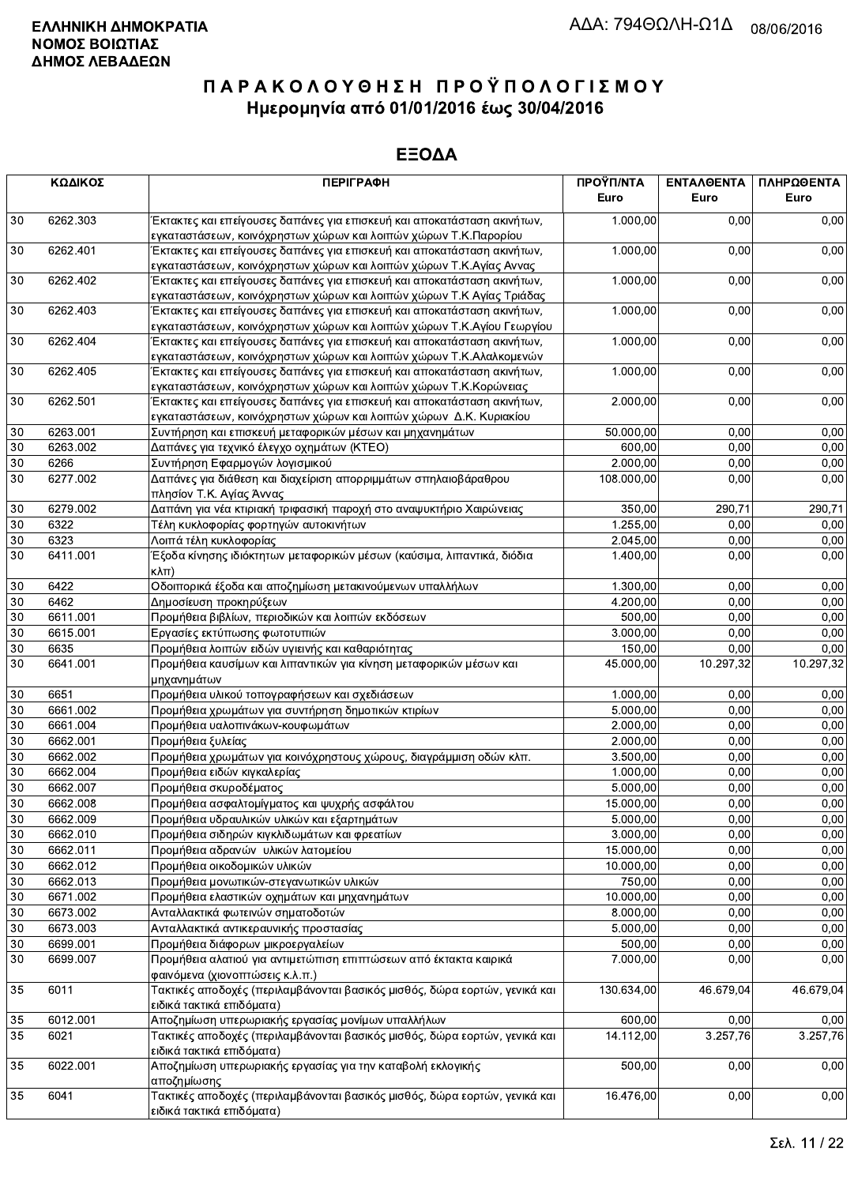|                           | ΚΩΔΙΚΟΣ              | <b>ПЕРІГРАФН</b>                                                                                                                              | ΠΡΟΫΠ/ΝΤΑ<br>Euro     | ΕΝΤΑΛΘΕΝΤΑ<br>Euro | ΠΛΗΡΩΘΕΝΤΑ<br>Euro |
|---------------------------|----------------------|-----------------------------------------------------------------------------------------------------------------------------------------------|-----------------------|--------------------|--------------------|
| 30                        | 6262.303             | Έκτακτες και επείγουσες δαπάνες για επισκευή και αποκατάσταση ακινήτων,                                                                       | 1.000,00              | 0,00               | 0,00               |
| 30                        | 6262.401             | εγκαταστάσεων, κοινόχρηστων χώρων και λοιπών χώρων Τ.Κ.Παρορίου<br>Έκτακτες και επείγουσες δαπάνες για επισκευή και αποκατάσταση ακινήτων,    | 1.000,00              | 0,00               | 0,00               |
|                           |                      | εγκαταστάσεων, κοινόχρηστων χώρων και λοιπών χώρων Τ.Κ.Αγίας Αννας                                                                            |                       |                    |                    |
| 30                        | 6262.402             | Έκτακτες και επείγουσες δαπάνες για επισκευή και αποκατάσταση ακινήτων,                                                                       | 1.000,00              | 0,00               | 0,00               |
|                           |                      | εγκαταστάσεων, κοινόχρηστων χώρων και λοιπών χώρων Τ.Κ Αγίας Τριάδας                                                                          |                       |                    |                    |
| 30                        | 6262.403             | Έκτακτες και επείγουσες δαπάνες για επισκευή και αποκατάσταση ακινήτων,                                                                       | 1.000,00              | 0,00               | 0,00               |
|                           | 6262.404             | εγκαταστάσεων, κοινόχρηστων χώρων και λοιπών χώρων Τ.Κ.Αγίου Γεωργίου                                                                         |                       | 0,00               |                    |
| 30                        |                      | Έκτακτες και επείγουσες δαπάνες για επισκευή και αποκατάσταση ακινήτων,<br>εγκαταστάσεων, κοινόχρηστων χώρων και λοιπών χώρων Τ.Κ.Αλαλκομενών | 1.000,00              |                    | 0,00               |
| 30                        | 6262.405             | Έκτακτες και επείγουσες δαπάνες για επισκευή και αποκατάσταση ακινήτων,                                                                       | 1.000,00              | 0,00               | 0,00               |
|                           |                      | εγκαταστάσεων, κοινόχρηστων χώρων και λοιπών χώρων Τ.Κ.Κορώνειας                                                                              |                       |                    |                    |
| 30                        | 6262.501             | Έκτακτες και επείγουσες δαπάνες για επισκευή και αποκατάσταση ακινήτων,                                                                       | 2.000,00              | 0,00               | 0,00               |
|                           |                      | εγκαταστάσεων, κοινόχρηστων χώρων και λοιπών χώρων Δ.Κ. Κυριακίου                                                                             |                       |                    |                    |
| $30\,$                    | 6263.001             | Συντήρηση και επισκευή μεταφορικών μέσων και μηχανημάτων                                                                                      | 50.000,00             | 0.00               | 0,00               |
| 30                        | 6263.002             | Δαπάνες για τεχνικό έλεγχο οχημάτων (ΚΤΕΟ)                                                                                                    | 600,00                | 0,00               | 0,00               |
| 30                        | 6266                 | Συντήρηση Εφαρμογών λογισμικού                                                                                                                | 2.000,00              | 0,00               | 0,00               |
| 30                        | 6277.002             | Δαπάνες για διάθεση και διαχείριση απορριμμάτων σπηλαιοβάραθρου                                                                               | 108.000,00            | 0,00               | 0,00               |
|                           |                      | πλησίον Τ.Κ. Αγίας Άννας                                                                                                                      |                       |                    |                    |
| $30\,$                    | 6279.002<br>6322     | Δαπάνη για νέα κτιριακή τριφασική παροχή στο αναψυκτήριο Χαιρώνειας                                                                           | 350,00                | 290,71             | 290,71             |
| 30<br>$30\,$              | 6323                 | Τέλη κυκλοφορίας φορτηγών αυτοκινήτων<br>Λοιπά τέλη κυκλοφορίας                                                                               | 1.255,00<br>2.045,00  | 0,00<br>0,00       | 0,00<br>0,00       |
| 30                        | 6411.001             | Έξοδα κίνησης ιδιόκτητων μεταφορικών μέσων (καύσιμα, λιπαντικά, διόδια                                                                        | 1.400,00              | 0,00               | 0,00               |
|                           |                      | $\kappa\lambda\pi$ )                                                                                                                          |                       |                    |                    |
| $30\,$                    | 6422                 | Οδοιπορικά έξοδα και αποζημίωση μετακινούμενων υπαλλήλων                                                                                      | 1.300,00              | 0,00               | 0,00               |
| 30                        | 6462                 | Δημοσίευση προκηρύξεων                                                                                                                        | 4.200,00              | 0,00               | 0,00               |
| 30                        | 6611.001             | Προμήθεια βιβλίων, περιοδικών και λοιπών εκδόσεων                                                                                             | 500,00                | 0,00               | 0,00               |
| 30                        | 6615.001             | Εργασίες εκτύπωσης φωτοτυπιών                                                                                                                 | 3.000,00              | 0,00               | 0,00               |
| $30\,$                    | 6635                 | Προμήθεια λοιπών ειδών υγιεινής και καθαριότητας                                                                                              | 150,00                | 0,00               | 0,00               |
| 30                        | 6641.001             | Προμήθεια καυσίμων και λιπαντικών για κίνηση μεταφορικών μέσων και<br>μηχανημάτων                                                             | 45.000,00             | 10.297,32          | 10.297,32          |
| 30                        | 6651                 | Προμήθεια υλικού τοπογραφήσεων και σχεδιάσεων                                                                                                 | 1.000,00              | 0,00               | 0,00               |
| $30\,$                    | 6661.002             | Προμήθεια χρωμάτων για συντήρηση δημοτικών κτιρίων                                                                                            | 5.000,00              | 0,00               | 0,00               |
| $\overline{30}$           | 6661.004             | Προμήθεια υαλοπινάκων-κουφωμάτων                                                                                                              | 2.000,00              | 0,00               | 0,00               |
| 30                        | 6662.001             | Προμήθεια ξυλείας                                                                                                                             | 2.000,00              | 0,00               | 0,00               |
| 30                        | 6662.002             | Προμήθεια χρωμάτων για κοινόχρηστους χώρους, διαγράμμιση οδών κλπ.                                                                            | 3.500,00              | 0,00               | 0,00               |
| 30                        | 6662.004             | Προμήθεια ειδών κιγκαλερίας                                                                                                                   | 1.000.00              | 0,00               | 0,00               |
| $30\,$<br>$\overline{30}$ | 6662.007<br>6662.008 | Προμήθεια σκυροδέματος                                                                                                                        | 5.000,00              | 0,00               | 0,00               |
| $\overline{30}$           | 6662.009             | Προμήθεια ασφαλτομίγματος και ψυχρής ασφάλτου<br>Προμήθεια υδραυλικών υλικών και εξαρτημάτων                                                  | 15.000,00<br>5.000,00 | 0.00<br>0,00       | 0,00<br>0,00       |
| 30                        | 6662.010             | Προμήθεια σιδηρών κιγκλιδωμάτων και φρεατίων                                                                                                  | 3.000,00              | 0,00               | 0,00               |
| 30                        | 6662.011             | Προμήθεια αδρανών υλικών λατομείου                                                                                                            | 15.000,00             | 0,00               | 0,00               |
| 30                        | 6662.012             | Προμήθεια οικοδομικών υλικών                                                                                                                  | 10.000,00             | 0,00               | 0,00               |
| 30                        | 6662.013             | Προμήθεια μονωτικών-στεγανωτικών υλικών                                                                                                       | 750,00                | 0,00               | 0,00               |
| 30                        | 6671.002             | Προμήθεια ελαστικών οχημάτων και μηχανημάτων                                                                                                  | 10.000,00             | 0,00               | 0,00               |
| 30                        | 6673.002             | Ανταλλακτικά φωτεινών σηματοδοτών                                                                                                             | 8.000,00              | 0,00               | 0,00               |
| 30                        | 6673.003             | Ανταλλακτικά αντικεραυνικής προστασίας                                                                                                        | 5.000,00              | 0,00               | 0,00               |
| 30                        | 6699.001             | Προμήθεια διάφορων μικροεργαλείων                                                                                                             | 500,00                | 0,00               | 0,00               |
| 30                        | 6699.007             | Προμήθεια αλατιού για αντιμετώπιση επιπτώσεων από έκτακτα καιρικά                                                                             | 7.000,00              | 0,00               | 0,00               |
|                           |                      | φαινόμενα (χιονοπτώσεις κ.λ.π.)                                                                                                               |                       |                    |                    |
| 35                        | 6011                 | Τακτικές αποδοχές (περιλαμβάνονται βασικός μισθός, δώρα εορτών, γενικά και<br>ειδικά τακτικά επιδόματα)                                       | 130.634,00            | 46.679,04          | 46.679,04          |
| 35                        | 6012.001             | Αποζημίωση υπερωριακής εργασίας μονίμων υπαλλήλων                                                                                             | 600,00                | 0,00               | 0,00               |
| 35                        | 6021                 | Τακτικές αποδοχές (περιλαμβάνονται βασικός μισθός, δώρα εορτών, γενικά και                                                                    | 14.112,00             | 3.257,76           | 3.257,76           |
|                           |                      | ειδικά τακτικά επιδόματα)                                                                                                                     |                       |                    |                    |
| 35                        | 6022.001             | Αποζημίωση υπερωριακής εργασίας για την καταβολή εκλογικής<br>αποζημίωσης                                                                     | 500,00                | 0,00               | 0,00               |
| 35                        | 6041                 | Τακτικές αποδοχές (περιλαμβάνονται βασικός μισθός, δώρα εορτών, γενικά και<br>ειδικά τακτικά επιδόματα)                                       | 16.476,00             | 0,00               | 0,00               |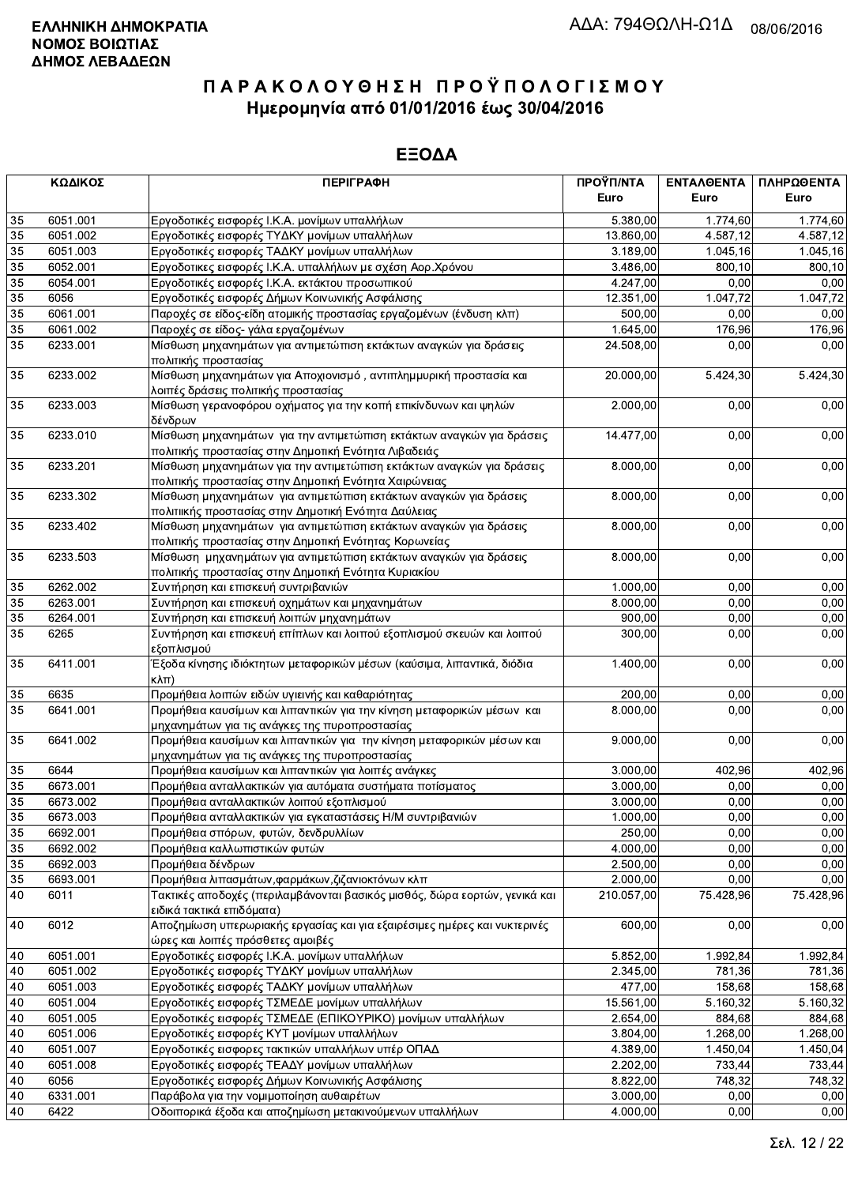|                 | ΚΩΔΙΚΟΣ          | <b>ПЕРІГРАФН</b>                                                                                                               | ΠΡΟΫΠ/ΝΤΑ<br>Euro    | ΕΝΤΑΛΘΕΝΤΑ<br>Euro | ΠΛΗΡΩΘΕΝΤΑ<br>Euro |
|-----------------|------------------|--------------------------------------------------------------------------------------------------------------------------------|----------------------|--------------------|--------------------|
| 35              | 6051.001         | Εργοδοτικές εισφορές Ι.Κ.Α. μονίμων υπαλλήλων                                                                                  | 5.380,00             | 1.774,60           | 1.774,60           |
| 35              | 6051.002         | Εργοδοτικές εισφορές ΤΥΔΚΥ μονίμων υπαλλήλων                                                                                   | 13.860,00            | 4.587,12           | 4.587,12           |
| 35              | 6051.003         | Εργοδοτικές εισφορές ΤΑΔΚΥ μονίμων υπαλλήλων                                                                                   | 3.189,00             | 1.045, 16          | 1.045,16           |
| 35              | 6052.001         | Εργοδοτικες εισφορές Ι.Κ.Α. υπαλλήλων με σχέση Αορ.Χρόνου                                                                      | 3.486,00             | 800,10             | 800,10             |
| 35              | 6054.001         | Εργοδοτικές εισφορές Ι.Κ.Α. εκτάκτου προσωπικού                                                                                | 4.247,00             | 0,00               | 0,00               |
| 35              | 6056             | Εργοδοτικές εισφορές Δήμων Κοινωνικής Ασφάλισης                                                                                | 12.351,00            | 1.047,72           | 1.047,72           |
| 35              | 6061.001         | Παροχές σε είδος-είδη ατομικής προστασίας εργαζομένων (ένδυση κλπ)                                                             | 500,00               | 0,00               | 0,00               |
| 35              | 6061.002         | Παροχές σε είδος- γάλα εργαζομένων                                                                                             | 1.645,00             | 176,96             | 176,96             |
| $\overline{35}$ | 6233.001         | Μίσθωση μηχανημάτων για αντιμετώπιση εκτάκτων αναγκών για δράσεις<br>πολιτικής προστασίας                                      | 24.508,00            | 0.00               | 0,00               |
| 35              | 6233.002         | Μίσθωση μηχανημάτων για Αποχιονισμό, αντιπλημμυρική προστασία και<br>λοιπές δράσεις πολιτικής προστασίας                       | 20.000,00            | 5.424,30           | 5.424,30           |
| 35              | 6233.003         | Μίσθωση γερανοφόρου οχήματος για την κοπή επικίνδυνων και ψηλών<br>δένδρων                                                     | 2.000,00             | 0,00               | 0,00               |
| 35              | 6233.010         | Μίσθωση μηχανημάτων για την αντιμετώπιση εκτάκτων αναγκών για δράσεις<br>πολιτικής προστασίας στην Δημοτική Ενότητα Λιβαδειάς  | 14.477,00            | 0,00               | 0,00               |
| 35              | 6233.201         | Μίσθωση μηχανημάτων για την αντιμετώπιση εκτάκτων αναγκών για δράσεις<br>πολιτικής προστασίας στην Δημοτική Ενότητα Χαιρώνειας | 8.000,00             | 0,00               | 0,00               |
| 35              | 6233.302         | Μίσθωση μηχανημάτων για αντιμετώπιση εκτάκτων αναγκών για δράσεις<br>πολιτιικής προστασίας στην Δημοτική Ενότητα Δαύλειας      | 8.000,00             | 0,00               | 0,00               |
| 35              | 6233.402         | Μίσθωση μηχανημάτων για αντιμετώπιση εκτάκτων αναγκών για δράσεις<br>πολιτικής προστασίας στην Δημοτική Ενότητας Κορωνείας     | 8.000,00             | 0,00               | 0,00               |
| 35              | 6233.503         | Μίσθωση μηχανημάτων για αντιμετώπιση εκτάκτων αναγκών για δράσεις<br>πολιτικής προστασίας στην Δημοτική Ενότητα Κυριακίου      | 8.000,00             | 0,00               | 0,00               |
| 35              | 6262.002         | Συντήρηση και επισκευή συντριβανιών                                                                                            | 1.000,00             | 0,00               | 0,00               |
| 35              | 6263.001         | Συντήρηση και επισκευή οχημάτων και μηχανημάτων                                                                                | 8.000,00             | 0,00               | 0,00               |
| 35              | 6264.001         | Συντήρηση και επισκευή λοιπών μηχανημάτων                                                                                      | 900,00               | 0,00               | 0,00               |
| 35              | 6265             | Συντήρηση και επισκευή επίπλων και λοιπού εξοπλισμού σκευών και λοιπού<br>εξοπλισμού                                           | 300,00               | 0,00               | 0,00               |
| 35              | 6411.001         | Έξοδα κίνησης ιδιόκτητων μεταφορικών μέσων (καύσιμα, λιπαντικά, διόδια<br>$\kappa\lambda\pi$ )                                 | 1.400,00             | 0,00               | 0,00               |
| 35              | 6635             | Προμήθεια λοιπών ειδών υγιεινής και καθαριότητας                                                                               | 200,00               | 0,00               | 0,00               |
| 35              | 6641.001         | Προμήθεια καυσίμων και λιπαντικών για την κίνηση μεταφορικών μέσων και<br>μηχανημάτων για τις ανάγκες της πυροπροστασίας       | 8.000,00             | 0,00               | 0,00               |
| 35              | 6641.002         | Προμήθεια καυσίμων και λιπαντικών για την κίνηση μεταφορικών μέσων και<br>μηχανημάτων για τις ανάγκες της πυροπροστασίας       | 9.000,00             | 0,00               | 0,00               |
| 35              | 6644             | Προμήθεια καυσίμων και λιπαντικών για λοιπές ανάγκες                                                                           | 3.000,00             | 402,96             | 402,96             |
| $\overline{35}$ | 6673.001         | Προμήθεια ανταλλακτικών για αυτόματα συστήματα ποτίσματος                                                                      | 3.000,00             | 0,00               | 0,00               |
| 35              | 6673.002         | Προμήθεια ανταλλακτικών λοιπού εξοπλισμού                                                                                      | 3.000,00             | 0,00               | 0,00               |
| 35              | 6673.003         | Προμήθεια ανταλλακτικών για εγκαταστάσεις Η/Μ συντριβανιών                                                                     | 1.000,00             | 0,00               | 0,00               |
| 35              | 6692.001         | Προμήθεια σπόρων, φυτών, δενδρυλλίων                                                                                           | 250,00               | 0,00               | 0,00               |
| 35              | 6692.002         | Προμήθεια καλλωπιστικών φυτών                                                                                                  | 4.000,00             | 0,00               | 0,00               |
| 35              | 6692.003         | Προμήθεια δένδρων                                                                                                              | 2.500,00             | 0,00               | 0,00               |
| 35              | 6693.001         | Προμήθεια λιπασμάτων, φαρμάκων, ζιζανιοκτόνων κλπ                                                                              | 2.000,00             | 0,00               | 0,00               |
| 40              | 6011             | Τακτικές αποδοχές (περιλαμβάνονται βασικός μισθός, δώρα εορτών, γενικά και<br>ειδικά τακτικά επιδόματα)                        | 210.057,00           | 75.428,96          | 75.428,96          |
| 40              | 6012             | Αποζημίωση υπερωριακής εργασίας και για εξαιρέσιμες ημέρες και νυκτερινές<br>ώρες και λοιπές πρόσθετες αμοιβές                 | 600,00               | 0,00               | 0,00               |
| 40              | 6051.001         | Εργοδοτικές εισφορές Ι.Κ.Α. μονίμων υπαλλήλων                                                                                  | 5.852,00             | 1.992,84           | 1.992,84           |
| 40              | 6051.002         | Εργοδοτικές εισφορές ΤΥΔΚΥ μονίμων υπαλλήλων                                                                                   | 2.345,00             | 781,36             | 781,36             |
| 40              | 6051.003         | Εργοδοτικές εισφορές ΤΑΔΚΥ μονίμων υπαλλήλων                                                                                   | 477,00               | 158,68             | 158,68             |
| $40\,$          | 6051.004         | Εργοδοτικές εισφορές ΤΣΜΕΔΕ μονίμων υπαλλήλων                                                                                  | 15.561,00            | 5.160,32           | 5.160,32           |
| 40              | 6051.005         | Εργοδοτικές εισφορές ΤΣΜΕΔΕ (ΕΠΙΚΟΥΡΙΚΟ) μονίμων υπαλλήλων                                                                     | 2.654,00             | 884,68             | 884,68             |
| 40              | 6051.006         | Εργοδοτικές εισφορές ΚΥΤ μονίμων υπαλλήλων                                                                                     | 3.804,00             | 1.268,00           | 1.268,00           |
| 40              | 6051.007         | Εργοδοτικές εισφορες τακτικών υπαλλήλων υπέρ ΟΠΑΔ                                                                              | 4.389,00             | 1.450,04           | 1.450,04           |
| 40<br>40        | 6051.008<br>6056 | Εργοδοτικές εισφορές ΤΕΑΔΥ μονίμων υπαλλήλων<br>Εργοδοτικές εισφορές Δήμων Κοινωνικής Ασφάλισης                                | 2.202,00<br>8.822,00 | 733,44<br>748,32   | 733,44<br>748,32   |
| 40              | 6331.001         | Παράβολα για την νομιμοποίηση αυθαιρέτων                                                                                       | 3.000,00             | 0,00               | 0,00               |
| 40              | 6422             | Οδοιπορικά έξοδα και αποζημίωση μετακινούμενων υπαλλήλων                                                                       | 4.000,00             | 0,00               | 0,00               |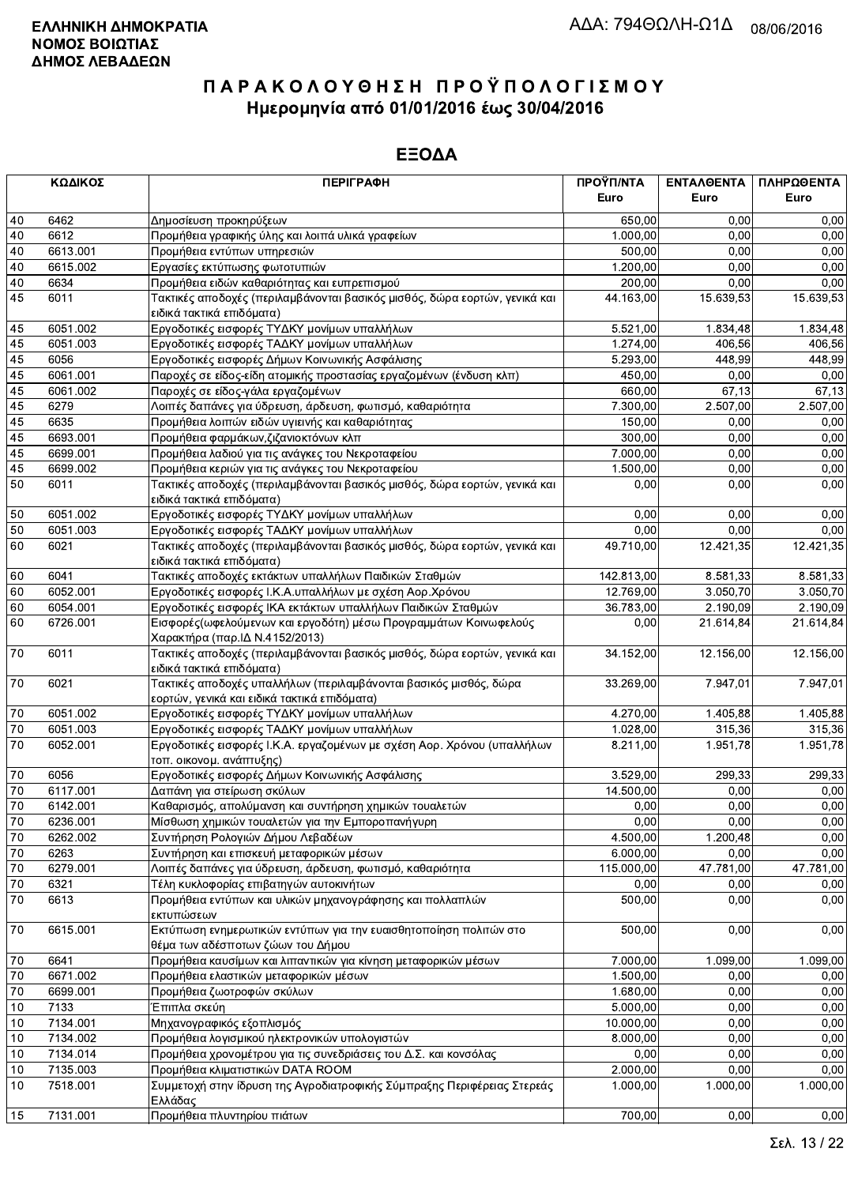|              | ΚΩΔΙΚΟΣ  | <b>ПЕРІГРАФН</b>                                                                                                  | ΠΡΟΫΠ/ΝΤΑ<br>Euro      | ΕΝΤΑΛΘΕΝΤΑ<br>Euro | ΠΛΗΡΩΘΕΝΤΑ<br>Euro |
|--------------|----------|-------------------------------------------------------------------------------------------------------------------|------------------------|--------------------|--------------------|
| 40           | 6462     | Δημοσίευση προκηρύξεων                                                                                            | 650,00                 | 0.00               | 0,00               |
| 40           | 6612     | Προμήθεια γραφικής ύλης και λοιπά υλικά γραφείων                                                                  | 1.000,00               | 0,00               | 0,00               |
| 40           | 6613.001 | Προμήθεια εντύπων υπηρεσιών                                                                                       | 500,00                 | 0,00               | 0,00               |
| 40           | 6615.002 | Εργασίες εκτύπωσης φωτοτυπιών                                                                                     | 1.200,00               | 0,00               | 0,00               |
| 40           | 6634     | Προμήθεια ειδών καθαριότητας και ευπρεπισμού                                                                      | 200,00                 | 0,00               | 0,00               |
| 45           | 6011     | Τακτικές αποδοχές (περιλαμβάνονται βασικός μισθός, δώρα εορτών, γενικά και                                        | 44.163,00              | 15.639,53          | 15.639,53          |
|              |          | ειδικά τακτικά επιδόματα)                                                                                         |                        |                    |                    |
| 45           | 6051.002 | Εργοδοτικές εισφορές ΤΥΔΚΥ μονίμων υπαλλήλων                                                                      | 5.521,00               | 1.834,48           | 1.834,48           |
| 45           | 6051.003 | Εργοδοτικές εισφορές ΤΑΔΚΥ μονίμων υπαλλήλων                                                                      | $\overline{1}$ .274,00 | 406,56             | 406,56             |
| 45           | 6056     | Εργοδοτικές εισφορές Δήμων Κοινωνικής Ασφάλισης                                                                   | 5.293,00               | 448.99             | 448,99             |
| 45           | 6061.001 | Παροχές σε είδος-είδη ατομικής προστασίας εργαζομένων (ένδυση κλπ)                                                | 450,00                 | 0,00               | 0,00               |
| 45           | 6061.002 | Παροχές σε είδος-γάλα εργαζομένων                                                                                 | 660,00                 | 67,13              | 67,13              |
| 45           | 6279     | Λοιπές δαπάνες για ύδρευση, άρδευση, φωτισμό, καθαριότητα                                                         | 7.300,00               | 2.507,00           | 2.507,00           |
| 45           | 6635     | Προμήθεια λοιπών ειδών υγιεινής και καθαριότητας                                                                  | 150,00                 | 0,00               | 0,00               |
| 45           | 6693.001 | Προμήθεια φαρμάκων, ζιζανιοκτόνων κλπ                                                                             | 300,00                 | 0,00               | 0,00               |
| 45           | 6699.001 | Προμήθεια λαδιού για τις ανάγκες του Νεκροταφείου                                                                 | 7.000,00               | 0,00               | 0,00               |
| 45           | 6699.002 | Προμήθεια κεριών για τις ανάγκες του Νεκροταφείου                                                                 | 1.500,00               | 0,00               | 0,00               |
| 50           | 6011     | Τακτικές αποδοχές (περιλαμβάνονται βασικός μισθός, δώρα εορτών, γενικά και                                        | 0,00                   | 0,00               | 0,00               |
|              |          | ειδικά τακτικά επιδόματα)                                                                                         |                        |                    |                    |
| 50           | 6051.002 | Εργοδοτικές εισφορές ΤΥΔΚΥ μονίμων υπαλλήλων                                                                      | 0,00                   | 0,00               | 0,00               |
| 50           | 6051.003 | Εργοδοτικές εισφορές ΤΑΔΚΥ μονίμων υπαλλήλων                                                                      | 0,00                   | 0,00               | 0,00               |
| 60           | 6021     | Τακτικές αποδοχές (περιλαμβάνονται βασικός μισθός, δώρα εορτών, γενικά και                                        | 49.710,00              | 12.421,35          | 12.421,35          |
|              |          | ειδικά τακτικά επιδόματα)                                                                                         |                        |                    |                    |
| 60           | 6041     | Τακτικές αποδοχές εκτάκτων υπαλλήλων Παιδικών Σταθμών                                                             | 142.813,00             | 8.581,33           | 8.581,33           |
| 60           | 6052.001 | Εργοδοτικές εισφορές Ι.Κ.Α.υπαλλήλων με σχέση Αορ.Χρόνου                                                          | 12.769,00              | 3.050,70           | 3.050,70           |
| 60           | 6054.001 | Εργοδοτικές εισφορές ΙΚΑ εκτάκτων υπαλλήλων Παιδικών Σταθμών                                                      | 36.783,00              | 2.190,09           | 2.190,09           |
| 60           | 6726.001 | Εισφορές (ωφελούμενων και εργοδότη) μέσω Προγραμμάτων Κοινωφελούς<br>Χαρακτήρα (παρ. ΙΔ Ν.4152/2013)              | 0,00                   | 21.614,84          | 21.614,84          |
| 70           | 6011     | Τακτικές αποδοχές (περιλαμβάνονται βασικός μισθός, δώρα εορτών, γενικά και<br>ειδικά τακτικά επιδόματα)           | 34.152,00              | 12.156,00          | 12.156,00          |
| 70           | 6021     | Τακτικές αποδοχές υπαλλήλων (περιλαμβάνονται βασικός μισθός, δώρα<br>εορτών, γενικά και ειδικά τακτικά επιδόματα) | 33.269,00              | 7.947,01           | 7.947,01           |
| 70           | 6051.002 | Εργοδοτικές εισφορές ΤΥΔΚΥ μονίμων υπαλλήλων                                                                      | 4.270,00               | 1.405.88           | 1.405,88           |
| $70\,$       | 6051.003 | Εργοδοτικές εισφορές ΤΑΔΚΥ μονίμων υπαλλήλων                                                                      | 1.028,00               | 315,36             | 315,36             |
| 70           | 6052.001 | Εργοδοτικές εισφορές Ι.Κ.Α. εργαζομένων με σχέση Αορ. Χρόνου (υπαλλήλων<br>τοπ. οικονομ. ανάπτυξης)               | 8.211,00               | 1.951,78           | 1.951,78           |
| 70           | 6056     | Εργοδοτικές εισφορές Δήμων Κοινωνικής Ασφάλισης                                                                   | 3.529,00               | 299,33             | 299,33             |
| $70\,$       | 6117.001 | Δαπάνη για στείρωση σκύλων                                                                                        | 14.500,00              | 0,00               | 0,00               |
| 70           | 6142.001 | Καθαρισμός, απολύμανση και συντήρηση χημικών τουαλετών                                                            | 0,00                   | 0,00               | 0,00               |
| $\boxed{70}$ | 6236.001 | Μίσθωση χημικών τουαλετών για την Εμποροπανήγυρη                                                                  | 0,00                   | 0,00               | 0,00               |
| 70           | 6262.002 | Συντήρηση Ρολογιών Δήμου Λεβαδέων                                                                                 | 4.500,00               | 1.200,48           | 0,00               |
| 70           | 6263     | Συντήρηση και επισκευή μεταφορικών μέσων                                                                          | 6.000,00               | 0,00               | 0,00               |
| 70           | 6279.001 | Λοιπές δαπάνες για ύδρευση, άρδευση, φωτισμό, καθαριότητα                                                         | 115.000,00             | 47.781,00          | 47.781,00          |
| 70           | 6321     | Τέλη κυκλοφορίας επιβατηγών αυτοκινήτων                                                                           | 0,00                   | 0,00               | 0,00               |
| 70           | 6613     | Προμήθεια εντύπων και υλικών μηχανογράφησης και πολλαπλών<br>εκτυπώσεων                                           | 500,00                 | 0,00               | 0,00               |
| 70           | 6615.001 | Εκτύπωση ενημερωτικών εντύπων για την ευαισθητοποίηση πολιτών στο<br>θέμα των αδέσποτων ζώων του Δήμου            | 500,00                 | 0,00               | 0,00               |
| 70           | 6641     | Προμήθεια καυσίμων και λιπαντικών για κίνηση μεταφορικών μέσων                                                    | 7.000,00               | 1.099,00           | 1.099,00           |
| 70           | 6671.002 | Προμήθεια ελαστικών μεταφορικών μέσων                                                                             | 1.500,00               | 0,00               | 0,00               |
| 70           | 6699.001 | Προμήθεια ζωοτροφών σκύλων                                                                                        | 1.680,00               | 0,00               | 0,00               |
| 10           | 7133     | Έπιπλα σκεύη                                                                                                      | 5.000,00               | 0,00               | 0,00               |
| 10           | 7134.001 | Μηχανογραφικός εξοπλισμός                                                                                         | 10.000,00              | 0,00               | 0,00               |
| 10           | 7134.002 | Προμήθεια λογισμικού ηλεκτρονικών υπολογιστών                                                                     | 8.000,00               | 0,00               | 0,00               |
| 10           | 7134.014 | Προμήθεια χρονομέτρου για τις συνεδριάσεις του Δ.Σ. και κονσόλας                                                  | 0,00                   | 0,00               | 0,00               |
| 10           | 7135.003 | Προμήθεια κλιματιστικών DATA ROOM                                                                                 | 2.000,00               | 0,00               | 0,00               |
| 10           | 7518.001 | Συμμετοχή στην ίδρυση της Αγροδιατροφικής Σύμπραξης Περιφέρειας Στερεάς<br>Ελλάδας                                | 1.000,00               | 1.000,00           | 1.000,00           |
| 15           | 7131.001 | Προμήθεια πλυντηρίου πιάτων                                                                                       | 700,00                 | 0.00               | 0.00               |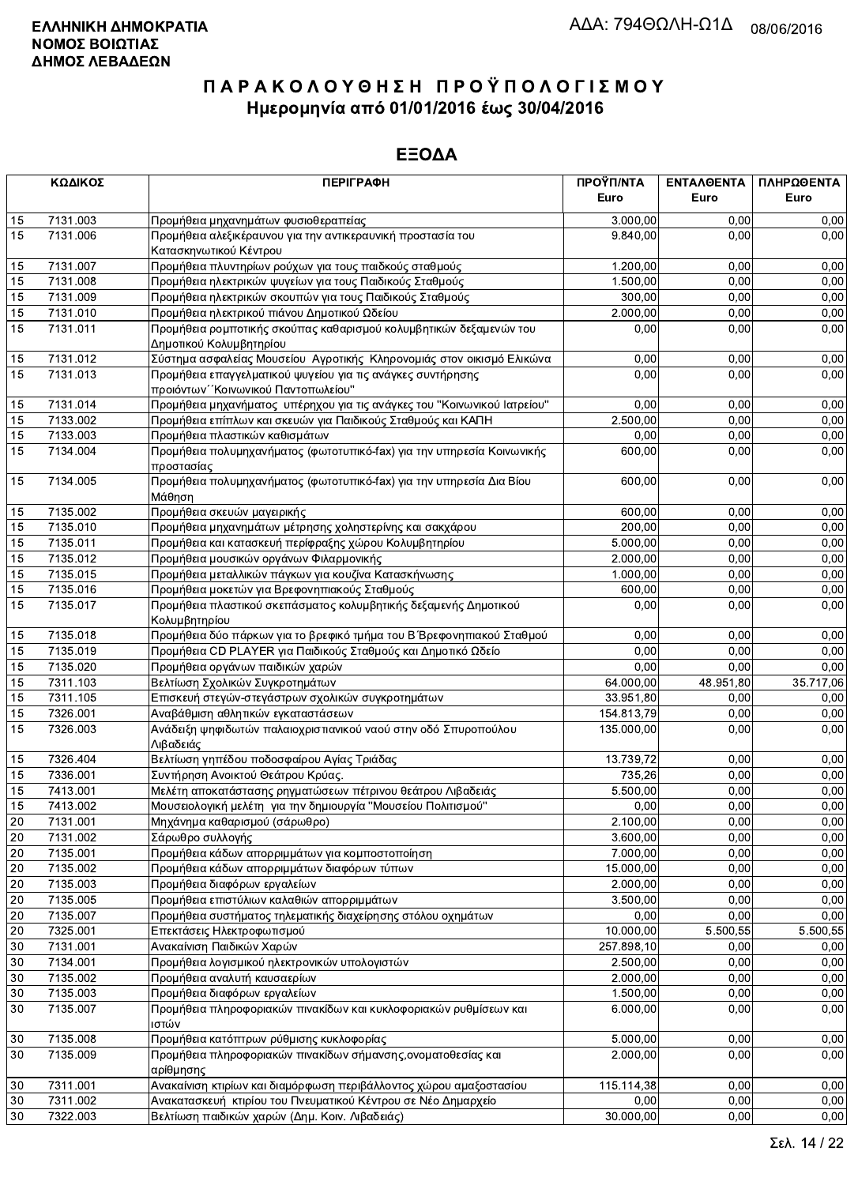|                 | ΚΩΔΙΚΟΣ  | <b>ПЕРІГРАФН</b>                                                                              | ΠΡΟΫΠ/ΝΤΑ<br>Euro | ΕΝΤΑΛΘΕΝΤΑ<br>Euro | ΠΛΗΡΩΘΕΝΤΑ<br>Euro |
|-----------------|----------|-----------------------------------------------------------------------------------------------|-------------------|--------------------|--------------------|
| 15              | 7131.003 |                                                                                               | 3.000,00          |                    | 0,00               |
| 15              | 7131.006 | Προμήθεια μηχανημάτων φυσιοθεραπείας                                                          | 9.840,00          | 0,00<br>0,00       | 0,00               |
|                 |          | Προμήθεια αλεξικέραυνου για την αντικεραυνική προστασία του<br>Κατασκηνωτικού Κέντρου         |                   |                    |                    |
| 15              | 7131.007 | Προμήθεια πλυντηρίων ρούχων για τους παιδκούς σταθμούς                                        | 1.200,00          | 0.00               | 0,00               |
| 15              | 7131.008 | Προμήθεια ηλεκτρικών ψυγείων για τους Παιδικούς Σταθμούς                                      | 1.500.00          | 0,00               | 0,00               |
| 15              | 7131.009 | Προμήθεια ηλεκτρικών σκουπών για τους Παιδικούς Σταθμούς                                      | 300,00            | 0,00               | 0,00               |
| 15              | 7131.010 | Προμήθεια ηλεκτρικού πιάνου Δημοτικού Ωδείου                                                  | 2.000,00          | 0,00               | 0,00               |
| 15              | 7131.011 | Προμήθεια ρομποτικής σκούπας καθαρισμού κολυμβητικών δεξαμενών του<br>Δημοτικού Κολυμβητηρίου | 0.00              | 0,00               | 0,00               |
| 15              | 7131.012 | Σύστημα ασφαλείας Μουσείου Αγροτικής Κληρονομιάς στον οικισμό Ελικώνα                         | 0,00              | 0,00               | 0,00               |
| 15              | 7131.013 | Προμήθεια επαγγελματικού ψυγείου για τις ανάγκες συντήρησης                                   | 0,00              | 0,00               | 0,00               |
|                 |          | προιόντων "Κοινωνικού Παντοπωλείου"                                                           |                   |                    |                    |
| 15              | 7131.014 | Προμήθεια μηχανήματος υπέρηχου για τις ανάγκες του "Κοινωνικού Ιατρείου"                      | 0,00              | 0,00               | 0,00               |
| 15              | 7133.002 | Προμήθεια επίπλων και σκευών για Παιδικούς Σταθμούς και ΚΑΠΗ                                  | 2.500,00          | 0,00               | 0,00               |
| 15              | 7133.003 | Προμήθεια πλαστικών καθισμάτων                                                                | 0,00              | 0,00               | 0,00               |
| 15              | 7134.004 | Προμήθεια πολυμηχανήματος (φωτοτυπικό-fax) για την υπηρεσία Κοινωνικής<br>προστασίας          | 600,00            | 0,00               | 0,00               |
| 15              | 7134.005 | Προμήθεια πολυμηχανήματος (φωτοτυπικό-fax) για την υπηρεσία Δια Βίου                          | 600,00            | 0,00               | 0,00               |
|                 |          | Μάθηση                                                                                        |                   |                    |                    |
| 15              | 7135.002 | Προμήθεια σκευών μαγειρικής                                                                   | 600,00            | 0,00               | 0,00               |
| 15              | 7135.010 | Προμήθεια μηχανημάτων μέτρησης χοληστερίνης και σακχάρου                                      | 200,00            | 0,00               | 0,00               |
| 15              | 7135.011 | Προμήθεια και κατασκευή περίφραξης χώρου Κολυμβητηρίου                                        | 5.000,00          | 0,00               | 0,00               |
| 15              | 7135.012 | Προμήθεια μουσικών οργάνων Φιλαρμονικής                                                       | 2.000,00          | 0,00               | 0,00               |
| 15              | 7135.015 | Προμήθεια μεταλλικών πάγκων για κουζίνα Κατασκήνωσης                                          | 1.000,00          | 0.00               | 0,00               |
| 15              | 7135.016 | Προμήθεια μοκετών για Βρεφονηπιακούς Σταθμούς                                                 | 600,00            | 0,00               | 0,00               |
| 15              | 7135.017 | Προμήθεια πλαστικού σκεπάσματος κολυμβητικής δεξαμενής Δημοτικού                              | 0,00              | 0,00               | 0,00               |
|                 |          | Κολυμβητηρίου                                                                                 |                   |                    |                    |
| 15              | 7135.018 | Προμήθεια δύο πάρκων για το βρεφικό τμήμα του Β΄ Βρεφονηπιακού Σταθμού                        | 0,00              | 0,00               | 0,00               |
| 15              | 7135.019 | Προμήθεια CD PLAYER για Παιδικούς Σταθμούς και Δημοτικό Ωδείο                                 | 0,00              | 0,00               | 0,00               |
| 15              | 7135.020 | Προμήθεια οργάνων παιδικών χαρών                                                              | 0.00              | 0,00               | 0,00               |
| 15              | 7311.103 | Βελτίωση Σχολικών Συγκροτημάτων                                                               | 64.000,00         | 48.951,80          | 35.717,06          |
| 15              | 7311.105 | Επισκευή στεγών-στεγάστρων σχολικών συγκροτημάτων                                             | 33.951,80         | 0,00               | 0,00               |
| 15              | 7326.001 | Αναβάθμιση αθλητικών εγκαταστάσεων                                                            | 154.813,79        | 0,00               | 0,00               |
| 15              | 7326.003 | Ανάδειξη ψηφιδωτών παλαιοχριστιανικού ναού στην οδό Σπυροπούλου<br>Λιβαδειάς                  | 135.000,00        | 0,00               | 0,00               |
| 15              | 7326.404 | Βελτίωση γηπέδου ποδοσφαίρου Αγίας Τριάδας                                                    | 13.739,72         | 0,00               | 0,00               |
| 15              | 7336.001 | Συντήρηση Ανοικτού Θεάτρου Κρύας.                                                             | 735,26            | 0,00               | 0,00               |
| 15              | 7413.001 | Μελέτη αποκατάστασης ρηγματώσεων πέτρινου θεάτρου Λιβαδειάς                                   | 5.500,00          | 0,00               | 0,00               |
| 15              | 7413.002 | Μουσειολογική μελέτη για την δημιουργία "Μουσείου Πολιτισμού"                                 | 0,00              | 0,00               | 0,00               |
| $\overline{20}$ | 7131.001 | Μηχάνημα καθαρισμού (σάρωθρο)                                                                 | 2.100,00          | 0,00               | 0,00               |
| 20              | 7131.002 | Σάρωθρο συλλογής                                                                              | 3.600,00          | 0,00               | 0,00               |
| 20              | 7135.001 | Προμήθεια κάδων απορριμμάτων για κομποστοποίηση                                               | 7.000,00          | 0,00               | 0,00               |
| 20              | 7135.002 | Προμήθεια κάδων απορριμμάτων διαφόρων τύπων                                                   | 15.000,00         | 0,00               | 0,00               |
| 20              | 7135.003 | Προμήθεια διαφόρων εργαλείων                                                                  | 2.000,00          | 0,00               | 0,00               |
| 20              | 7135.005 | Προμήθεια επιστύλιων καλαθιών απορριμμάτων                                                    | 3.500,00          | 0,00               | 0,00               |
| 20              | 7135.007 | Προμήθεια συστήματος τηλεματικής διαχείρησης στόλου οχημάτων                                  | 0,00              | 0,00               | 0,00               |
| $20\,$          | 7325.001 | Επεκτάσεις Ηλεκτροφωτισμού                                                                    | 10.000,00         | 5.500,55           | 5.500,55           |
| 30              | 7131.001 | Ανακαίνιση Παιδικών Χαρών                                                                     | 257.898,10        | 0,00               | 0,00               |
| 30              | 7134.001 | Προμήθεια λογισμικού ηλεκτρονικών υπολογιστών                                                 | 2.500,00          | 0,00               | 0,00               |
| 30              | 7135.002 | Προμήθεια αναλυτή καυσαερίων                                                                  | 2.000,00          | 0,00               | 0,00               |
| 30              | 7135.003 | Προμήθεια διαφόρων εργαλείων                                                                  | 1.500,00          | 0,00               | 0,00               |
| 30              | 7135.007 | Προμήθεια πληροφοριακών πινακίδων και κυκλοφοριακών ρυθμίσεων και<br>ιστών                    | 6.000,00          | 0,00               | 0,00               |
| 30              | 7135.008 | Προμήθεια κατόπτρων ρύθμισης κυκλοφορίας                                                      | 5.000,00          | 0,00               | 0,00               |
| 30              | 7135.009 | Προμήθεια πληροφοριακών πινακίδων σήμανσης,ονοματοθεσίας και                                  | 2.000,00          | 0,00               | 0.00               |
|                 |          | αρίθμησης                                                                                     |                   |                    |                    |
| 30              | 7311.001 | Ανακαίνιση κτιρίων και διαμόρφωση περιβάλλοντος χώρου αμαξοστασίου                            | 115.114,38        | 0,00               | 0,00               |
| 30              | 7311.002 | Ανακατασκευή κτιρίου του Πνευματικού Κέντρου σε Νέο Δημαρχείο                                 | 0,00              | 0,00               | 0,00               |
| 30              | 7322.003 | Βελτίωση παιδικών χαρών (Δημ. Κοιν. Λιβαδειάς)                                                | 30.000,00         | 0,00               | 0,00               |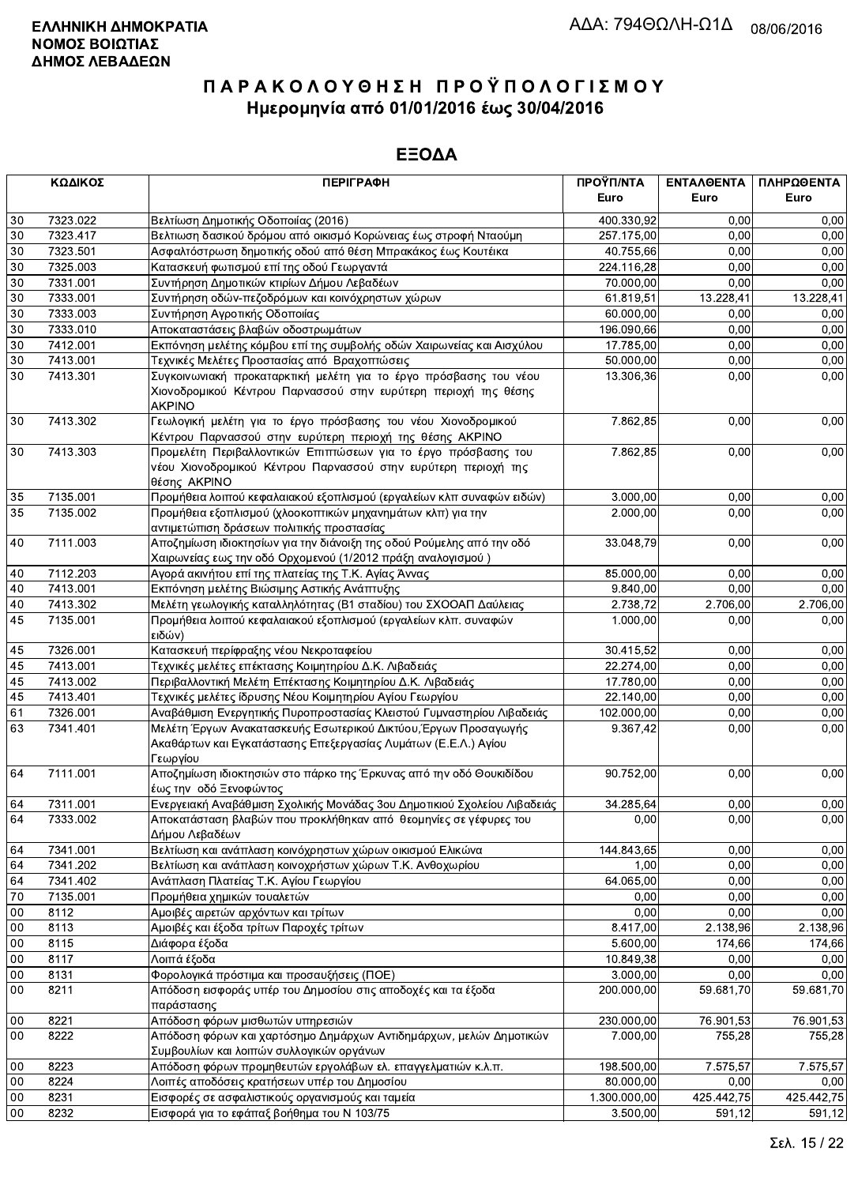|        | ΚΩΔΙΚΟΣ<br><b>ПЕРІГРАФН</b> |                                                                                                                                                       | ΠΡΟΫΠ/ΝΤΑ    | ΕΝΤΑΛΘΕΝΤΑ | ΠΛΗΡΩΘΕΝΤΑ |
|--------|-----------------------------|-------------------------------------------------------------------------------------------------------------------------------------------------------|--------------|------------|------------|
|        |                             |                                                                                                                                                       | Euro         | Euro       | Euro       |
| 30     | 7323.022                    | Βελτίωση Δημοτικής Οδοποιίας (2016)                                                                                                                   | 400.330,92   | 0.00       | 0,00       |
| 30     | 7323.417                    | Βελτιωση δασικού δρόμου από οικισμό Κορώνειας έως στροφή Νταούμη                                                                                      | 257.175,00   | 0,00       | 0,00       |
| 30     | 7323.501                    | Ασφαλτόστρωση δημοτικής οδού από θέση Μπρακάκος έως Κουτέικα                                                                                          | 40.755,66    | 0,00       | 0,00       |
| 30     | 7325.003                    | Κατασκευή φωτισμού επί της οδού Γεωργαντά                                                                                                             | 224.116,28   | 0,00       | 0,00       |
| 30     | 7331.001                    | Συντήρηση Δημοτικών κτιρίων Δήμου Λεβαδέων                                                                                                            | 70.000,00    | 0,00       | 0,00       |
| 30     | 7333.001                    | Συντήρηση οδών-πεζοδρόμων και κοινόχρηστων χώρων                                                                                                      | 61.819,51    | 13.228,41  | 13.228,41  |
| 30     | 7333.003                    | Συντήρηση Αγροτικής Οδοποιίας                                                                                                                         | 60.000,00    | 0,00       | 0.00       |
| 30     | 7333.010                    | Αποκαταστάσεις βλαβών οδοστρωμάτων                                                                                                                    | 196.090,66   | 0,00       | 0,00       |
| 30     | 7412.001                    | Εκπόνηση μελέτης κόμβου επί της συμβολής οδών Χαιρωνείας και Αισχύλου                                                                                 | 17.785,00    | 0,00       | 0,00       |
| 30     | 7413.001                    | Τεχνικές Μελέτες Προστασίας από Βραχοπτώσεις                                                                                                          | 50.000,00    | 0,00       | 0,00       |
| 30     | 7413.301                    | Συγκοινωνιακή προκαταρκτική μελέτη για το έργο πρόσβασης του νέου<br>Χιονοδρομικού Κέντρου Παρνασσού στην ευρύτερη περιοχή της θέσης<br><b>AKPINO</b> | 13.306,36    | 0,00       | 0,00       |
| 30     | 7413.302                    | Γεωλογική μελέτη για το έργο πρόσβασης του νέου Χιονοδρομικού<br>Κέντρου Παρνασσού στην ευρύτερη περιοχή της θέσης ΑΚΡΙΝΟ                             | 7.862,85     | 0,00       | 0,00       |
| 30     | 7413.303                    | Προμελέτη Περιβαλλοντικών Επιπτώσεων για το έργο πρόσβασης του<br>νέου Χιονοδρομικού Κέντρου Παρνασσού στην ευρύτερη περιοχή της<br>θέσης AKPINO      | 7.862,85     | 0,00       | 0,00       |
| 35     | 7135.001                    | Προμήθεια λοιπού κεφαλαιακού εξοπλισμού (εργαλείων κλπ συναφών ειδών)                                                                                 | 3.000,00     | 0,00       | 0,00       |
| 35     | 7135.002                    | Προμήθεια εξοπλισμού (χλοοκοπτικών μηχανημάτων κλπ) για την<br>αντιμετώπιση δράσεων πολιτικής προστασίας                                              | 2.000,00     | 0,00       | 0,00       |
| 40     | 7111.003                    | Αποζημίωση ιδιοκτησίων για την διάνοιξη της οδού Ρούμελης από την οδό<br>Χαιρωνείας εως την οδό Ορχομενού (1/2012 πράξη αναλογισμού)                  | 33.048,79    | 0,00       | 0,00       |
| 40     | 7112.203                    | Αγορά ακινήτου επί της πλατείας της Τ.Κ. Αγίας Άννας                                                                                                  | 85.000,00    | 0,00       | 0,00       |
| 40     | 7413.001                    | Εκπόνηση μελέτης Βιώσιμης Αστικής Ανάπτυξης                                                                                                           | 9.840,00     | 0.00       | 0,00       |
| 40     | 7413.302                    | Μελέτη γεωλογικής καταλληλότητας (Β1 σταδίου) του ΣΧΟΟΑΠ Δαύλειας                                                                                     | 2.738,72     | 2.706,00   | 2.706,00   |
| 45     | 7135.001                    | Προμήθεια λοιπού κεφαλαιακού εξοπλισμού (εργαλείων κλπ. συναφών<br>ειδών)                                                                             | 1.000,00     | 0,00       | 0,00       |
| 45     | 7326.001                    | Κατασκευή περίφραξης νέου Νεκροταφείου                                                                                                                | 30.415,52    | 0,00       | 0,00       |
| 45     | 7413.001                    | Τεχνικές μελέτες επέκτασης Κοιμητηρίου Δ.Κ. Λιβαδειάς                                                                                                 | 22.274,00    | 0,00       | 0,00       |
| 45     | 7413.002                    | Περιβαλλοντική Μελέτη Επέκτασης Κοιμητηρίου Δ.Κ. Λιβαδειάς                                                                                            | 17.780,00    | 0,00       | 0,00       |
| 45     | 7413.401                    | Τεχνικές μελέτες ίδρυσης Νέου Κοιμητηρίου Αγίου Γεωργίου                                                                                              | 22.140,00    | 0,00       | 0,00       |
| 61     | 7326.001                    | Αναβάθμιση Ενεργητικής Πυροπροστασίας Κλειστού Γυμναστηρίου Λιβαδειάς                                                                                 | 102.000,00   | 0.00       | 0.00       |
| 63     | 7341.401                    | Μελέτη Έργων Ανακατασκευής Εσωτερικού Δικτύου, Έργων Προσαγωγής<br>Ακαθάρτων και Εγκατάστασης Επεξεργασίας Λυμάτων (Ε.Ε.Λ.) Αγίου<br>Γεωργίου         | 9.367,42     | 0,00       | 0,00       |
| 64     | 7111.001                    | Αποζημίωση ιδιοκτησιών στο πάρκο της Έρκυνας από την οδό Θουκιδίδου<br>έως την οδό Ξενοφώντος                                                         | 90.752,00    | 0.00       | 0,00       |
| 64     | 7311.001                    | Ενεργειακή Αναβάθμιση Σχολικής Μονάδας 3ου Δημοτικιού Σχολείου Λιβαδειάς                                                                              | 34.285,64    | 0,00       | 0,00       |
| 64     | 7333.002                    | Αποκατάσταση βλαβών που προκλήθηκαν από θεομηνίες σε γέφυρες του<br>Δήμου Λεβαδέων                                                                    | 0,00         | 0,00       | 0,00       |
| 64     | 7341.001                    | Βελτίωση και ανάπλαση κοινόχρηστων χώρων οικισμού Ελικώνα                                                                                             | 144.843,65   | 0,00       | 0,00       |
| 64     | 7341.202                    | Βελτίωση και ανάπλαση κοινοχρήστων χώρων Τ.Κ. Ανθοχωρίου                                                                                              | 1,00         | 0,00       | 0,00       |
| 64     | 7341.402                    | Ανάπλαση Πλατείας Τ.Κ. Αγίου Γεωργίου                                                                                                                 | 64.065,00    | 0,00       | 0,00       |
| 70     | 7135.001                    | Προμήθεια χημικών τουαλετών                                                                                                                           | 0,00         | 0,00       | 0,00       |
| 00     | 8112                        | Αμοιβές αιρετών αρχόντων και τρίτων                                                                                                                   | 0,00         | 0,00       | 0.00       |
| 00     | 8113                        | Αμοιβές και έξοδα τρίτων Παροχές τρίτων                                                                                                               | 8.417,00     | 2.138,96   | 2.138,96   |
| 00     | 8115                        | Διάφορα έξοδα                                                                                                                                         | 5.600,00     | 174,66     | 174,66     |
| 00     | 8117                        | Λοιπά έξοδα                                                                                                                                           | 10.849,38    | 0,00       | 0,00       |
| 00     | 8131                        | Φορολογικά πρόστιμα και προσαυξήσεις (ΠΟΕ)                                                                                                            | 3.000,00     | 0,00       | 0,00       |
| 00     | 8211                        | Απόδοση εισφοράς υπέρ του Δημοσίου στις αποδοχές και τα έξοδα<br>παράστασης                                                                           | 200.000,00   | 59.681,70  | 59.681,70  |
| $00\,$ | 8221                        | Απόδοση φόρων μισθωτών υπηρεσιών                                                                                                                      | 230.000,00   | 76.901,53  | 76.901,53  |
| 00     | 8222                        | Απόδοση φόρων και χαρτόσημο Δημάρχων Αντιδημάρχων, μελών Δημοτικών<br>Συμβουλίων και λοιπών συλλογικών οργάνων                                        | 7.000,00     | 755,28     | 755,28     |
| 00     | 8223                        | Απόδοση φόρων προμηθευτών εργολάβων ελ. επαγγελματιών κ.λ.π.                                                                                          | 198.500,00   | 7.575,57   | 7.575,57   |
| 00     | 8224                        | Λοιπές αποδόσεις κρατήσεων υπέρ του Δημοσίου                                                                                                          | 80.000,00    | 0,00       | 0,00       |
| $00\,$ | 8231                        | Εισφορές σε ασφαλιστικούς οργανισμούς και ταμεία                                                                                                      | 1.300.000,00 | 425.442,75 | 425.442,75 |
| 00     | 8232                        | Εισφορά για το εφάπαξ βοήθημα του Ν 103/75                                                                                                            | 3.500,00     | 591,12     | 591,12     |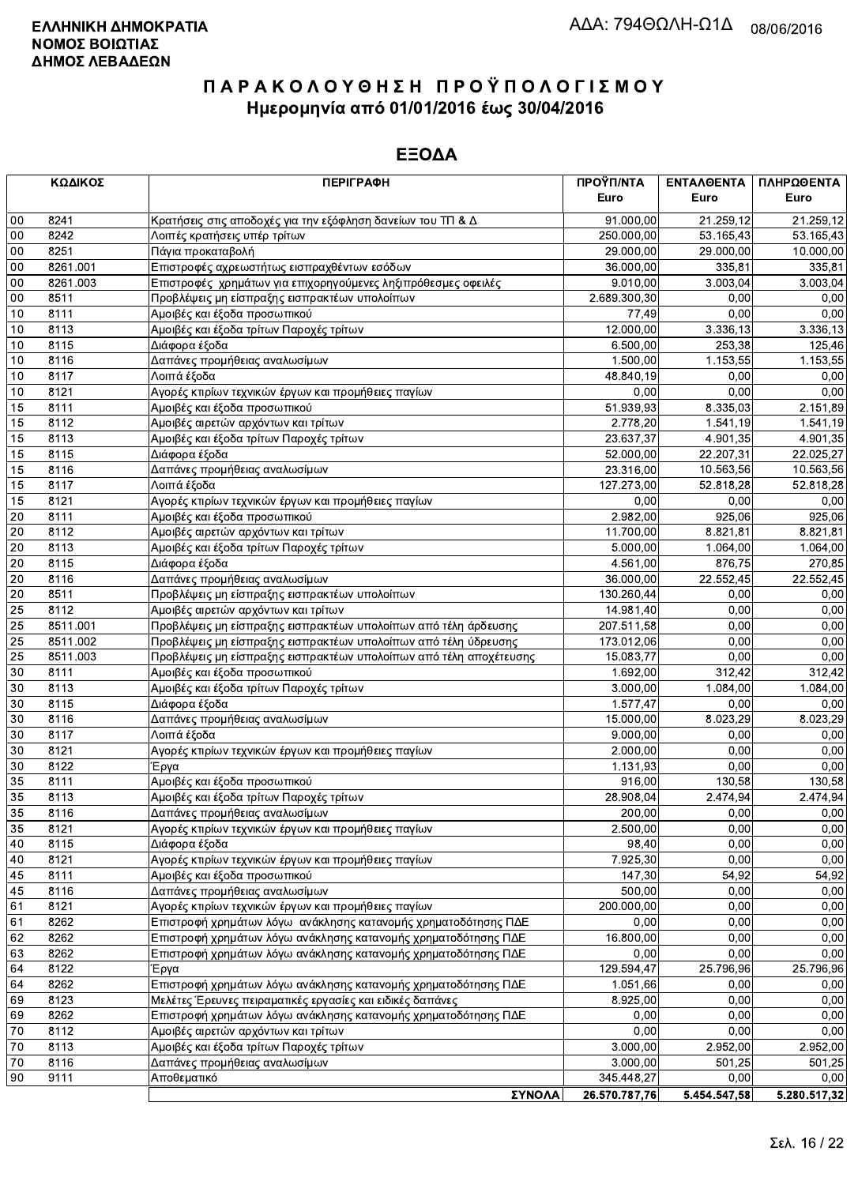|                 | ΚΩΔΙΚΟΣ  | <b>ПЕРІГРАФН</b>                                                   | ΠΡΟΫΠ/ΝΤΑ     | ΕΝΤΑΛΘΕΝΤΑ   | ΠΛΗΡΩΘΕΝΤΑ   |
|-----------------|----------|--------------------------------------------------------------------|---------------|--------------|--------------|
|                 |          |                                                                    | Euro          | Euro         | Euro         |
| 00              | 8241     | Κρατήσεις στις αποδοχές για την εξόφληση δανείων του ΤΠ & Δ        | 91.000,00     | 21.259,12    | 21.259,12    |
| 00              | 8242     | Λοιπές κρατήσεις υπέρ τρίτων                                       | 250.000,00    | 53.165,43    | 53.165,43    |
| 00              | 8251     | Πάγια προκαταβολή                                                  | 29.000,00     | 29.000,00    | 10.000,00    |
| 00              | 8261.001 | Επιστροφές αχρεωστήτως εισπραχθέντων εσόδων                        | 36.000,00     | 335,81       | 335,81       |
| 00              | 8261.003 | Επιστροφές χρημάτων για επιχορηγούμενες ληξιπρόθεσμες οφειλές      | 9.010,00      | 3.003,04     | 3.003,04     |
| $00\,$          | 8511     | Προβλέψεις μη είσπραξης εισπρακτέων υπολοίπων                      | 2.689.300,30  | 0.00         | 0,00         |
| 10              | 8111     | Αμοιβές και έξοδα προσωπικού                                       | 77,49         | 0,00         | 0,00         |
| 10              | 8113     | Αμοιβές και έξοδα τρίτων Παροχές τρίτων                            | 12.000,00     | 3.336,13     | 3.336,13     |
| 10              | 8115     | Διάφορα έξοδα                                                      | 6.500,00      | 253,38       | 125,46       |
| 10              | 8116     | Δαπάνες προμήθειας αναλωσίμων                                      | 1.500,00      | 1.153,55     | 1.153,55     |
| 10              | 8117     | Λοιπά έξοδα                                                        | 48.840,19     | 0,00         | 0,00         |
| 10              | 8121     | Αγορές κτιρίων τεχνικών έργων και προμήθειες παγίων                | 0,00          | 0,00         | 0,00         |
| 15              | 8111     | Αμοιβές και έξοδα προσωπικού                                       | 51.939,93     | 8.335,03     | 2.151,89     |
| 15              | 8112     | Αμοιβές αιρετών αρχόντων και τρίτων                                | 2.778,20      | 1.541,19     | 1.541,19     |
| 15              | 8113     | Αμοιβές και έξοδα τρίτων Παροχές τρίτων                            | 23.637,37     | 4.901,35     | 4.901,35     |
| 15              | 8115     | Διάφορα έξοδα                                                      | 52.000,00     | 22.207,31    | 22.025,27    |
| 15              | 8116     | Δαπάνες προμήθειας αναλωσίμων                                      | 23.316,00     | 10.563,56    | 10.563,56    |
| 15              | 8117     | Λοιπά έξοδα                                                        | 127.273,00    | 52.818,28    | 52.818,28    |
| 15              | 8121     | Αγορές κτιρίων τεχνικών έργων και προμήθειες παγίων                | 0,00          | 0,00         | 0,00         |
| 20              | 8111     | Αμοιβές και έξοδα προσωπικού                                       | 2.982,00      | 925,06       | 925,06       |
| 20              | 8112     | Αμοιβές αιρετών αρχόντων και τρίτων                                | 11.700,00     | 8.821,81     | 8.821,81     |
| 20              | 8113     | Αμοιβές και έξοδα τρίτων Παροχές τρίτων                            | 5.000,00      | 1.064,00     | 1.064,00     |
| 20              | 8115     | Διάφορα έξοδα                                                      | 4.561,00      | 876,75       | 270,85       |
| 20              | 8116     | Δαπάνες προμήθειας αναλωσίμων                                      | 36.000,00     | 22.552,45    | 22.552,45    |
| 20              | 8511     | Προβλέψεις μη είσπραξης εισπρακτέων υπολοίπων                      | 130.260,44    | 0,00         | 0,00         |
| 25              | 8112     | Αμοιβές αιρετών αρχόντων και τρίτων                                | 14.981,40     | 0,00         | 0,00         |
| 25              | 8511.001 | Προβλέψεις μη είσπραξης εισπρακτέων υπολοίπων από τέλη άρδευσης    | 207.511,58    | 0,00         | 0,00         |
| 25              | 8511.002 | Προβλέψεις μη είσπραξης εισπρακτέων υπολοίπων από τέλη ύδρευσης    | 173.012,06    | 0,00         | 0,00         |
| $\overline{25}$ | 8511.003 | Προβλέψεις μη είσπραξης εισπρακτέων υπολοίπων από τέλη αποχέτευσης | 15.083,77     | 0,00         | 0,00         |
| 30              | 8111     | Αμοιβές και έξοδα προσωπικού                                       | 1.692,00      | 312,42       | 312,42       |
| 30              | 8113     | Αμοιβές και έξοδα τρίτων Παροχές τρίτων                            | 3.000,00      | 1.084,00     | 1.084,00     |
| 30              | 8115     | Διάφορα έξοδα                                                      | 1.577,47      | 0,00         | 0,00         |
| 30              | 8116     | Δαπάνες προμήθειας αναλωσίμων                                      | 15.000,00     | 8.023,29     | 8.023,29     |
| 30              | 8117     | Λοιπά έξοδα                                                        | 9.000,00      | 0,00         | 0,00         |
| 30              | 8121     | Αγορές κτιρίων τεχνικών έργων και προμήθειες παγίων                | 2.000,00      | 0,00         | 0,00         |
| 30              | 8122     | Έργα                                                               | 1.131,93      | 0,00         | 0,00         |
| 35              | 8111     | Αμοιβές και έξοδα προσωπικού                                       | 916,00        | 130,58       | 130,58       |
| 35              | 8113     | Αμοιβές και έξοδα τρίτων Παροχές τρίτων                            | 28.908,04     | 2.474,94     | 2.474,94     |
| 35              | 8116     | Δαπάνες προμήθειας αναλωσίμων                                      | 200,00        | 0.00         | 0,00         |
| 35              | 8121     | Αγορές κτιρίων τεχνικών έργων και προμήθειες παγίων                | 2.500,00      | 0,00         | 0,00         |
| 40              | 8115     | Διάφορα έξοδα                                                      | 98,40         | 0,00         | 0,00         |
| 40              | 8121     | Αγορές κτιρίων τεχνικών έργων και προμήθειες παγίων                | 7.925,30      | 0,00         | 0,00         |
| 45              | 8111     | Αμοιβές και έξοδα προσωπικού                                       | 147,30        | 54,92        | 54,92        |
| 45              | 8116     | Δαπάνες προμήθειας αναλωσίμων                                      | 500,00        | 0,00         | 0,00         |
| 61              | 8121     | Αγορές κτιρίων τεχνικών έργων και προμήθειες παγίων                | 200.000,00    | 0,00         | 0,00         |
| 61              | 8262     | Επιστροφή χρημάτων λόγω ανάκλησης κατανομής χρηματοδότησης ΠΔΕ     | 0,00          | 0,00         | 0,00         |
| 62              | 8262     | Επιστροφή χρημάτων λόγω ανάκλησης κατανομής χρηματοδότησης ΠΔΕ     | 16.800,00     | 0,00         | 0,00         |
| 63              | 8262     | Επιστροφή χρημάτων λόγω ανάκλησης κατανομής χρηματοδότησης ΠΔΕ     | 0,00          | 0,00         | 0,00         |
| 64              | 8122     | Έργα                                                               | 129.594,47    | 25.796,96    | 25.796,96    |
| 64              | 8262     | Επιστροφή χρημάτων λόγω ανάκλησης κατανομής χρηματοδότησης ΠΔΕ     | 1.051,66      | 0,00         | 0,00         |
| 69              | 8123     | Μελέτες Έρευνες πειραματικές εργασίες και ειδικές δαπάνες          | 8.925,00      | 0,00         | 0,00         |
| 69              | 8262     | Επιστροφή χρημάτων λόγω ανάκλησης κατανομής χρηματοδότησης ΠΔΕ     | 0,00          | 0,00         | 0,00         |
| 70              | 8112     | Αμοιβές αιρετών αρχόντων και τρίτων                                | 0,00          | 0,00         | 0,00         |
| 70              | 8113     | Αμοιβές και έξοδα τρίτων Παροχές τρίτων                            | 3.000,00      | 2.952,00     | 2.952,00     |
| 70              | 8116     | Δαπάνες προμήθειας αναλωσίμων                                      | 3.000,00      | 501,25       | 501,25       |
| 90              | 9111     | Αποθεματικό                                                        | 345.448,27    | 0,00         | 0,00         |
|                 |          | ΣΥΝΟΛΑ                                                             | 26.570.787,76 | 5.454.547,58 | 5.280.517,32 |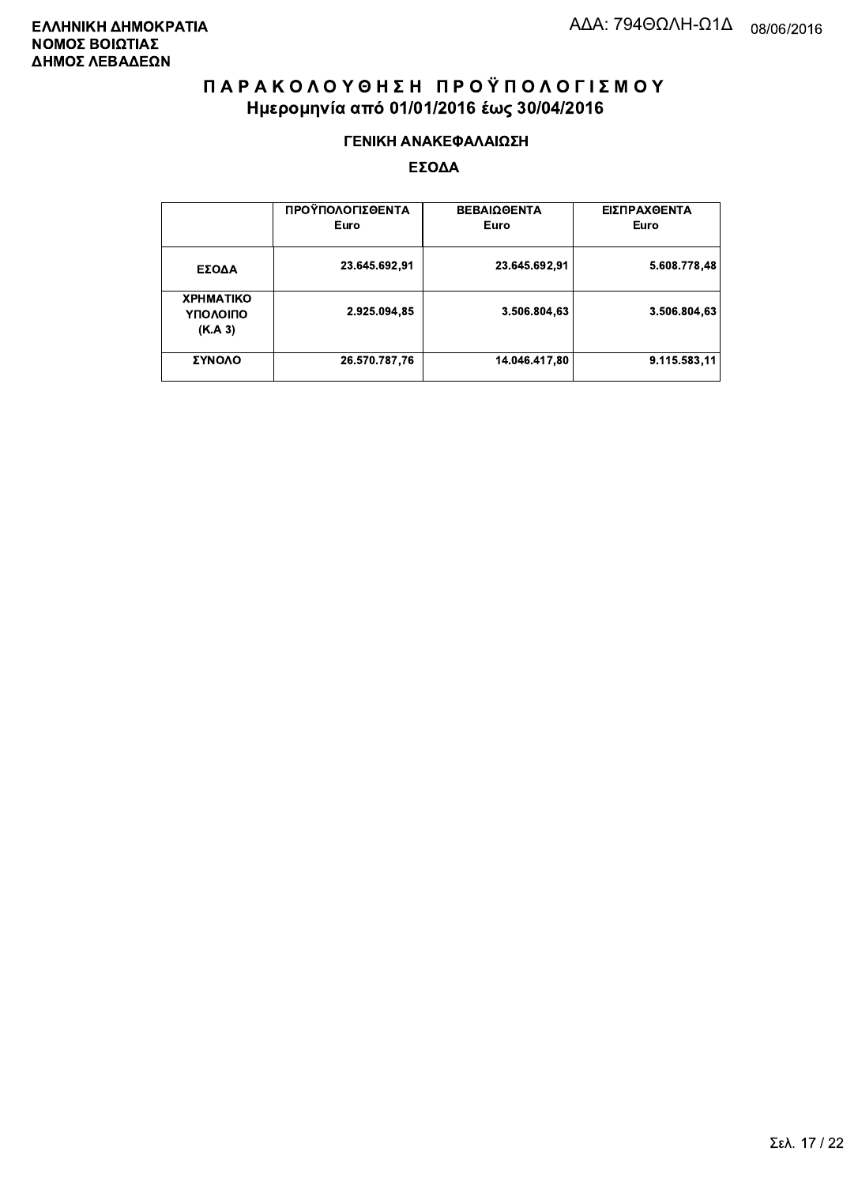#### ΓΕΝΙΚΗ ΑΝΑΚΕΦΑΛΑΙΩΣΗ

|                                         | ΠΡΟΫΠΟΛΟΓΙΣΘΕΝΤΑ<br>Euro | <b>ΒΕΒΑΙΩΘΕΝΤΑ</b><br>Euro | ΕΙΣΠΡΑΧΘΕΝΤΑ<br>Euro |
|-----------------------------------------|--------------------------|----------------------------|----------------------|
| ΕΣΟΔΑ                                   | 23.645.692,91            | 23.645.692,91              | 5.608.778.48         |
| <b>XPHMATIKO</b><br>ΥΠΟΛΟΙΠΟ<br>(K.A.3) | 2.925.094,85             | 3.506.804.63               | 3.506.804,63         |
| ΣΥΝΟΛΟ                                  | 26.570.787,76            | 14.046.417,80              | 9.115.583.11         |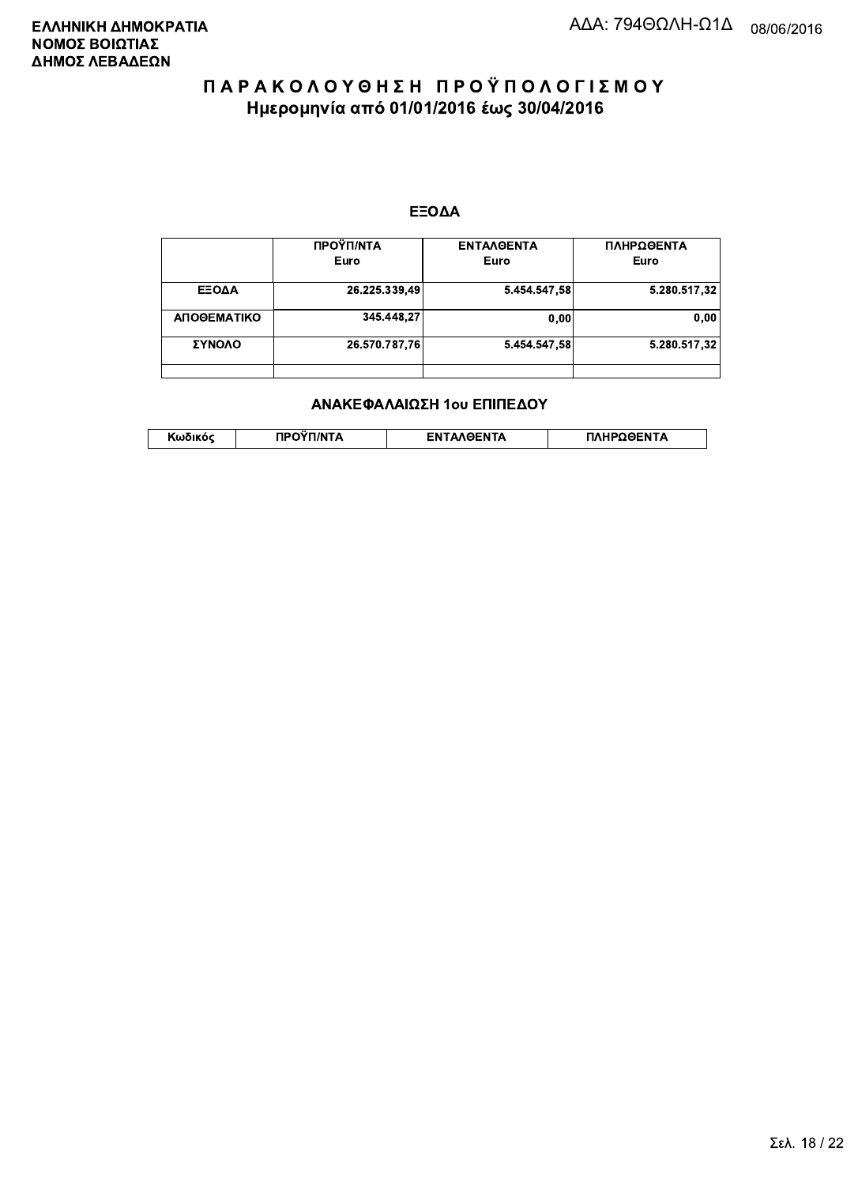#### ΕΞΟΔΑ

|             | ΠΡΟΫΠ/ΝΤΑ<br>Euro | <b>ENTAAGENTA</b><br>Euro | ΠΛΗΡΩΘΕΝΤΑ<br>Euro |
|-------------|-------------------|---------------------------|--------------------|
| ΕΞΟΔΑ       | 26.225.339,49     | 5.454.547,58              | 5.280.517,32       |
| ΑΠΟΘΕΜΑΤΙΚΟ | 345.448,27        | 0.00                      | 0,00               |
| ΣΥΝΟΛΟ      | 26.570.787,76     | 5.454.547,58              | 5.280.517,32       |
|             |                   |                           |                    |

#### ΑΝΑΚΕΦΑΛΑΙΩΣΗ 1ου ΕΠΙΠΕΔΟΥ

|  | . | <b>TINTA</b> | ົ° PENTA | ΗΡΩΘΕΝΤΔ |
|--|---|--------------|----------|----------|
|--|---|--------------|----------|----------|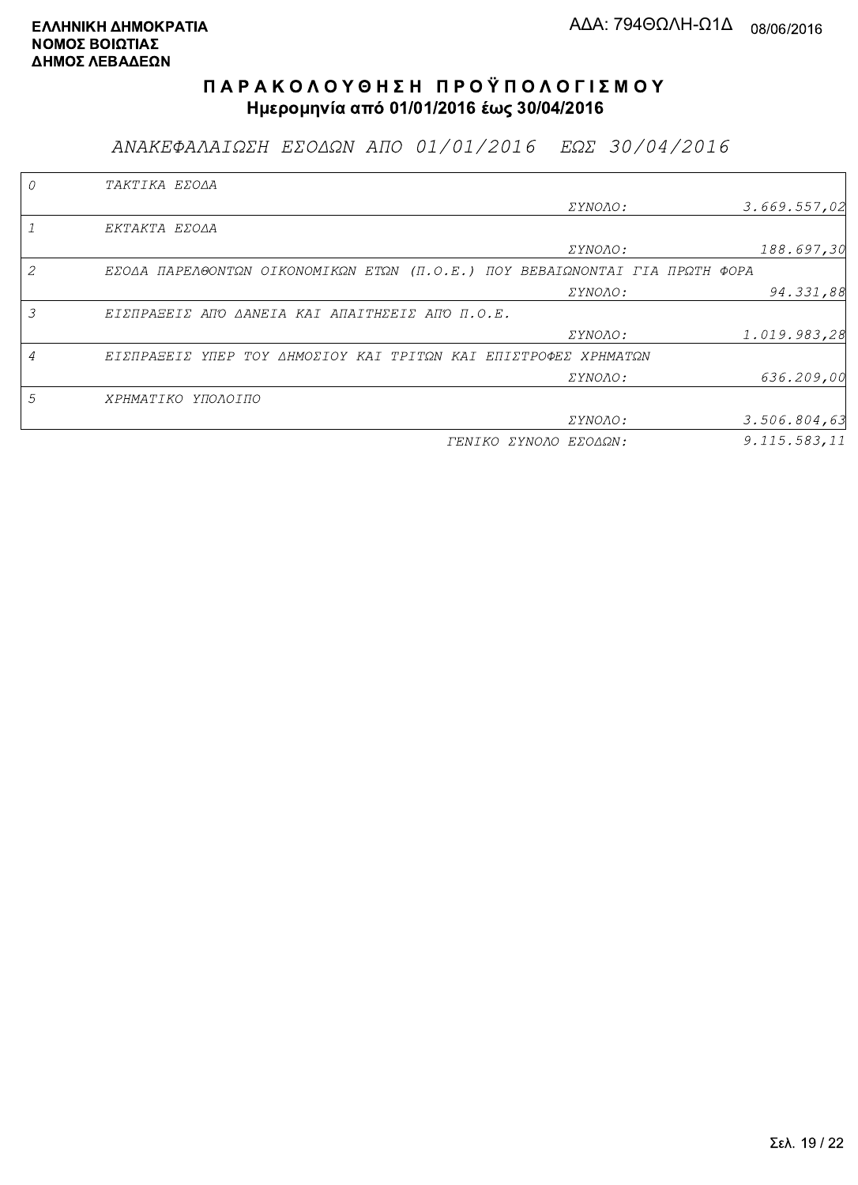ΑΝΑΚΕΦΑΛΑΙΩΣΗ ΕΣΟΔΩΝ ΑΠΟ 01/01/2016 ΕΩΣ 30/04/2016

|   | TAKTIKA EZOAA                                                               |                       |              |
|---|-----------------------------------------------------------------------------|-----------------------|--------------|
|   |                                                                             | <i>EYNOAO:</i>        | 3.669.557,02 |
|   | EKTAKTA EZOAA                                                               |                       |              |
|   |                                                                             | <i>EYNOAO:</i>        | 188.697,30   |
|   | EZOAA ΠΑΡΕΛΘΟΝΤΩΝ ΟΙΚΟΝΟΜΙΚΩΝ ΕΤΩΝ (Π.Ο.Ε.) ΠΟΥ ΒΕΒΑΙΩΝΟΝΤΑΙ ΓΙΑ ΠΡΩΤΗ ΦΟΡΑ |                       |              |
|   |                                                                             | <i>EYNOAO:</i>        | 94.331,88    |
| 3 | ΕΙΣΠΡΑΞΕΙΣ ΑΠΌ ΔΑΝΕΙΑ ΚΑΙ ΑΠΑΙΤΗΣΕΙΣ ΑΠΌ Π.Ο.Ε.                             |                       |              |
|   |                                                                             | <i>EYNOAO:</i>        | 1.019.983,28 |
| 4 | ΕΙΣΠΡΑΞΕΙΣ ΥΠΕΡ ΤΟΥ ΔΗΜΟΣΙΟΥ ΚΑΙ ΤΡΙΤΩΝ ΚΑΙ ΕΠΙΣΤΡΟΦΕΣ ΧΡΗΜΑΤΩΝ             |                       |              |
|   |                                                                             | ΣΥΝΟΛΟ:               | 636.209,00   |
| 5 | ΧΡΗΜΑΤΙΚΟ ΥΠΟΛΟΙΠΟ                                                          |                       |              |
|   |                                                                             | ΣΥΝΟΛΟ:               | 3.506.804,63 |
|   |                                                                             | ΓΕΝΙΚΟ ΣΥΝΟΛΟ ΕΣΟΔΩΝ: | 9.115.583,11 |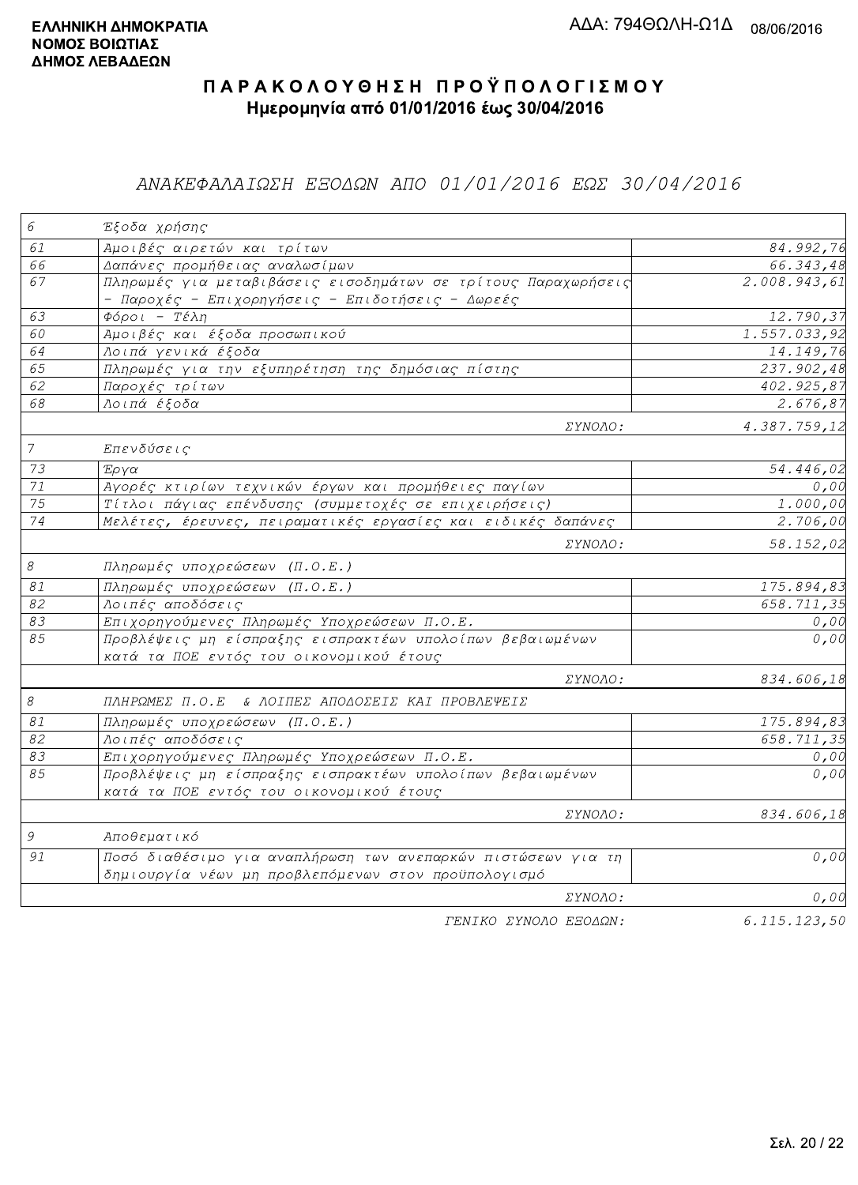### ΑΝΑΚΕΦΑΛΑΙΩΣΗ ΕΞΟΔΩΝ ΑΠΟ 01/01/2016 ΕΩΣ 30/04/2016

| 6                         | Έξοδα χρήσης                                                                                                        |              |
|---------------------------|---------------------------------------------------------------------------------------------------------------------|--------------|
| 61                        | <mark>Αμοιβές αιρετών και τρίτων</mark>                                                                             | 84.992,76    |
| 66                        | Δαπάνες προμήθειας αναλωσίμων                                                                                       | 66.343,48    |
| 67                        | Πληρωμές για μεταβιβάσεις εισοδημάτων σε τρίτους Παραχωρήσεις<br>- Παροχές - Επιχορηγήσεις - Επιδοτήσεις - Δωρεές   | 2.008.943,61 |
| 63                        | $\Phi$ όροι - Τέλη                                                                                                  | 12.790,37    |
| 60                        | Αμοιβές και έξοδα προσωπικού                                                                                        | 1.557.033,92 |
| 64                        | Λοιπά γενικά έξοδα                                                                                                  | 14.149,76    |
| 65                        | Πληρωμές για την εξυπηρέτηση της δημόσιας πίστης                                                                    | 237.902,48   |
| 62                        | Παροχές τρίτων                                                                                                      | 402.925,87   |
| 68                        | Λοιπά έξοδα                                                                                                         | 2.676,87     |
|                           | ΣΥΝΟΛΟ:                                                                                                             | 4.387.759,12 |
| $\overline{7}$            | Επενδύσεις                                                                                                          |              |
| 73                        | Έργα                                                                                                                | 54.446,02    |
| 71                        | Αγορές κτιρίων τεχνικών έργων και προμήθειες παγίων                                                                 | 0,00         |
| 75                        | Τίτλοι πάγιας επένδυσης (συμμετοχές σε επιχειρήσεις)                                                                | 1.000,00     |
| 74                        | Μελέτες, έρευνες, πειραματικές εργασίες και ειδικές δαπάνες                                                         | 2.706,00     |
|                           | ΣΥΝΟΛΟ:                                                                                                             | 58.152,02    |
| $\mathcal S$              | Πληρωμές υποχρεώσεων (Π.Ο.Ε.)                                                                                       |              |
| $\mathcal{S} \mathcal{I}$ | Πληρωμές υποχρεώσεων (Π.Ο.Ε.)                                                                                       | 175.894,83   |
| 82                        | Λοιπές αποδόσεις                                                                                                    | 658.711,35   |
| 83                        | Επιχορηγούμενες Πληρωμές Υποχρεώσεων Π.Ο.Ε.                                                                         | 0,00         |
| 85                        | Προβλέψεις μη είσπραξης εισπρακτέων υπολοίπων βεβαιωμένων<br>κατά τα ΠΟΕ εντός του οικονομικού έτους                | 0,00         |
|                           | ΣΥΝΟΛΟ:                                                                                                             | 834.606,18   |
| $\mathcal S$              | ΠΛΗΡΩΜΕΣ Π.Ο.Ε & ΛΟΙΠΕΣ ΑΠΟΔΟΣΕΙΣ ΚΑΙ ΠΡΟΒΛΕΨΕΙΣ                                                                    |              |
| 81                        | Πληρωμές υποχρεώσεων (Π.Ο.Ε.)                                                                                       | 175.894,83   |
| 82                        | Λοιπές αποδόσεις                                                                                                    | 658.711,35   |
| 83                        | Επιχορηγούμενες Πληρωμές Υποχρεώσεων Π.Ο.Ε.                                                                         | 0,00         |
| 85                        | Προβλέψεις μη είσπραξης εισπρακτέων υπολοίπων βεβαιωμένων<br>κατά τα ΠΟΕ εντός του οικονομικού έτους                | 0,00         |
|                           | <i>EYNOAO:</i>                                                                                                      | 834.606,18   |
| $\mathcal G$              | Αποθεματικό                                                                                                         |              |
| 91                        | Ποσό διαθέσιμο για αναπλήρωση των ανεπαρκών πιστώσεων για τη<br>δημιουργία νέων μη προβλεπόμενων στον προϋπολογισμό | 0,00         |
|                           | ΣΥΝΟΛΟ:                                                                                                             | 0,00         |
|                           | ΓΕΝΙΚΟ ΣΥΝΟΛΟ ΕΞΟΔΩΝ:                                                                                               | 6.115.123,50 |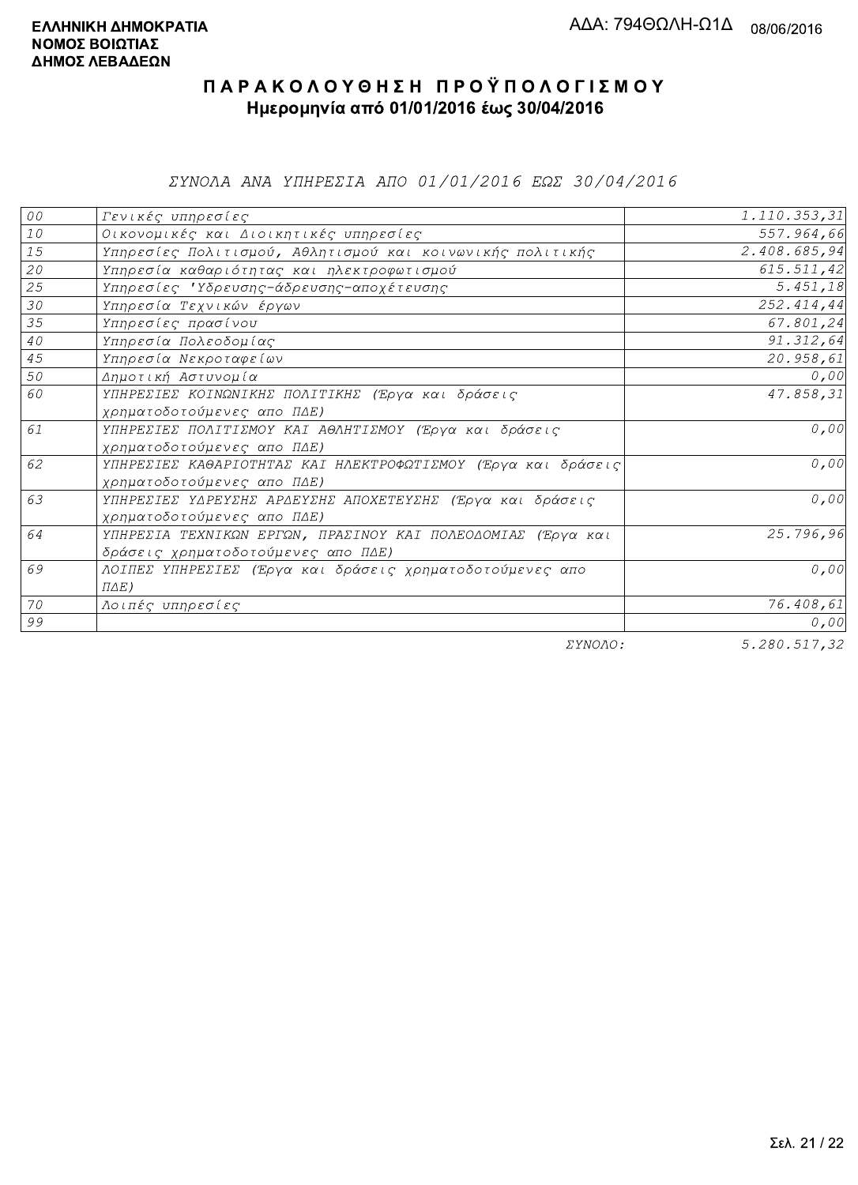*EYNOAA ANA YHHPEZIA AHO 01/01/2016 EQE 30/04/2016* 

| 00     | Γενικές υπηρεσίες                                             | 1.110.353,31     |
|--------|---------------------------------------------------------------|------------------|
| $1\,0$ | Οικονομικές και Διοικητικές υπηρεσίες                         | 557.964,66       |
| 15     | Υπηρεσίες Πολιτισμού, Αθλητισμού και κοινωνικής πολιτικής     | 2.408.685,94     |
| 20     | Υπηρεσία καθαριότητας και ηλεκτροφωτισμού                     | 615.511,42       |
| 25     | Υπηρεσίες 'Υδρευσης-άδρευσης-αποχέτευσης                      | 5.451, 18        |
| 30     | Υπηρεσία Τεχνικών έργων                                       | 252.414,44       |
| 35     | Υπηρεσίες πρασίνου                                            | 67.801,24        |
| $4\,0$ | Υπηρεσία Πολεοδομίας                                          | 91.312,64        |
| 45     | Υπηρεσία Νεκροταφείων                                         | 20.958,61        |
| 50     | Δημοτική Αστυνομία                                            | 0,00             |
| 60     | ΥΠΗΡΕΣΙΕΣ ΚΟΙΝΩΝΙΚΗΣ ΠΟΛΙΤΙΚΗΣ (Έργα και δράσεις              | 47.858,31        |
|        | χρηματοδοτούμενες απο ΠΔΕ)                                    |                  |
| 61     | ΥΠΗΡΕΣΙΕΣ ΠΟΛΙΤΙΣΜΟΥ ΚΑΙ ΑΘΛΗΤΙΣΜΟΥ (Έργα και δράσεις         | 0,00             |
|        | χρηματοδοτούμενες απο ΠΔΕ)                                    |                  |
| 62     | ΥΠΗΡΕΣΙΕΣ ΚΑΘΑΡΙΟΤΗΤΑΣ ΚΑΙ ΗΛΕΚΤΡΟΦΩΤΙΣΜΟΥ (Έργα και δράσεις) | 0,00             |
|        | χρηματοδοτούμενες απο ΠΔΕ)                                    |                  |
| 63     | ΥΠΗΡΕΣΙΕΣ ΥΔΡΕΥΣΗΣ ΑΡΔΕΥΣΗΣ ΑΠΟΧΕΤΕΥΣΗΣ (Έργα και δράσεις     | 0,00             |
|        | χρηματοδοτούμενες απο ΠΔΕ)                                    |                  |
| 64     | ΥΠΗΡΕΣΙΑ ΤΕΧΝΙΚΩΝ ΕΡΓΩΝ, ΠΡΑΣΙΝΟΥ ΚΑΙ ΠΟΛΕΟΔΟΜΙΑΣ (Έργα και   | 25.796,96        |
|        | δράσεις χρηματοδοτούμενες απο ΠΔΕ)                            |                  |
| 69     | ΛΟΙΠΕΣ ΥΠΗΡΕΣΙΕΣ (Έργα και δράσεις χρηματοδοτούμενες απο      | 0,00             |
|        | $\Pi \Delta E$ )                                              |                  |
| 70     | Λοιπές υπηρεσίες                                              | 76.408,61        |
| 99     |                                                               | 0,00             |
|        | $\Box$                                                        | $F = 200F177.20$ |

ΣΥΝΟΛΟ:

 $5.280.517,32$